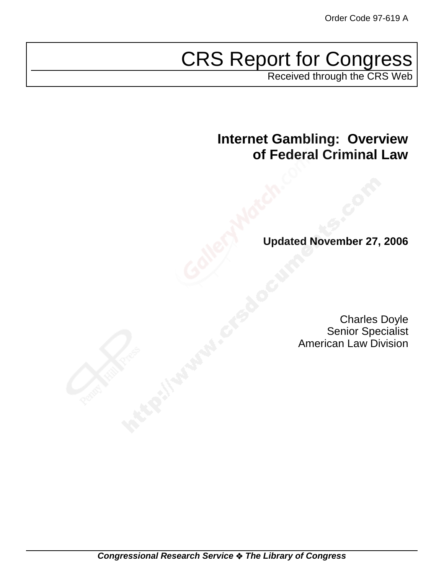# CRS Report for Congress

Received through the CRS Web

## **Internet Gambling: Overview of Federal Criminal Law**

**Updated November 27, 2006**

Charles Doyle Senior Specialist American Law Division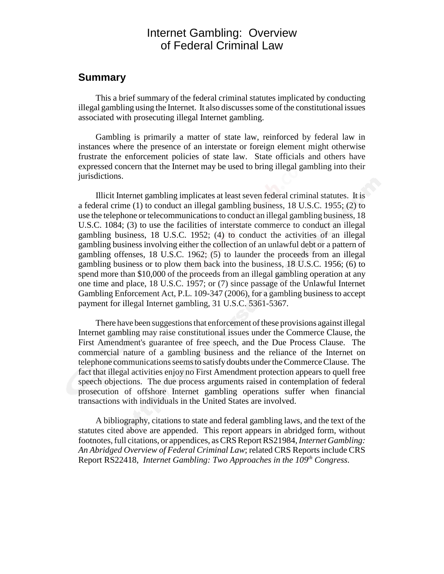## Internet Gambling: Overview of Federal Criminal Law

## **Summary**

This a brief summary of the federal criminal statutes implicated by conducting illegal gambling using the Internet. It also discusses some of the constitutional issues associated with prosecuting illegal Internet gambling.

Gambling is primarily a matter of state law, reinforced by federal law in instances where the presence of an interstate or foreign element might otherwise frustrate the enforcement policies of state law. State officials and others have expressed concern that the Internet may be used to bring illegal gambling into their jurisdictions.

Illicit Internet gambling implicates at least seven federal criminal statutes. It is a federal crime (1) to conduct an illegal gambling business, 18 U.S.C. 1955; (2) to use the telephone or telecommunications to conduct an illegal gambling business, 18 U.S.C. 1084; (3) to use the facilities of interstate commerce to conduct an illegal gambling business, 18 U.S.C. 1952; (4) to conduct the activities of an illegal gambling business involving either the collection of an unlawful debt or a pattern of gambling offenses, 18 U.S.C. 1962; (5) to launder the proceeds from an illegal gambling business or to plow them back into the business, 18 U.S.C. 1956; (6) to spend more than \$10,000 of the proceeds from an illegal gambling operation at any one time and place, 18 U.S.C. 1957; or (7) since passage of the Unlawful Internet Gambling Enforcement Act, P.L. 109-347 (2006), for a gambling business to accept payment for illegal Internet gambling, 31 U.S.C. 5361-5367.

There have been suggestions that enforcement of these provisions against illegal Internet gambling may raise constitutional issues under the Commerce Clause, the First Amendment's guarantee of free speech, and the Due Process Clause. The commercial nature of a gambling business and the reliance of the Internet on telephone communications seems to satisfy doubts under the Commerce Clause. The fact that illegal activities enjoy no First Amendment protection appears to quell free speech objections. The due process arguments raised in contemplation of federal prosecution of offshore Internet gambling operations suffer when financial transactions with individuals in the United States are involved.

A bibliography, citations to state and federal gambling laws, and the text of the statutes cited above are appended. This report appears in abridged form, without footnotes, full citations, or appendices, as CRS Report RS21984, *Internet Gambling: An Abridged Overview of Federal Criminal Law*; related CRS Reports include CRS Report RS22418, *Internet Gambling: Two Approaches in the 109th Congress*.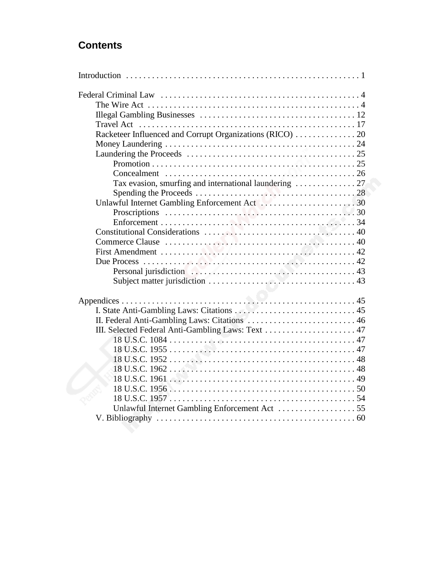## **Contents**

| Travel Act $\dots\dots\dots\dots\dots\dots\dots\dots\dots\dots\dots\dots\dots\dots 17$ |  |
|----------------------------------------------------------------------------------------|--|
|                                                                                        |  |
|                                                                                        |  |
|                                                                                        |  |
|                                                                                        |  |
|                                                                                        |  |
|                                                                                        |  |
|                                                                                        |  |
|                                                                                        |  |
|                                                                                        |  |
|                                                                                        |  |
|                                                                                        |  |
|                                                                                        |  |
|                                                                                        |  |
|                                                                                        |  |
|                                                                                        |  |
|                                                                                        |  |
|                                                                                        |  |
|                                                                                        |  |
| II. Federal Anti-Gambling Laws: Citations  46                                          |  |
| III. Selected Federal Anti-Gambling Laws: Text  47                                     |  |
|                                                                                        |  |
|                                                                                        |  |
|                                                                                        |  |
|                                                                                        |  |
|                                                                                        |  |
|                                                                                        |  |
|                                                                                        |  |
|                                                                                        |  |
|                                                                                        |  |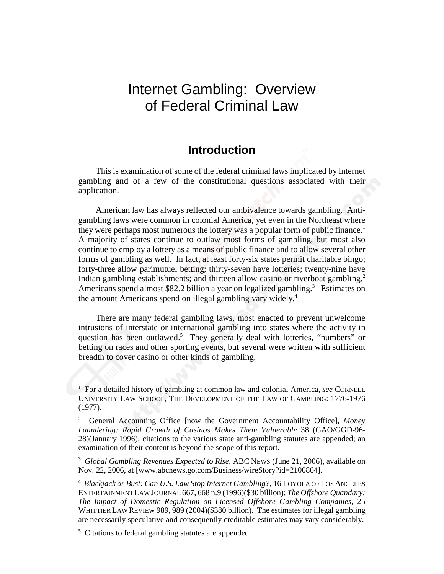## Internet Gambling: Overview of Federal Criminal Law

## **Introduction**

This is examination of some of the federal criminal laws implicated by Internet gambling and of a few of the constitutional questions associated with their application.

American law has always reflected our ambivalence towards gambling. Antigambling laws were common in colonial America, yet even in the Northeast where they were perhaps most numerous the lottery was a popular form of public finance.<sup>1</sup> A majority of states continue to outlaw most forms of gambling, but most also continue to employ a lottery as a means of public finance and to allow several other forms of gambling as well. In fact, at least forty-six states permit charitable bingo; forty-three allow parimutuel betting; thirty-seven have lotteries; twenty-nine have Indian gambling establishments; and thirteen allow casino or riverboat gambling.<sup>2</sup> Americans spend almost \$82.2 billion a year on legalized gambling.<sup>3</sup> Estimates on the amount Americans spend on illegal gambling vary widely.<sup>4</sup>

There are many federal gambling laws, most enacted to prevent unwelcome intrusions of interstate or international gambling into states where the activity in question has been outlawed.<sup>5</sup> They generally deal with lotteries, "numbers" or betting on races and other sporting events, but several were written with sufficient breadth to cover casino or other kinds of gambling.

<sup>&</sup>lt;sup>1</sup> For a detailed history of gambling at common law and colonial America, see CORNELL UNIVERSITY LAW SCHOOL, THE DEVELOPMENT OF THE LAW OF GAMBLING: 1776-1976 (1977).

<sup>2</sup> General Accounting Office [now the Government Accountability Office], *Money Laundering: Rapid Growth of Casinos Makes Them Vulnerable* 38 (GAO/GGD-96- 28)(January 1996); citations to the various state anti-gambling statutes are appended; an examination of their content is beyond the scope of this report.

<sup>3</sup> *Global Gambling Revenues Expected to Rise*, ABC NEWS (June 21, 2006), available on Nov. 22, 2006, at [www.abcnews.go.com/Business/wireStory?id=2100864].

<sup>4</sup> *Blackjack or Bust: Can U.S. Law Stop Internet Gambling?*, 16 LOYOLA OF LOS ANGELES ENTERTAINMENT LAW JOURNAL 667, 668 n.9 (1996)(\$30 billion); *The Offshore Quandary: The Impact of Domestic Regulation on Licensed Offshore Gambling Companies*, 25 WHITTIER LAW REVIEW 989, 989 (2004)(\$380 billion). The estimates for illegal gambling are necessarily speculative and consequently creditable estimates may vary considerably.

<sup>&</sup>lt;sup>5</sup> Citations to federal gambling statutes are appended.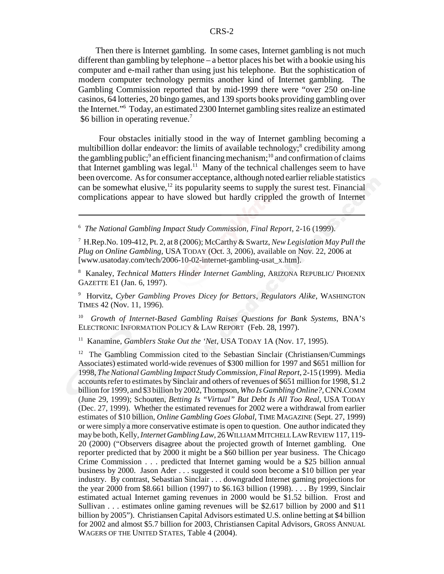Then there is Internet gambling. In some cases, Internet gambling is not much different than gambling by telephone – a bettor places his bet with a bookie using his computer and e-mail rather than using just his telephone. But the sophistication of modern computer technology permits another kind of Internet gambling. The Gambling Commission reported that by mid-1999 there were "over 250 on-line casinos, 64 lotteries, 20 bingo games, and 139 sports books providing gambling over the Internet."6 Today, an estimated 2300 Internet gambling sites realize an estimated \$6 billion in operating revenue.<sup>7</sup>

 Four obstacles initially stood in the way of Internet gambling becoming a multibillion dollar endeavor: the limits of available technology;<sup>8</sup> credibility among the gambling public;<sup>9</sup> an efficient financing mechanism;<sup>10</sup> and confirmation of claims that Internet gambling was legal.<sup>11</sup> Many of the technical challenges seem to have been overcome. As for consumer acceptance, although noted earlier reliable statistics can be somewhat elusive, $12$  its popularity seems to supply the surest test. Financial complications appear to have slowed but hardly crippled the growth of Internet

8 Kanaley, *Technical Matters Hinder Internet Gambling*, ARIZONA REPUBLIC/ PHOENIX GAZETTE E1 (Jan. 6, 1997).

<sup>9</sup> Horvitz, *Cyber Gambling Proves Dicey for Bettors, Regulators Alike*, WASHINGTON TIMES 42 (Nov. 11, 1996).

10 *Growth of Internet-Based Gambling Raises Questions for Bank Systems*, BNA'S ELECTRONIC INFORMATION POLICY & LAW REPORT (Feb. 28, 1997).

<sup>11</sup> Kanamine, *Gamblers Stake Out the 'Net*, USA TODAY 1A (Nov. 17, 1995).

<sup>12</sup> The Gambling Commission cited to the Sebastian Sinclair (Christiansen/Cummings) Associates) estimated world-wide revenues of \$300 million for 1997 and \$651 million for 1998, *The National Gambling Impact Study Commission, Final Report*, 2-15 (1999). Media accounts refer to estimates by Sinclair and others of revenues of \$651 million for 1998, \$1.2 billion for 1999, and \$3 billion by 2002, Thompson, *Who Is Gambling Online?,* CNN.COMM (June 29, 1999); Schouten, *Betting Is "Virtual" But Debt Is All Too Real*, USA TODAY (Dec. 27, 1999). Whether the estimated revenues for 2002 were a withdrawal from earlier estimates of \$10 billion, *Online Gambling Goes Global*, TIME MAGAZINE (Sept. 27, 1999) or were simply a more conservative estimate is open to question. One author indicated they may be both, Kelly, *Internet Gambling Law*, 26 WILLIAM MITCHELL LAW REVIEW 117, 119- 20 (2000) ("Observers disagree about the projected growth of Internet gambling. One reporter predicted that by 2000 it might be a \$60 billion per year business. The Chicago Crime Commission . . . predicted that Internet gaming would be a \$25 billion annual business by 2000. Jason Ader . . . suggested it could soon become a \$10 billion per year industry. By contrast, Sebastian Sinclair . . . downgraded Internet gaming projections for the year 2000 from \$8.661 billion (1997) to \$6.163 billion (1998). . . . By 1999, Sinclair estimated actual Internet gaming revenues in 2000 would be \$1.52 billion. Frost and Sullivan . . . estimates online gaming revenues will be \$2.617 billion by 2000 and \$11 billion by 2005"). Christiansen Capital Advisors estimated U.S. online betting at \$4 billion for 2002 and almost \$5.7 billion for 2003, Christiansen Capital Advisors, GROSS ANNUAL WAGERS OF THE UNITED STATES, Table 4 (2004).

<sup>6</sup> *The National Gambling Impact Study Commission, Final Report*, 2-16 (1999).

<sup>7</sup> H.Rep.No. 109-412, Pt. 2, at 8 (2006); McCarthy & Swartz, *New Legislation May Pull the Plug on Online Gambling*, USA TODAY (Oct. 3, 2006), available on Nov. 22, 2006 at [www.usatoday.com/tech/2006-10-02-internet-gambling-usat\_x.htm].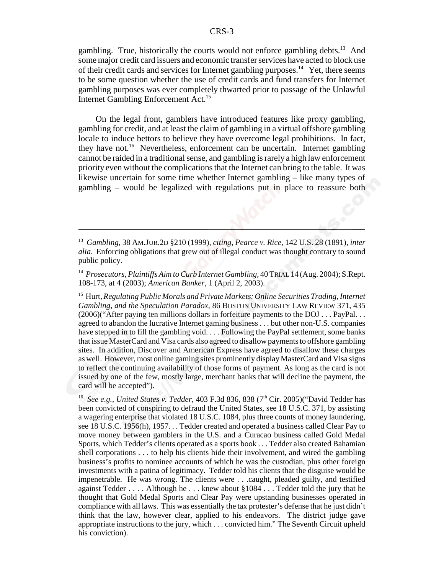gambling. True, historically the courts would not enforce gambling debts.<sup>13</sup> And some major credit card issuers and economic transfer services have acted to block use of their credit cards and services for Internet gambling purposes.<sup>14</sup> Yet, there seems to be some question whether the use of credit cards and fund transfers for Internet gambling purposes was ever completely thwarted prior to passage of the Unlawful Internet Gambling Enforcement Act.15

On the legal front, gamblers have introduced features like proxy gambling, gambling for credit, and at least the claim of gambling in a virtual offshore gambling locale to induce bettors to believe they have overcome legal prohibitions. In fact, they have not.16 Nevertheless, enforcement can be uncertain. Internet gambling cannot be raided in a traditional sense, and gambling is rarely a high law enforcement priority even without the complications that the Internet can bring to the table. It was likewise uncertain for some time whether Internet gambling – like many types of gambling – would be legalized with regulations put in place to reassure both

<sup>16</sup> *See e.g., United States v. Tedder,* 403 F.3d 836, 838 (7<sup>th</sup> Cir. 2005)("David Tedder has been convicted of conspiring to defraud the United States, see 18 U.S.C. 371, by assisting a wagering enterprise that violated 18 U.S.C. 1084, plus three counts of money laundering, see 18 U.S.C. 1956(h), 1957. . . Tedder created and operated a business called Clear Pay to move money between gamblers in the U.S. and a Curacao business called Gold Medal Sports, which Tedder's clients operated as a sports book . . . Tedder also created Bahamian shell corporations . . . to help his clients hide their involvement, and wired the gambling business's profits to nominee accounts of which he was the custodian, plus other foreign investments with a patina of legitimacy. Tedder told his clients that the disguise would be impenetrable. He was wrong. The clients were . . .caught, pleaded guilty, and testified against Tedder . . . . Although he . . . knew about §1084 . . . Tedder told the jury that he thought that Gold Medal Sports and Clear Pay were upstanding businesses operated in compliance with all laws. This was essentially the tax protester's defense that he just didn't think that the law, however clear, applied to his endeavors. The district judge gave appropriate instructions to the jury, which . . . convicted him." The Seventh Circuit upheld his conviction).

<sup>13</sup> *Gambling,* 38 AM.JUR.2D §210 (1999), *citing*, *Pearce v. Rice*, 142 U.S. 28 (1891), *inter alia*. Enforcing obligations that grew out of illegal conduct was thought contrary to sound public policy.

<sup>&</sup>lt;sup>14</sup> *Prosecutors, Plaintiffs Aim to Curb Internet Gambling*, 40 TRIAL 14 (Aug. 2004); S.Rept. 108-173, at 4 (2003); *American Banker*, 1 (April 2, 2003).

<sup>15</sup> Hurt, *Regulating Public Morals and Private Markets: Online Securities Trading, Internet Gambling, and the Speculation Paradox*, 86 BOSTON UNIVERSITY LAW REVIEW 371, 435 (2006)("After paying ten millions dollars in forfeiture payments to the DOJ . . . PayPal. . . agreed to abandon the lucrative Internet gaming business . . . but other non-U.S. companies have stepped in to fill the gambling void. . . . Following the PayPal settlement, some banks that issue MasterCard and Visa cards also agreed to disallow payments to offshore gambling sites. In addition, Discover and American Express have agreed to disallow these charges as well. However, most online gaming sites prominently display MasterCard and Visa signs to reflect the continuing availability of those forms of payment. As long as the card is not issued by one of the few, mostly large, merchant banks that will decline the payment, the card will be accepted").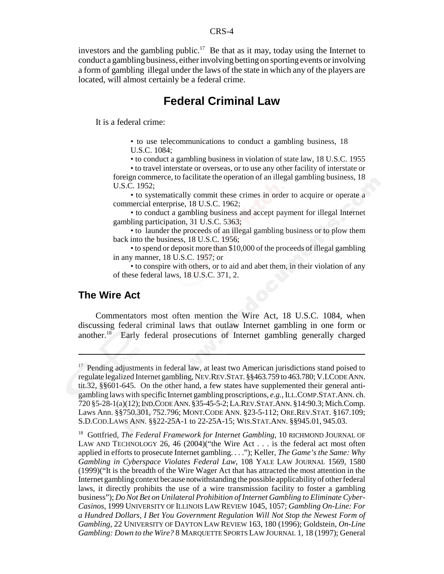investors and the gambling public.<sup>17</sup> Be that as it may, today using the Internet to conduct a gambling business, either involving betting on sporting events or involving a form of gambling illegal under the laws of the state in which any of the players are located, will almost certainly be a federal crime.

## **Federal Criminal Law**

It is a federal crime:

• to use telecommunications to conduct a gambling business, 18 U.S.C. 1084;

• to conduct a gambling business in violation of state law, 18 U.S.C. 1955

• to travel interstate or overseas, or to use any other facility of interstate or foreign commerce, to facilitate the operation of an illegal gambling business, 18 U.S.C. 1952;

• to systematically commit these crimes in order to acquire or operate a commercial enterprise, 18 U.S.C. 1962;

• to conduct a gambling business and accept payment for illegal Internet gambling participation, 31 U.S.C. 5363;

• to launder the proceeds of an illegal gambling business or to plow them back into the business, 18 U.S.C. 1956;

• to spend or deposit more than \$10,000 of the proceeds of illegal gambling in any manner, 18 U.S.C. 1957; or

• to conspire with others, or to aid and abet them, in their violation of any of these federal laws, 18 U.S.C. 371, 2.

## **The Wire Act**

Commentators most often mention the Wire Act, 18 U.S.C. 1084, when discussing federal criminal laws that outlaw Internet gambling in one form or another.18 Early federal prosecutions of Internet gambling generally charged

 $17$  Pending adjustments in federal law, at least two American jurisdictions stand poised to regulate legalized Internet gambling, NEV.REV.STAT. §§463.759 to 463.780; V.I.CODE ANN. tit.32, §§601-645. On the other hand, a few states have supplemented their general antigambling laws with specific Internet gambling proscriptions, *e.g.*, ILL.COMP.STAT.ANN. ch. 720 §5-28-1(a)(12); IND.CODE ANN. §35-45-5-2; LA.REV.STAT.ANN. §14:90.3; Mich.Comp. Laws Ann. §§750.301, 752.796; MONT.CODE ANN. §23-5-112; ORE.REV.STAT. §167.109; S.D.COD.LAWS ANN. §§22-25A-1 to 22-25A-15; WIS.STAT.ANN. §§945.01, 945.03.

<sup>&</sup>lt;sup>18</sup> Gottfried, *The Federal Framework for Internet Gambling*, 10 RICHMOND JOURNAL OF LAW AND TECHNOLOGY 26, 46 (2004) ("the Wire Act . . . is the federal act most often applied in efforts to prosecute Internet gambling. . . ."); Keller, *The Game's the Same: Why Gambling in Cyberspace Violates Federal Law*, 108 YALE LAW JOURNAL 1569, 1580 (1999)("It is the breadth of the Wire Wager Act that has attracted the most attention in the Internet gambling context because notwithstanding the possible applicability of other federal laws, it directly prohibits the use of a wire transmission facility to foster a gambling business"); *Do Not Bet on Unilateral Prohibition of Internet Gambling to Eliminate Cyber-Casinos*, 1999 UNIVERSITY OF ILLINOIS LAW REVIEW 1045, 1057; *Gambling On-Line: For a Hundred Dollars, I Bet You Government Regulation Will Not Stop the Newest Form of Gambling*, 22 UNIVERSITY OF DAYTON LAW REVIEW 163, 180 (1996); Goldstein, *On-Line Gambling: Down to the Wire?* 8 MARQUETTE SPORTS LAW JOURNAL 1, 18 (1997); General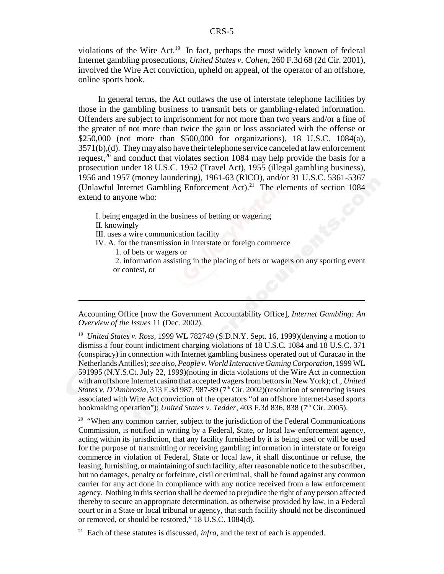violations of the Wire Act.<sup>19</sup> In fact, perhaps the most widely known of federal Internet gambling prosecutions, *United States v. Cohen*, 260 F.3d 68 (2d Cir. 2001), involved the Wire Act conviction, upheld on appeal, of the operator of an offshore, online sports book.

 In general terms, the Act outlaws the use of interstate telephone facilities by those in the gambling business to transmit bets or gambling-related information. Offenders are subject to imprisonment for not more than two years and/or a fine of the greater of not more than twice the gain or loss associated with the offense or \$250,000 (not more than \$500,000 for organizations), 18 U.S.C. 1084(a), 3571(b),(d). They may also have their telephone service canceled at law enforcement request,<sup>20</sup> and conduct that violates section 1084 may help provide the basis for a prosecution under 18 U.S.C. 1952 (Travel Act), 1955 (illegal gambling business), 1956 and 1957 (money laundering), 1961-63 (RICO), and/or 31 U.S.C. 5361-5367 (Unlawful Internet Gambling Enforcement Act).<sup>21</sup> The elements of section  $1084$ extend to anyone who:

I. being engaged in the business of betting or wagering II. knowingly

III. uses a wire communication facility

IV. A. for the transmission in interstate or foreign commerce

1. of bets or wagers or

 2. information assisting in the placing of bets or wagers on any sporting event or contest, or

Accounting Office [now the Government Accountability Office], *Internet Gambling: An Overview of the Issues* 11 (Dec. 2002).

19 *United States v. Ross*, 1999 WL 782749 (S.D.N.Y. Sept. 16, 1999)(denying a motion to dismiss a four count indictment charging violations of 18 U.S.C. 1084 and 18 U.S.C. 371 (conspiracy) in connection with Internet gambling business operated out of Curacao in the Netherlands Antilles); *see also, People v. World Interactive Gaming Corporation*, 1999 WL 591995 (N.Y.S.Ct. July 22, 1999)(noting in dicta violations of the Wire Act in connection with an offshore Internet casino that accepted wagers from bettors in New York); cf., *United States v. D'Ambrosia*, 313 F.3d 987, 987-89 (7th Cir. 2002)(resolution of sentencing issues associated with Wire Act conviction of the operators "of an offshore internet-based sports bookmaking operation"); *United States v. Tedder*, 403 F.3d 836, 838 (7<sup>th</sup> Cir. 2005).

<sup>20</sup> "When any common carrier, subject to the jurisdiction of the Federal Communications Commission, is notified in writing by a Federal, State, or local law enforcement agency, acting within its jurisdiction, that any facility furnished by it is being used or will be used for the purpose of transmitting or receiving gambling information in interstate or foreign commerce in violation of Federal, State or local law, it shall discontinue or refuse, the leasing, furnishing, or maintaining of such facility, after reasonable notice to the subscriber, but no damages, penalty or forfeiture, civil or criminal, shall be found against any common carrier for any act done in compliance with any notice received from a law enforcement agency. Nothing in this section shall be deemed to prejudice the right of any person affected thereby to secure an appropriate determination, as otherwise provided by law, in a Federal court or in a State or local tribunal or agency, that such facility should not be discontinued or removed, or should be restored," 18 U.S.C. 1084(d).

<sup>21</sup> Each of these statutes is discussed, *infra*, and the text of each is appended.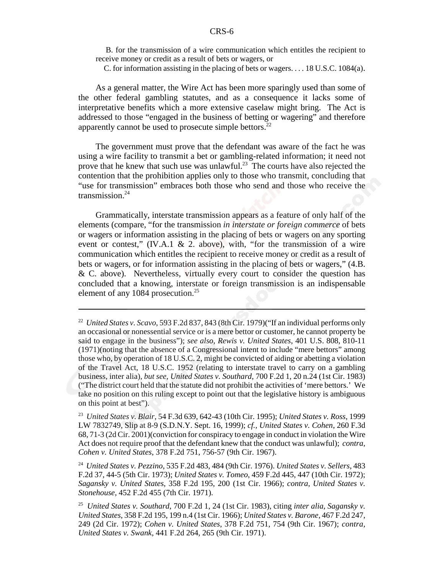B. for the transmission of a wire communication which entitles the recipient to receive money or credit as a result of bets or wagers, or

C. for information assisting in the placing of bets or wagers. . . . 18 U.S.C. 1084(a).

As a general matter, the Wire Act has been more sparingly used than some of the other federal gambling statutes, and as a consequence it lacks some of interpretative benefits which a more extensive caselaw might bring. The Act is addressed to those "engaged in the business of betting or wagering" and therefore apparently cannot be used to prosecute simple bettors.<sup>22</sup>

The government must prove that the defendant was aware of the fact he was using a wire facility to transmit a bet or gambling-related information; it need not prove that he knew that such use was unlawful.<sup>23</sup> The courts have also rejected the contention that the prohibition applies only to those who transmit, concluding that "use for transmission" embraces both those who send and those who receive the transmission. $24$ 

Grammatically, interstate transmission appears as a feature of only half of the elements (compare, "for the transmission *in interstate or foreign commerce* of bets or wagers or information assisting in the placing of bets or wagers on any sporting event or contest," (IV.A.1  $& 2$ . above), with, "for the transmission of a wire communication which entitles the recipient to receive money or credit as a result of bets or wagers, or for information assisting in the placing of bets or wagers," (4.B. & C. above). Nevertheless, virtually every court to consider the question has concluded that a knowing, interstate or foreign transmission is an indispensable element of any 1084 prosecution.<sup>25</sup>

<sup>&</sup>lt;sup>22</sup> *United States v. Scavo,* 593 F.2d 837, 843 (8th Cir. 1979)("If an individual performs only an occasional or nonessential service or is a mere bettor or customer, he cannot property be said to engage in the business"); *see also, Rewis v. United States*, 401 U.S. 808, 810-11 (1971)(noting that the absence of a Congressional intent to include "mere bettors" among those who, by operation of 18 U.S.C. 2, might be convicted of aiding or abetting a violation of the Travel Act, 18 U.S.C. 1952 (relating to interstate travel to carry on a gambling business, inter alia), *but see, United States v. Southard*, 700 F.2d 1, 20 n.24 (1st Cir. 1983) ("The district court held that the statute did not prohibit the activities of 'mere bettors.' We take no position on this ruling except to point out that the legislative history is ambiguous on this point at best").

<sup>23</sup> *United States v. Blair*, 54 F.3d 639, 642-43 (10th Cir. 1995); *United States v. Ross*, 1999 LW 7832749, Slip at 8-9 (S.D.N.Y. Sept. 16, 1999); *cf., United States v. Cohen*, 260 F.3d 68, 71-3 (2d Cir. 2001)(conviction for conspiracy to engage in conduct in violation the Wire Act does not require proof that the defendant knew that the conduct was unlawful); *contra, Cohen v. United States*, 378 F.2d 751, 756-57 (9th Cir. 1967).

<sup>24</sup> *United States v. Pezzino*, 535 F.2d 483, 484 (9th Cir. 1976). *United States v. Sellers*, 483 F.2d 37, 44-5 (5th Cir. 1973); *United States v. Tomeo*, 459 F.2d 445, 447 (10th Cir. 1972); *Sagansky v. United States*, 358 F.2d 195, 200 (1st Cir. 1966); *contra*, *United States v. Stonehouse,* 452 F.2d 455 (7th Cir. 1971).

<sup>25</sup> *United States v. Southard*, 700 F.2d 1, 24 (1st Cir. 1983), citing *inter alia*, *Sagansky v. United States*, 358 F.2d 195, 199 n.4 (1st Cir. 1966); *United States v. Barone*, 467 F.2d 247, 249 (2d Cir. 1972); *Cohen v. United States*, 378 F.2d 751, 754 (9th Cir. 1967); *contra, United States v. Swank*, 441 F.2d 264, 265 (9th Cir. 1971).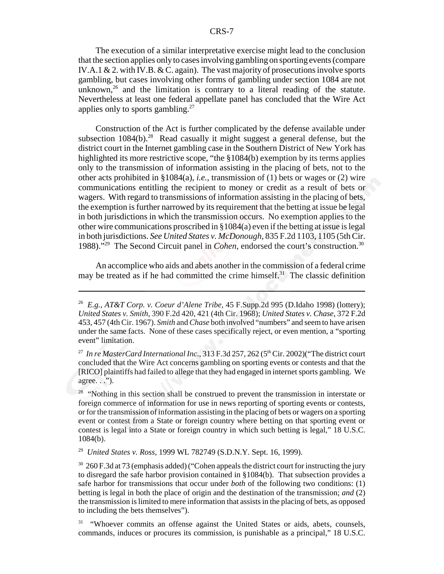The execution of a similar interpretative exercise might lead to the conclusion that the section applies only to cases involving gambling on sporting events (compare IV.A.1 & 2. with IV.B. & C. again). The vast majority of prosecutions involve sports gambling, but cases involving other forms of gambling under section 1084 are not unknown, $26$  and the limitation is contrary to a literal reading of the statute. Nevertheless at least one federal appellate panel has concluded that the Wire Act applies only to sports gambling.<sup>27</sup>

Construction of the Act is further complicated by the defense available under subsection  $1084(b)$ <sup>28</sup> Read casually it might suggest a general defense, but the district court in the Internet gambling case in the Southern District of New York has highlighted its more restrictive scope, "the §1084(b) exemption by its terms applies only to the transmission of information assisting in the placing of bets, not to the other acts prohibited in §1084(a), *i.e.*, transmission of (1) bets or wages or (2) wire communications entitling the recipient to money or credit as a result of bets or wagers. With regard to transmissions of information assisting in the placing of bets, the exemption is further narrowed by its requirement that the betting at issue be legal in both jurisdictions in which the transmission occurs. No exemption applies to the other wire communications proscribed in §1084(a) even if the betting at issue is legal in both jurisdictions. *See United States v. McDonough*, 835 F.2d 1103, 1105 (5th Cir. 1988)."29 The Second Circuit panel in *Cohen*, endorsed the court's construction.30

An accomplice who aids and abets another in the commission of a federal crime may be treated as if he had committed the crime himself.<sup>31</sup> The classic definition

<sup>28</sup> "Nothing in this section shall be construed to prevent the transmission in interstate or foreign commerce of information for use in news reporting of sporting events or contests, or for the transmission of information assisting in the placing of bets or wagers on a sporting event or contest from a State or foreign country where betting on that sporting event or contest is legal into a State or foreign country in which such betting is legal," 18 U.S.C. 1084(b).

29 *United States v. Ross*, 1999 WL 782749 (S.D.N.Y. Sept. 16, 1999).

<sup>26</sup> *E.g., AT&T Corp. v. Coeur d'Alene Tribe*, 45 F.Supp.2d 995 (D.Idaho 1998) (lottery); *United States v. Smith*, 390 F.2d 420, 421 (4th Cir. 1968); *United States v. Chase*, 372 F.2d 453, 457 (4th Cir. 1967). *Smith* and *Chase* both involved "numbers" and seem to have arisen under the same facts. None of these cases specifically reject, or even mention, a "sporting event" limitation.

<sup>&</sup>lt;sup>27</sup> In re MasterCard International Inc., 313 F.3d 257, 262 (5<sup>th</sup> Cir. 2002)("The district court concluded that the Wire Act concerns gambling on sporting events or contests and that the [RICO] plaintiffs had failed to allege that they had engaged in internet sports gambling. We agree. . .").

 $30\,260$  F.3d at 73 (emphasis added) ("Cohen appeals the district court for instructing the jury to disregard the safe harbor provision contained in §1084(b). That subsection provides a safe harbor for transmissions that occur under *both* of the following two conditions: (1) betting is legal in both the place of origin and the destination of the transmission; *and* (2) the transmission is limited to mere information that assists in the placing of bets, as opposed to including the bets themselves").

<sup>&</sup>lt;sup>31</sup> "Whoever commits an offense against the United States or aids, abets, counsels, commands, induces or procures its commission, is punishable as a principal," 18 U.S.C.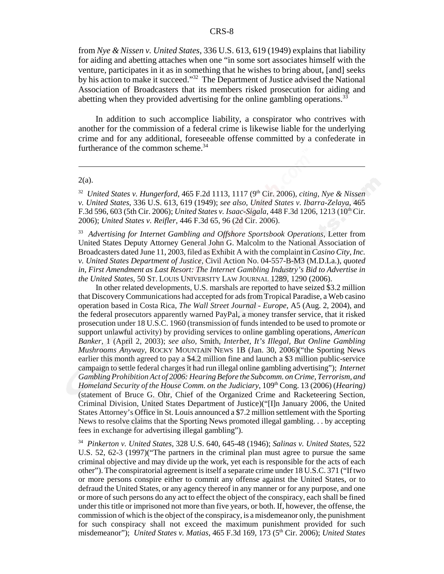from *Nye & Nissen v. United States*, 336 U.S. 613, 619 (1949) explains that liability for aiding and abetting attaches when one "in some sort associates himself with the venture, participates in it as in something that he wishes to bring about, [and] seeks by his action to make it succeed."32 The Department of Justice advised the National Association of Broadcasters that its members risked prosecution for aiding and abetting when they provided advertising for the online gambling operations.<sup>33</sup>

In addition to such accomplice liability, a conspirator who contrives with another for the commission of a federal crime is likewise liable for the underlying crime and for any additional, foreseeable offense committed by a confederate in furtherance of the common scheme. $34$ 

### 2(a).

<sup>32</sup> *United States v. Hungerford*, 465 F.2d 1113, 1117 (9<sup>th</sup> Cir. 2006), *citing, Nye & Nissen v. United States*, 336 U.S. 613, 619 (1949); *see also*, *United States v. Ibarra-Zelaya*, 465 F.3d 596, 603 (5th Cir. 2006); *United States v. Isaac-Sigala*, 448 F.3d 1206, 1213 (10<sup>th</sup> Cir. 2006); *United States v. Reifler*, 446 F.3d 65, 96 (2d Cir. 2006).

33 *Advertising for Internet Gambling and Offshore Sportsbook Operations*, Letter from United States Deputy Attorney General John G. Malcolm to the National Association of Broadcasters dated June 11, 2003, filed as Exhibit A with the complaint in *Casino City, Inc. v. United States Department of Justice*, Civil Action No. 04-557-B-M3 (M.D.La.), *quoted in*, *First Amendment as Last Resort: The Internet Gambling Industry's Bid to Advertise in the United States*, 50 ST. LOUIS UNIVERSITY LAW JOURNAL 1289, 1290 (2006).

In other related developments, U.S. marshals are reported to have seized \$3.2 million that Discovery Communications had accepted for ads from Tropical Paradise, a Web casino operation based in Costa Rica, *The Wall Street Journal - Europe*, A5 (Aug. 2, 2004), and the federal prosecutors apparently warned PayPal, a money transfer service, that it risked prosecution under 18 U.S.C. 1960 (transmission of funds intended to be used to promote or support unlawful activity) by providing services to online gambling operations, *American Banker*, 1 (April 2, 2003); *see also,* Smith, *Interbet, It's Illegal, But Online Gambling Mushrooms Anyway*, ROCKY MOUNTAIN NEWS 1B (Jan. 30, 2006)("the Sporting News earlier this month agreed to pay a \$4.2 million fine and launch a \$3 million public-service campaign to settle federal charges it had run illegal online gambling advertising"); *Internet Gambling Prohibition Act of 2006: Hearing Before the Subcomm. on Crime, Terrorism, and Homeland Security of the House Comm. on the Judiciary*, 109<sup>th</sup> Cong. 13 (2006) (*Hearing*) (statement of Bruce G. Ohr, Chief of the Organized Crime and Racketeering Section, Criminal Division, United States Department of Justice)("[I]n January 2006, the United States Attorney's Office in St. Louis announced a \$7.2 million settlement with the Sporting News to resolve claims that the Sporting News promoted illegal gambling. . . by accepting fees in exchange for advertising illegal gambling").

34 *Pinkerton v. United States,* 328 U.S. 640, 645-48 (1946); *Salinas v. United States*, 522 U.S. 52, 62-3 (1997)("The partners in the criminal plan must agree to pursue the same criminal objective and may divide up the work, yet each is responsible for the acts of each other"). The conspiratorial agreement is itself a separate crime under 18 U.S.C. 371 ("If two or more persons conspire either to commit any offense against the United States, or to defraud the United States, or any agency thereof in any manner or for any purpose, and one or more of such persons do any act to effect the object of the conspiracy, each shall be fined under this title or imprisoned not more than five years, or both. If, however, the offense, the commission of which is the object of the conspiracy, is a misdemeanor only, the punishment for such conspiracy shall not exceed the maximum punishment provided for such misdemeanor"); *United States v. Matias*, 465 F.3d 169, 173 (5<sup>th</sup> Cir. 2006); *United States*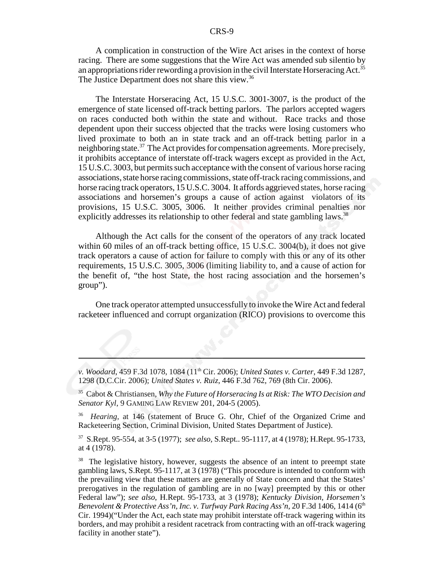A complication in construction of the Wire Act arises in the context of horse racing. There are some suggestions that the Wire Act was amended sub silentio by an appropriations rider rewording a provision in the civil Interstate Horseracing Act.<sup>35</sup> The Justice Department does not share this view.<sup>36</sup>

The Interstate Horseracing Act, 15 U.S.C. 3001-3007, is the product of the emergence of state licensed off-track betting parlors. The parlors accepted wagers on races conducted both within the state and without. Race tracks and those dependent upon their success objected that the tracks were losing customers who lived proximate to both an in state track and an off-track betting parlor in a neighboring state.<sup>37</sup> The Act provides for compensation agreements. More precisely, it prohibits acceptance of interstate off-track wagers except as provided in the Act, 15 U.S.C. 3003, but permits such acceptance with the consent of various horse racing associations, state horse racing commissions, state off-track racing commissions, and horse racing track operators, 15 U.S.C. 3004. It affords aggrieved states, horse racing associations and horsemen's groups a cause of action against violators of its provisions, 15 U.S.C. 3005, 3006. It neither provides criminal penalties nor explicitly addresses its relationship to other federal and state gambling laws.<sup>38</sup>

Although the Act calls for the consent of the operators of any track located within 60 miles of an off-track betting office, 15 U.S.C. 3004(b), it does not give track operators a cause of action for failure to comply with this or any of its other requirements, 15 U.S.C. 3005, 3006 (limiting liability to, and a cause of action for the benefit of, "the host State, the host racing association and the horsemen's group").

One track operator attempted unsuccessfully to invoke the Wire Act and federal racketeer influenced and corrupt organization (RICO) provisions to overcome this

*v. Woodard*, 459 F.3d 1078, 1084 (11<sup>th</sup> Cir. 2006); *United States v. Carter*, 449 F.3d 1287, 1298 (D.C.Cir. 2006); *United States v. Ruiz*, 446 F.3d 762, 769 (8th Cir. 2006).

35 Cabot & Christiansen, *Why the Future of Horseracing Is at Risk: The WTO Decision and Senator Kyl*, 9 GAMING LAW REVIEW 201, 204-5 (2005).

<sup>36</sup> *Hearing*, at 146 (statement of Bruce G. Ohr, Chief of the Organized Crime and Racketeering Section, Criminal Division, United States Department of Justice).

37 S.Rept. 95-554, at 3-5 (1977); *see also,* S.Rept.. 95-1117, at 4 (1978); H.Rept. 95-1733, at 4 (1978).

<sup>38</sup> The legislative history, however, suggests the absence of an intent to preempt state gambling laws, S.Rept. 95-1117, at 3 (1978) ("This procedure is intended to conform with the prevailing view that these matters are generally of State concern and that the States' prerogatives in the regulation of gambling are in no [way] preempted by this or other Federal law"); *see also*, H.Rept. 95-1733, at 3 (1978); *Kentucky Division, Horsemen's Benevolent & Protective Ass'n, Inc. v. Turfway Park Racing Ass'n, 20 F.3d 1406, 1414* (6<sup>th</sup> Cir. 1994)("Under the Act, each state may prohibit interstate off-track wagering within its borders, and may prohibit a resident racetrack from contracting with an off-track wagering facility in another state").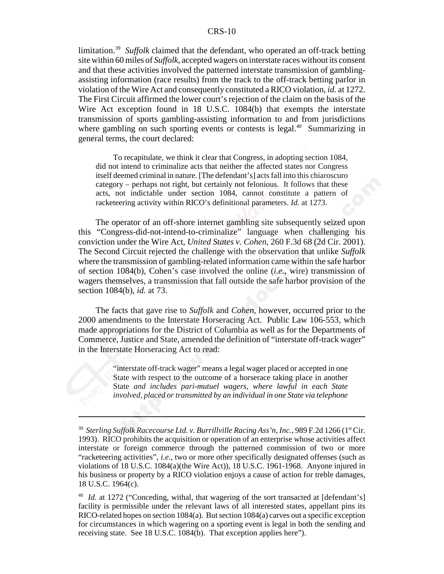limitation.<sup>39</sup> *Suffolk* claimed that the defendant, who operated an off-track betting site within 60 miles of *Suffolk*, accepted wagers on interstate races without its consent and that these activities involved the patterned interstate transmission of gamblingassisting information (race results) from the track to the off-track betting parlor in violation of the Wire Act and consequently constituted a RICO violation, *id.* at 1272. The First Circuit affirmed the lower court's rejection of the claim on the basis of the Wire Act exception found in 18 U.S.C. 1084(b) that exempts the interstate transmission of sports gambling-assisting information to and from jurisdictions where gambling on such sporting events or contests is legal.<sup>40</sup> Summarizing in general terms, the court declared:

To recapitulate, we think it clear that Congress, in adopting section 1084, did not intend to criminalize acts that neither the affected states nor Congress itself deemed criminal in nature. [The defendant's] acts fall into this chiaroscuro category – perhaps not right, but certainly not felonious. It follows that these acts, not indictable under section 1084, cannot constitute a pattern of racketeering activity within RICO's definitional parameters. *Id.* at 1273.

The operator of an off-shore internet gambling site subsequently seized upon this "Congress-did-not-intend-to-criminalize" language when challenging his conviction under the Wire Act, *United States v. Cohen*, 260 F.3d 68 (2d Cir. 2001). The Second Circuit rejected the challenge with the observation that unlike *Suffolk* where the transmission of gambling-related information came within the safe harbor of section 1084(b), Cohen's case involved the online (*i.e*., wire) transmission of wagers themselves, a transmission that fall outside the safe harbor provision of the section 1084(b), *id.* at 73.

The facts that gave rise to *Suffolk* and *Cohen*, however, occurred prior to the 2000 amendments to the Interstate Horseracing Act. Public Law 106-553, which made appropriations for the District of Columbia as well as for the Departments of Commerce, Justice and State, amended the definition of "interstate off-track wager" in the Interstate Horseracing Act to read:

> "interstate off-track wager" means a legal wager placed or accepted in one State with respect to the outcome of a horserace taking place in another State *and includes pari-mutuel wagers, where lawful in each State involved, placed or transmitted by an individual in one State via telephone*

<sup>&</sup>lt;sup>39</sup> Sterling Suffolk Racecourse Ltd. v. Burrillville Racing Ass'n, Inc., 989 F.2d 1266 (1<sup>st</sup> Cir. 1993). RICO prohibits the acquisition or operation of an enterprise whose activities affect interstate or foreign commerce through the patterned commission of two or more "racketeering activities", *i.e*., two or more other specifically designated offenses (such as violations of 18 U.S.C. 1084(a)(the Wire Act)), 18 U.S.C. 1961-1968. Anyone injured in his business or property by a RICO violation enjoys a cause of action for treble damages, 18 U.S.C. 1964(c).

<sup>&</sup>lt;sup>40</sup> *Id.* at 1272 ("Conceding, withal, that wagering of the sort transacted at [defendant's] facility is permissible under the relevant laws of all interested states, appellant pins its RICO-related hopes on section 1084(a). But section 1084(a) carves out a specific exception for circumstances in which wagering on a sporting event is legal in both the sending and receiving state. See 18 U.S.C. 1084(b). That exception applies here").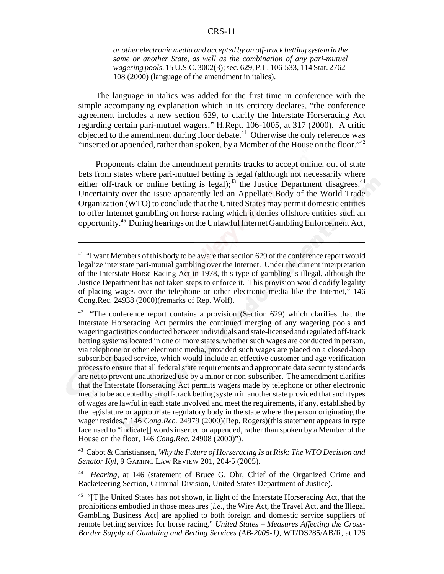*or other electronic media and accepted by an off-track betting system in the same or another State, as well as the combination of any pari-mutuel wagering pools*. 15 U.S.C. 3002(3); sec. 629, P.L. 106-533, 114 Stat. 2762- 108 (2000) (language of the amendment in italics).

The language in italics was added for the first time in conference with the simple accompanying explanation which in its entirety declares, "the conference agreement includes a new section 629, to clarify the Interstate Horseracing Act regarding certain pari-mutuel wagers," H.Rept. 106-1005, at 317 (2000). A critic objected to the amendment during floor debate.<sup>41</sup> Otherwise the only reference was "inserted or appended, rather than spoken, by a Member of the House on the floor."<sup>42</sup>

Proponents claim the amendment permits tracks to accept online, out of state bets from states where pari-mutuel betting is legal (although not necessarily where either off-track or online betting is legal); $43$  the Justice Department disagrees. $44$ Uncertainty over the issue apparently led an Appellate Body of the World Trade Organization (WTO) to conclude that the United States may permit domestic entities to offer Internet gambling on horse racing which it denies offshore entities such an opportunity.45 During hearings on the Unlawful Internet Gambling Enforcement Act,

43 Cabot & Christiansen, *Why the Future of Horseracing Is at Risk: The WTO Decision and Senator Kyl*, 9 GAMING LAW REVIEW 201, 204-5 (2005).

44 *Hearing,* at 146 (statement of Bruce G. Ohr, Chief of the Organized Crime and Racketeering Section, Criminal Division, United States Department of Justice).

<sup>&</sup>lt;sup>41</sup> "I want Members of this body to be aware that section 629 of the conference report would legalize interstate pari-mutual gambling over the Internet. Under the current interpretation of the Interstate Horse Racing Act in 1978, this type of gambling is illegal, although the Justice Department has not taken steps to enforce it. This provision would codify legality of placing wages over the telephone or other electronic media like the Internet," 146 Cong.Rec. 24938 (2000)(remarks of Rep. Wolf).

 $42$  "The conference report contains a provision (Section 629) which clarifies that the Interstate Horseracing Act permits the continued merging of any wagering pools and wagering activities conducted between individuals and state-licensed and regulated off-track betting systems located in one or more states, whether such wages are conducted in person, via telephone or other electronic media, provided such wages are placed on a closed-loop subscriber-based service, which would include an effective customer and age verification process to ensure that all federal state requirements and appropriate data security standards are net to prevent unauthorized use by a minor or non-subscriber. The amendment clarifies that the Interstate Horseracing Act permits wagers made by telephone or other electronic media to be accepted by an off-track betting system in another state provided that such types of wages are lawful in each state involved and meet the requirements, if any, established by the legislature or appropriate regulatory body in the state where the person originating the wager resides," 146 *Cong.Rec*. 24979 (2000)(Rep. Rogers)(this statement appears in type face used to "indicate<sup>[]</sup> words inserted or appended, rather than spoken by a Member of the House on the floor, 146 *Cong.Rec.* 24908 (2000)").

<sup>&</sup>lt;sup>45</sup> "[T]he United States has not shown, in light of the Interstate Horseracing Act, that the prohibitions embodied in those measures [*i.e*., the Wire Act, the Travel Act, and the Illegal Gambling Business Act] are applied to both foreign and domestic service suppliers of remote betting services for horse racing," *United States – Measures Affecting the Cross-Border Supply of Gambling and Betting Services (AB-2005-1)*, WT/DS285/AB/R, at 126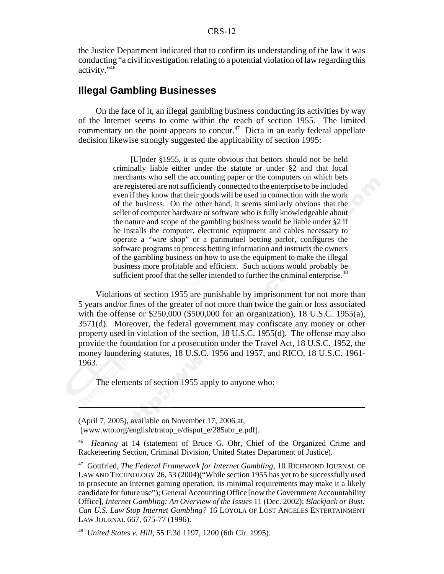the Justice Department indicated that to confirm its understanding of the law it was conducting "a civil investigation relating to a potential violation of law regarding this activity."46

## **Illegal Gambling Businesses**

On the face of it, an illegal gambling business conducting its activities by way of the Internet seems to come within the reach of section 1955. The limited commentary on the point appears to concur.<sup>47</sup> Dicta in an early federal appellate decision likewise strongly suggested the applicability of section 1995:

> [U]nder §1955, it is quite obvious that bettors should not be held criminally liable either under the statute or under §2 and that local merchants who sell the accounting paper or the computers on which bets are registered are not sufficiently connected to the enterprise to be included even if they know that their goods will be used in connection with the work of the business. On the other hand, it seems similarly obvious that the seller of computer hardware or software who is fully knowledgeable about the nature and scope of the gambling business would be liable under §2 if he installs the computer, electronic equipment and cables necessary to operate a "wire shop" or a parimutuel betting parlor, configures the software programs to process betting information and instructs the owners of the gambling business on how to use the equipment to make the illegal business more profitable and efficient. Such actions would probably be sufficient proof that the seller intended to further the criminal enterprise.<sup>48</sup>

Violations of section 1955 are punishable by imprisonment for not more than 5 years and/or fines of the greater of not more than twice the gain or loss associated with the offense or \$250,000 (\$500,000 for an organization), 18 U.S.C. 1955(a), 3571(d). Moreover, the federal government may confiscate any money or other property used in violation of the section, 18 U.S.C. 1955(d). The offense may also provide the foundation for a prosecution under the Travel Act, 18 U.S.C. 1952, the money laundering statutes, 18 U.S.C. 1956 and 1957, and RICO, 18 U.S.C. 1961- 1963.

The elements of section 1955 apply to anyone who:

<sup>(</sup>April 7, 2005), available on November 17, 2006 at, [www.wto.org/english/tratop\_e/disput\_e/285abr\_e.pdf].

<sup>46</sup> *Hearing* at 14 (statement of Bruce G. Ohr, Chief of the Organized Crime and

Racketeering Section, Criminal Division, United States Department of Justice).

<sup>47</sup> Gottfried, *The Federal Framework for Internet Gambling*, 10 RICHMOND JOURNAL OF LAW AND TECHNOLOGY 26, 53 (2004)("While section 1955 has yet to be successfully used to prosecute an Internet gaming operation, its minimal requirements may make it a likely candidate for future use"); General Accounting Office [now the Government Accountability Office], *Internet Gambling: An Overview of the Issues* 11 (Dec. 2002); *Blackjack or Bust: Can U.S. Law Stop Internet Gambling?* 16 LOYOLA OF LOST ANGELES ENTERTAINMENT LAW JOURNAL 667, 675-77 (1996).

<sup>48</sup> *United States v. Hill*, 55 F.3d 1197, 1200 (6th Cir. 1995).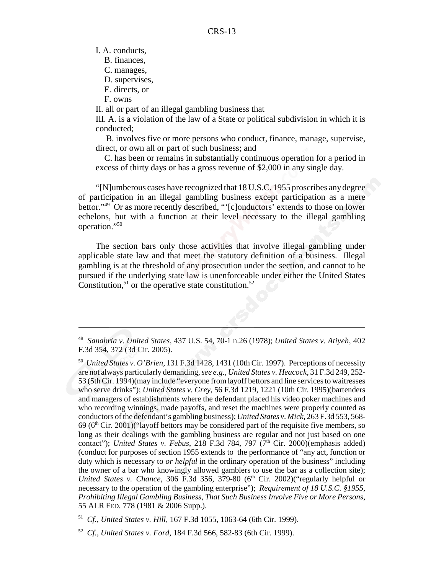I. A. conducts,

- B. finances,
- C. manages,
- D. supervises,
- E. directs, or
- F. owns

II. all or part of an illegal gambling business that

III. A. is a violation of the law of a State or political subdivision in which it is conducted;

 B. involves five or more persons who conduct, finance, manage, supervise, direct, or own all or part of such business; and

 C. has been or remains in substantially continuous operation for a period in excess of thirty days or has a gross revenue of \$2,000 in any single day.

"[N]umberous cases have recognized that 18 U.S.C. 1955 proscribes any degree of participation in an illegal gambling business except participation as a mere bettor."49 Or as more recently described, "'[c]onductors' extends to those on lower echelons, but with a function at their level necessary to the illegal gambling operation."50

The section bars only those activities that involve illegal gambling under applicable state law and that meet the statutory definition of a business. Illegal gambling is at the threshold of any prosecution under the section, and cannot to be pursued if the underlying state law is unenforceable under either the United States Constitution,<sup>51</sup> or the operative state constitution.<sup>52</sup>

<sup>49</sup> *Sanabria v. United States*, 437 U.S. 54, 70-1 n.26 (1978); *United States v. Atiyeh*, 402 F.3d 354, 372 (3d Cir. 2005).

<sup>50</sup> *United States v. O'Brien*, 131 F.3d 1428, 1431 (10th Cir. 1997). Perceptions of necessity are not always particularly demanding, *see e.g., United States v. Heacock*, 31 F.3d 249, 252- 53 (5th Cir. 1994)(may include "everyone from layoff bettors and line services to waitresses who serve drinks"); *United States v. Grey*, 56 F.3d 1219, 1221 (10th Cir. 1995)(bartenders and managers of establishments where the defendant placed his video poker machines and who recording winnings, made payoffs, and reset the machines were properly counted as conductors of the defendant's gambling business); *United States v. Mick*, 263 F.3d 553, 568-  $69$  ( $6<sup>th</sup>$  Cir. 2001)("layoff bettors may be considered part of the requisite five members, so long as their dealings with the gambling business are regular and not just based on one contact"); *United States v. Febus*, 218 F.3d 784, 797 (7<sup>th</sup> Cir. 2000)(emphasis added) (conduct for purposes of section 1955 extends to the performance of "any act, function or duty which is necessary to *or helpful* in the ordinary operation of the business" including the owner of a bar who knowingly allowed gamblers to use the bar as a collection site); *United States v. Chance*, 306 F.3d 356, 379-80 (6<sup>th</sup> Cir. 2002)("regularly helpful or necessary to the operation of the gambling enterprise"); *Requirement of 18 U.S.C. §1955, Prohibiting Illegal Gambling Business, That Such Business Involve Five or More Persons*, 55 ALR FED. 778 (1981 & 2006 Supp.).

<sup>51</sup> *Cf., United States v. Hill*, 167 F.3d 1055, 1063-64 (6th Cir. 1999).

<sup>52</sup> *Cf., United States v. Ford*, 184 F.3d 566, 582-83 (6th Cir. 1999).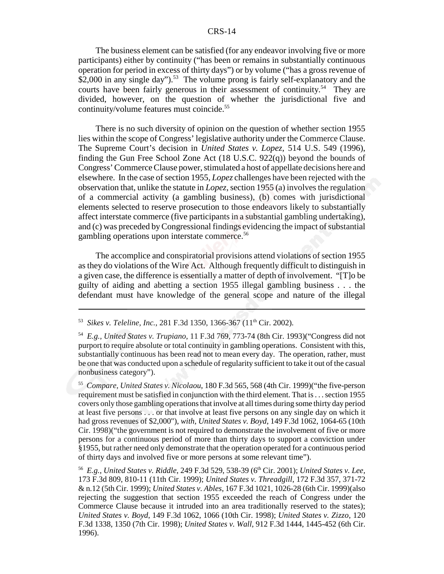The business element can be satisfied (for any endeavor involving five or more participants) either by continuity ("has been or remains in substantially continuous operation for period in excess of thirty days") or by volume ("has a gross revenue of \$2,000 in any single day").<sup>53</sup> The volume prong is fairly self-explanatory and the courts have been fairly generous in their assessment of continuity.<sup>54</sup> They are divided, however, on the question of whether the jurisdictional five and continuity/volume features must coincide.55

There is no such diversity of opinion on the question of whether section 1955 lies within the scope of Congress' legislative authority under the Commerce Clause. The Supreme Court's decision in *United States v. Lopez*, 514 U.S. 549 (1996), finding the Gun Free School Zone Act  $(18 \text{ U.S.C. } 922(q))$  beyond the bounds of Congress' Commerce Clause power, stimulated a host of appellate decisions here and elsewhere. In the case of section 1955, *Lopez* challenges have been rejected with the observation that, unlike the statute in *Lopez*, section 1955 (a) involves the regulation of a commercial activity (a gambling business), (b) comes with jurisdictional elements selected to reserve prosecution to those endeavors likely to substantially affect interstate commerce (five participants in a substantial gambling undertaking), and (c) was preceded by Congressional findings evidencing the impact of substantial gambling operations upon interstate commerce.<sup>56</sup>

The accomplice and conspiratorial provisions attend violations of section 1955 as they do violations of the Wire Act. Although frequently difficult to distinguish in a given case, the difference is essentially a matter of depth of involvement. "[T]o be guilty of aiding and abetting a section 1955 illegal gambling business . . . the defendant must have knowledge of the general scope and nature of the illegal

55 *Compare, United States v. Nicolaou*, 180 F.3d 565, 568 (4th Cir. 1999)("the five-person requirement must be satisfied in conjunction with the third element. That is . . . section 1955 covers only those gambling operations that involve at all times during some thirty day period at least five persons . . . or that involve at least five persons on any single day on which it had gross revenues of \$2,000"), *with, United States v. Boyd*, 149 F.3d 1062, 1064-65 (10th Cir. 1998)("the government is not required to demonstrate the involvement of five or more persons for a continuous period of more than thirty days to support a conviction under §1955, but rather need only demonstrate that the operation operated for a continuous period of thirty days and involved five or more persons at some relevant time").

<sup>&</sup>lt;sup>53</sup> *Sikes v. Teleline, Inc., 281 F.3d 1350, 1366-367 (11<sup>th</sup> Cir. 2002).* 

<sup>54</sup> *E.g., United States v. Trupiano*, 11 F.3d 769, 773-74 (8th Cir. 1993)("Congress did not purport to require absolute or total continuity in gambling operations. Consistent with this, substantially continuous has been read not to mean every day. The operation, rather, must be one that was conducted upon a schedule of regularity sufficient to take it out of the casual nonbusiness category").

<sup>56</sup> *E.g., United States v. Riddle*, 249 F.3d 529, 538-39 (6th Cir. 2001); *United States v. Lee,* 173 F.3d 809, 810-11 (11th Cir. 1999); *United States v. Threadgill*, 172 F.3d 357, 371-72 & n.12 (5th Cir. 1999); *United States v. Ables*, 167 F.3d 1021, 1026-28 (6th Cir. 1999)(also rejecting the suggestion that section 1955 exceeded the reach of Congress under the Commerce Clause because it intruded into an area traditionally reserved to the states); *United States v. Boyd*, 149 F.3d 1062, 1066 (10th Cir. 1998); *United States v. Zizzo*, 120 F.3d 1338, 1350 (7th Cir. 1998); *United States v. Wall*, 912 F.3d 1444, 1445-452 (6th Cir. 1996).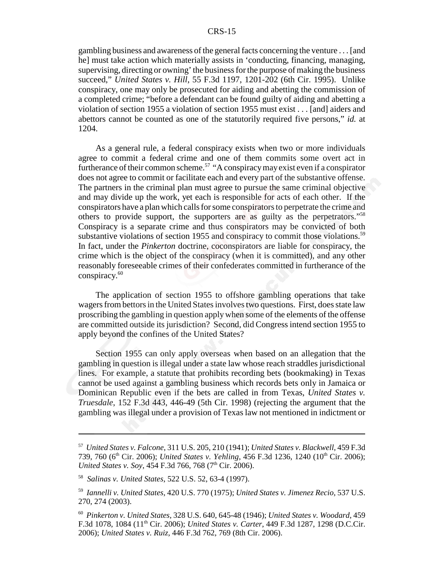gambling business and awareness of the general facts concerning the venture . . . [and he] must take action which materially assists in 'conducting, financing, managing, supervising, directing or owning' the business for the purpose of making the business succeed," *United States v. Hill*, 55 F.3d 1197, 1201-202 (6th Cir. 1995). Unlike conspiracy, one may only be prosecuted for aiding and abetting the commission of a completed crime; "before a defendant can be found guilty of aiding and abetting a violation of section 1955 a violation of section 1955 must exist . . . [and] aiders and abettors cannot be counted as one of the statutorily required five persons," *id.* at 1204.

As a general rule, a federal conspiracy exists when two or more individuals agree to commit a federal crime and one of them commits some overt act in furtherance of their common scheme.<sup>57</sup> "A conspiracy may exist even if a conspirator does not agree to commit or facilitate each and every part of the substantive offense. The partners in the criminal plan must agree to pursue the same criminal objective and may divide up the work, yet each is responsible for acts of each other. If the conspirators have a plan which calls for some conspirators to perpetrate the crime and others to provide support, the supporters are as guilty as the perpetrators."58 Conspiracy is a separate crime and thus conspirators may be convicted of both substantive violations of section 1955 and conspiracy to commit those violations.<sup>59</sup> In fact, under the *Pinkerton* doctrine, coconspirators are liable for conspiracy, the crime which is the object of the conspiracy (when it is committed), and any other reasonably foreseeable crimes of their confederates committed in furtherance of the conspiracy.<sup>60</sup>

The application of section 1955 to offshore gambling operations that take wagers from bettors in the United States involves two questions. First, does state law proscribing the gambling in question apply when some of the elements of the offense are committed outside its jurisdiction? Second, did Congress intend section 1955 to apply beyond the confines of the United States?

Section 1955 can only apply overseas when based on an allegation that the gambling in question is illegal under a state law whose reach straddles jurisdictional lines. For example, a statute that prohibits recording bets (bookmaking) in Texas cannot be used against a gambling business which records bets only in Jamaica or Dominican Republic even if the bets are called in from Texas, *United States v. Truesdale*, 152 F.3d 443, 446-49 (5th Cir. 1998) (rejecting the argument that the gambling was illegal under a provision of Texas law not mentioned in indictment or

<sup>57</sup> *United States v. Falcone*, 311 U.S. 205, 210 (1941); *United States v. Blackwell*, 459 F.3d 739, 760 (6<sup>th</sup> Cir. 2006); *United States v. Yehling*, 456 F.3d 1236, 1240 (10<sup>th</sup> Cir. 2006); *United States v. Soy,* 454 F.3d 766, 768 (7<sup>th</sup> Cir. 2006).

<sup>58</sup> *Salinas v. United States*, 522 U.S. 52, 63-4 (1997).

<sup>59</sup> *Iannelli v. United States*, 420 U.S. 770 (1975); *United States v. Jimenez Recio*, 537 U.S. 270, 274 (2003).

<sup>60</sup> *Pinkerton v. United States,* 328 U.S. 640, 645-48 (1946); *United States v. Woodard*, 459 F.3d 1078, 1084 (11th Cir. 2006); *United States v. Carter*, 449 F.3d 1287, 1298 (D.C.Cir. 2006); *United States v. Ruiz*, 446 F.3d 762, 769 (8th Cir. 2006).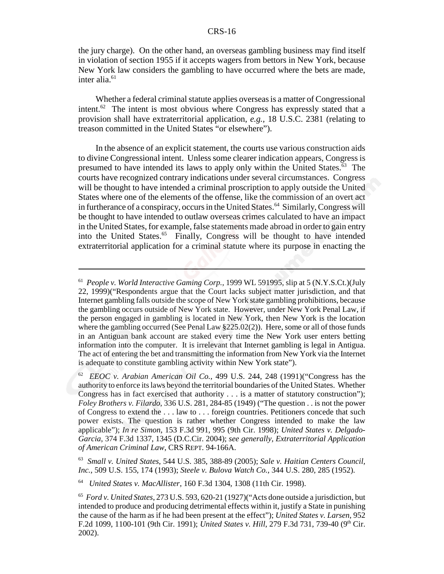the jury charge). On the other hand, an overseas gambling business may find itself in violation of section 1955 if it accepts wagers from bettors in New York, because New York law considers the gambling to have occurred where the bets are made, inter alia.<sup>61</sup>

Whether a federal criminal statute applies overseas is a matter of Congressional intent.<sup>62</sup> The intent is most obvious where Congress has expressly stated that a provision shall have extraterritorial application, *e.g.,* 18 U.S.C. 2381 (relating to treason committed in the United States "or elsewhere").

In the absence of an explicit statement, the courts use various construction aids to divine Congressional intent. Unless some clearer indication appears, Congress is presumed to have intended its laws to apply only within the United States.<sup>63</sup> The courts have recognized contrary indications under several circumstances. Congress will be thought to have intended a criminal proscription to apply outside the United States where one of the elements of the offense, like the commission of an overt act in furtherance of a conspiracy, occurs in the United States.<sup>64</sup> Similarly, Congress will be thought to have intended to outlaw overseas crimes calculated to have an impact in the United States, for example, false statements made abroad in order to gain entry into the United States.<sup>65</sup> Finally, Congress will be thought to have intended extraterritorial application for a criminal statute where its purpose in enacting the

<sup>61</sup> *People v. World Interactive Gaming Corp.*, 1999 WL 591995, slip at 5 (N.Y.S.Ct.)(July 22, 1999)("Respondents argue that the Court lacks subject matter jurisdiction, and that Internet gambling falls outside the scope of New York state gambling prohibitions, because the gambling occurs outside of New York state. However, under New York Penal Law, if the person engaged in gambling is located in New York, then New York is the location where the gambling occurred (See Penal Law  $\S225.02(2)$ ). Here, some or all of those funds in an Antiguan bank account are staked every time the New York user enters betting information into the computer. It is irrelevant that Internet gambling is legal in Antigua. The act of entering the bet and transmitting the information from New York via the Internet is adequate to constitute gambling activity within New York state").

<sup>62</sup> *EEOC v. Arabian American Oil Co.*, 499 U.S. 244, 248 (1991)("Congress has the authority to enforce its laws beyond the territorial boundaries of the United States. Whether Congress has in fact exercised that authority . . . is a matter of statutory construction"); *Foley Brothers v. Filardo*, 336 U.S. 281, 284-85 (1949) ("The question . . is not the power of Congress to extend the . . . law to . . . foreign countries. Petitioners concede that such power exists. The question is rather whether Congress intended to make the law applicable"); *In re Simon*, 153 F.3d 991, 995 (9th Cir. 1998); *United States v. Delgado-Garcia*, 374 F.3d 1337, 1345 (D.C.Cir. 2004); *see generally, Extraterritorial Application of American Criminal Law*, CRS REPT. 94-166A.

<sup>63</sup> *Small v. United States*, 544 U.S. 385, 388-89 (2005); *Sale v. Haitian Centers Council, Inc.*, 509 U.S. 155, 174 (1993); *Steele v. Bulova Watch Co.*, 344 U.S. 280, 285 (1952).

<sup>64</sup> *United States v. MacAllister*, 160 F.3d 1304, 1308 (11th Cir. 1998).

<sup>65</sup> *Ford v. United States*, 273 U.S. 593, 620-21 (1927)("Acts done outside a jurisdiction, but intended to produce and producing detrimental effects within it, justify a State in punishing the cause of the harm as if he had been present at the effect"); *United States v. Larsen*, 952 F.2d 1099, 1100-101 (9th Cir. 1991); *United States v. Hill*, 279 F.3d 731, 739-40 (9<sup>th</sup> Cir. 2002).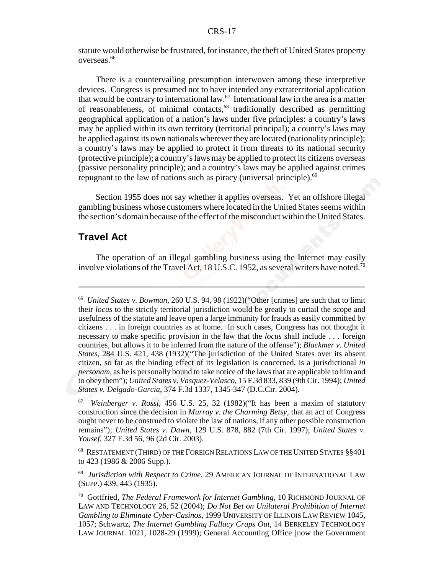statute would otherwise be frustrated, for instance, the theft of United States property overseas.66

There is a countervailing presumption interwoven among these interpretive devices. Congress is presumed not to have intended any extraterritorial application that would be contrary to international law.<sup>67</sup> International law in the area is a matter of reasonableness, of minimal contacts, $68$  traditionally described as permitting geographical application of a nation's laws under five principles: a country's laws may be applied within its own territory (territorial principal); a country's laws may be applied against its own nationals wherever they are located (nationality principle); a country's laws may be applied to protect it from threats to its national security (protective principle); a country's laws may be applied to protect its citizens overseas (passive personality principle); and a country's laws may be applied against crimes repugnant to the law of nations such as piracy (universal principle).<sup>69</sup>

Section 1955 does not say whether it applies overseas. Yet an offshore illegal gambling business whose customers where located in the United States seems within the section's domain because of the effect of the misconduct within the United States.

## **Travel Act**

The operation of an illegal gambling business using the Internet may easily involve violations of the Travel Act, 18 U.S.C. 1952, as several writers have noted.<sup>70</sup>

67 *Weinberger v. Rossi*, 456 U.S. 25, 32 (1982)("It has been a maxim of statutory construction since the decision in *Murray v. the Charming Betsy*, that an act of Congress ought never to be construed to violate the law of nations, if any other possible construction remains"); *United States v. Dawn*, 129 U.S. 878, 882 (7th Cir. 1997); *United States v. Yousef*, 327 F.3d 56, 96 (2d Cir. 2003).

68 RESTATEMENT (THIRD) OF THE FOREIGN RELATIONS LAW OF THE UNITED STATES §§401 to 423 (1986 & 2006 Supp.).

69 *Jurisdiction with Respect to Crime*, 29 AMERICAN JOURNAL OF INTERNATIONAL LAW (SUPP.) 439, 445 (1935).

<sup>66</sup> *United States v. Bowman*, 260 U.S. 94, 98 (1922)("Other [crimes] are such that to limit their *locus* to the strictly territorial jurisdiction would be greatly to curtail the scope and usefulness of the statute and leave open a large immunity for frauds as easily committed by citizens . . . in foreign countries as at home. In such cases, Congress has not thought it necessary to make specific provision in the law that the *locus* shall include . . . foreign countries, but allows it to be inferred from the nature of the offense"); *Blackmer v. United States*, 284 U.S. 421, 438 (1932)("The jurisdiction of the United States over its absent citizen, so far as the binding effect of its legislation is concerned, is a jurisdictional *in personam*, as he is personally bound to take notice of the laws that are applicable to him and to obey them"); *United States v. Vasquez-Velasco*, 15 F.3d 833, 839 (9th Cir. 1994); *United States v. Delgado-Garcia*, 374 F.3d 1337, 1345-347 (D.C.Cir. 2004).

<sup>70</sup> Gottfried, *The Federal Framework for Internet Gambling*, 10 RICHMOND JOURNAL OF LAW AND TECHNOLOGY 26, 52 (2004); *Do Not Bet on Unilateral Prohibition of Internet Gambling to Eliminate Cyber-Casinos*, 1999 UNIVERSITY OF ILLINOIS LAW REVIEW 1045, 1057; Schwartz, *The Internet Gambling Fallacy Craps Out*, 14 BERKELEY TECHNOLOGY LAW JOURNAL 1021, 1028-29 (1999); General Accounting Office [now the Government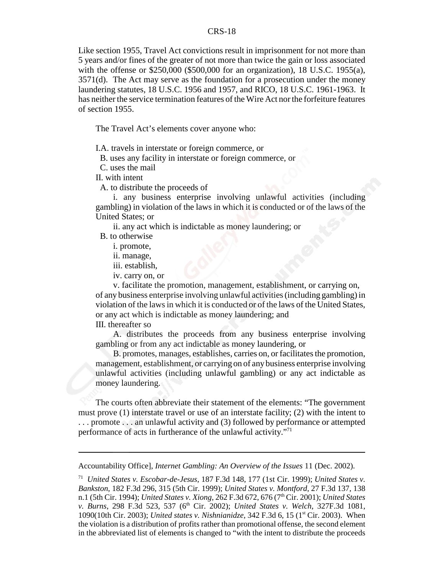Like section 1955, Travel Act convictions result in imprisonment for not more than 5 years and/or fines of the greater of not more than twice the gain or loss associated with the offense or \$250,000 (\$500,000 for an organization), 18 U.S.C. 1955(a), 3571(d). The Act may serve as the foundation for a prosecution under the money laundering statutes, 18 U.S.C. 1956 and 1957, and RICO, 18 U.S.C. 1961-1963. It has neither the service termination features of the Wire Act nor the forfeiture features of section 1955.

The Travel Act's elements cover anyone who:

I.A. travels in interstate or foreign commerce, or

B. uses any facility in interstate or foreign commerce, or

C. uses the mail

II. with intent

A. to distribute the proceeds of

i. any business enterprise involving unlawful activities (including gambling) in violation of the laws in which it is conducted or of the laws of the United States; or

ii. any act which is indictable as money laundering; or

B. to otherwise

i. promote,

ii. manage,

iii. establish,

iv. carry on, or

v. facilitate the promotion, management, establishment, or carrying on, of any business enterprise involving unlawful activities (including gambling) in violation of the laws in which it is conducted or of the laws of the United States, or any act which is indictable as money laundering; and

III. thereafter so

A. distributes the proceeds from any business enterprise involving gambling or from any act indictable as money laundering, or

B. promotes, manages, establishes, carries on, or facilitates the promotion, management, establishment, or carrying on of any business enterprise involving unlawful activities (including unlawful gambling) or any act indictable as money laundering.

The courts often abbreviate their statement of the elements: "The government must prove (1) interstate travel or use of an interstate facility; (2) with the intent to . . . promote . . . an unlawful activity and (3) followed by performance or attempted performance of acts in furtherance of the unlawful activity."<sup>71</sup>

Accountability Office], *Internet Gambling: An Overview of the Issues* 11 (Dec. 2002).

<sup>71</sup> *United States v. Escobar-de-Jesus*, 187 F.3d 148, 177 (1st Cir. 1999); *United States v. Bankston*, 182 F.3d 296, 315 (5th Cir. 1999); *United States v. Montford*, 27 F.3d 137, 138 n.1 (5th Cir. 1994); *United States v. Xiong*, 262 F.3d 672, 676 (7th Cir. 2001); *United States v. Burns*, 298 F.3d 523, 537 (6<sup>th</sup> Cir. 2002); *United States v. Welch*, 327F.3d 1081, 1090(10th Cir. 2003); *United states v. Nishnianidze*, 342 F.3d 6, 15 (1st Cir. 2003). When the violation is a distribution of profits rather than promotional offense, the second element in the abbreviated list of elements is changed to "with the intent to distribute the proceeds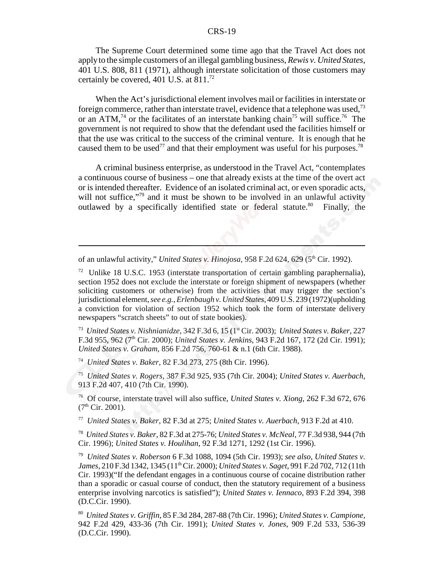The Supreme Court determined some time ago that the Travel Act does not apply to the simple customers of an illegal gambling business, *Rewis v. United States*, 401 U.S. 808, 811 (1971), although interstate solicitation of those customers may certainly be covered, 401 U.S. at 811.72

When the Act's jurisdictional element involves mail or facilities in interstate or foreign commerce, rather than interstate travel, evidence that a telephone was used.<sup>73</sup> or an ATM,<sup>74</sup> or the facilitates of an interstate banking chain<sup>75</sup> will suffice.<sup>76</sup> The government is not required to show that the defendant used the facilities himself or that the use was critical to the success of the criminal venture. It is enough that he caused them to be used<sup>77</sup> and that their employment was useful for his purposes.<sup>78</sup>

A criminal business enterprise, as understood in the Travel Act, "contemplates a continuous course of business – one that already exists at the time of the overt act or is intended thereafter. Evidence of an isolated criminal act, or even sporadic acts, will not suffice,"<sup>79</sup> and it must be shown to be involved in an unlawful activity outlawed by a specifically identified state or federal statute.<sup>80</sup> Finally, the

of an unlawful activity," *United States v. Hinojosa*, 958 F.2d 624, 629 (5<sup>th</sup> Cir. 1992).

<sup>73</sup> *United States v. Nishnianidze, 342 F.3d 6, 15 (1<sup>st</sup> Cir. 2003); <i>United States v. Baker, 227* F.3d 955, 962 (7th Cir. 2000); *United States v. Jenkins*, 943 F.2d 167, 172 (2d Cir. 1991); *United States v. Graham*, 856 F.2d 756, 760-61 & n.1 (6th Cir. 1988).

74 *United States v. Baker*, 82 F.3d 273, 275 (8th Cir. 1996).

75 *United States v. Rogers*, 387 F.3d 925, 935 (7th Cir. 2004); *United States v. Auerbach*, 913 F.2d 407, 410 (7th Cir. 1990).

76 Of course, interstate travel will also suffice, *United States v. Xiong*, 262 F.3d 672, 676  $(7<sup>th</sup> Cir. 2001)$ .

77 *United States v. Baker*, 82 F.3d at 275; *United States v. Auerbach*, 913 F.2d at 410.

78 *United States v. Baker*, 82 F.3d at 275-76; *United States v. McNeal*, 77 F.3d 938, 944 (7th Cir. 1996); *United States v. Houlihan*, 92 F.3d 1271, 1292 (1st Cir. 1996).

79 *United States v. Roberson* 6 F.3d 1088, 1094 (5th Cir. 1993); *see also*, *United States v.* James, 210 F.3d 1342, 1345 (11<sup>th</sup> Cir. 2000); *United States v. Saget*, 991 F.2d 702, 712 (11th Cir. 1993)("If the defendant engages in a continuous course of cocaine distribution rather than a sporadic or casual course of conduct, then the statutory requirement of a business enterprise involving narcotics is satisfied"); *United States v. Iennaco*, 893 F.2d 394, 398 (D.C.Cir. 1990).

80 *United States v. Griffin*, 85 F.3d 284, 287-88 (7th Cir. 1996); *United States v. Campione*, 942 F.2d 429, 433-36 (7th Cir. 1991); *United States v. Jones*, 909 F.2d 533, 536-39 (D.C.Cir. 1990).

 $72$  Unlike 18 U.S.C. 1953 (interstate transportation of certain gambling paraphernalia), section 1952 does not exclude the interstate or foreign shipment of newspapers (whether soliciting customers or otherwise) from the activities that may trigger the section's jurisdictional element, *see e.g.*, *Erlenbaugh v. United States*, 409 U.S. 239 (1972)(upholding a conviction for violation of section 1952 which took the form of interstate delivery newspapers "scratch sheets" to out of state bookies).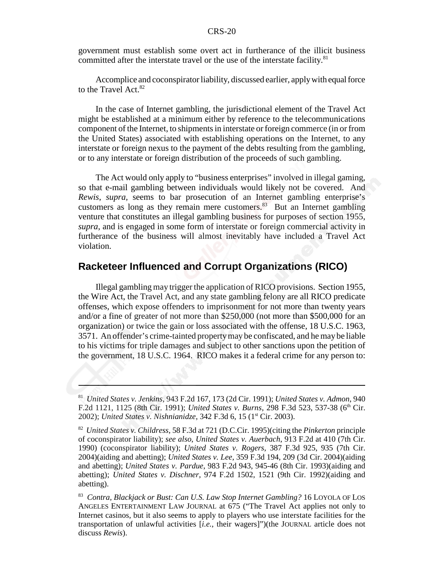government must establish some overt act in furtherance of the illicit business committed after the interstate travel or the use of the interstate facility.<sup>81</sup>

Accomplice and coconspirator liability, discussed earlier, apply with equal force to the Travel Act.<sup>82</sup>

In the case of Internet gambling, the jurisdictional element of the Travel Act might be established at a minimum either by reference to the telecommunications component of the Internet, to shipments in interstate or foreign commerce (in or from the United States) associated with establishing operations on the Internet, to any interstate or foreign nexus to the payment of the debts resulting from the gambling, or to any interstate or foreign distribution of the proceeds of such gambling.

The Act would only apply to "business enterprises" involved in illegal gaming, so that e-mail gambling between individuals would likely not be covered. And *Rewis*, *supra,* seems to bar prosecution of an Internet gambling enterprise's customers as long as they remain mere customers.<sup>83</sup> But an Internet gambling venture that constitutes an illegal gambling business for purposes of section 1955, *supra*, and is engaged in some form of interstate or foreign commercial activity in furtherance of the business will almost inevitably have included a Travel Act violation.

## **Racketeer Influenced and Corrupt Organizations (RICO)**

Illegal gambling may trigger the application of RICO provisions. Section 1955, the Wire Act, the Travel Act, and any state gambling felony are all RICO predicate offenses, which expose offenders to imprisonment for not more than twenty years and/or a fine of greater of not more than \$250,000 (not more than \$500,000 for an organization) or twice the gain or loss associated with the offense, 18 U.S.C. 1963, 3571. An offender's crime-tainted property may be confiscated, and he may be liable to his victims for triple damages and subject to other sanctions upon the petition of the government, 18 U.S.C. 1964. RICO makes it a federal crime for any person to:

<sup>81</sup> *United States v. Jenkins*, 943 F.2d 167, 173 (2d Cir. 1991); *United States v. Admon*, 940 F.2d 1121, 1125 (8th Cir. 1991); *United States v. Burns*, 298 F.3d 523, 537-38 (6<sup>th</sup> Cir. 2002); *United States v. Nishnianidze*, 342 F.3d 6, 15 (1<sup>st</sup> Cir. 2003).

<sup>82</sup> *United States v. Childress*, 58 F.3d at 721 (D.C.Cir. 1995)(citing the *Pinkerton* principle of coconspirator liability); *see also*, *United States v. Auerbach*, 913 F.2d at 410 (7th Cir. 1990) (coconspirator liability); *United States v. Rogers*, 387 F.3d 925, 935 (7th Cir. 2004)(aiding and abetting); *United States v. Lee*, 359 F.3d 194, 209 (3d Cir. 2004)(aiding and abetting); *United States v. Pardue*, 983 F.2d 943, 945-46 (8th Cir. 1993)(aiding and abetting); *United States v. Dischner*, 974 F.2d 1502, 1521 (9th Cir. 1992)(aiding and abetting).

<sup>83</sup> *Contra, Blackjack or Bust: Can U.S. Law Stop Internet Gambling?* 16 LOYOLA OF LOS ANGELES ENTERTAINMENT LAW JOURNAL at 675 ("The Travel Act applies not only to Internet casinos, but it also seems to apply to players who use interstate facilities for the transportation of unlawful activities [*i.e.*, their wagers]")(the JOURNAL article does not discuss *Rewis*).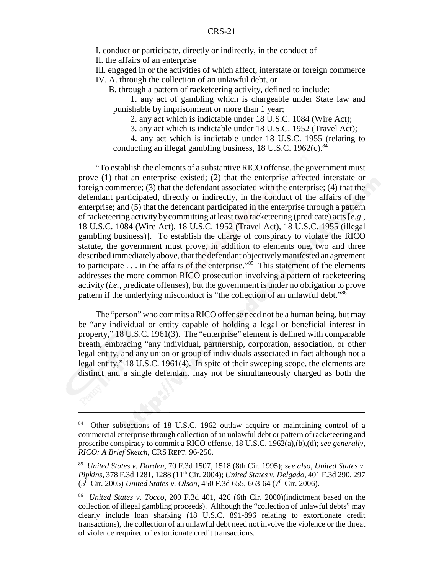I. conduct or participate, directly or indirectly, in the conduct of

II. the affairs of an enterprise

III. engaged in or the activities of which affect, interstate or foreign commerce IV. A. through the collection of an unlawful debt, or

B. through a pattern of racketeering activity, defined to include:

1. any act of gambling which is chargeable under State law and punishable by imprisonment or more than 1 year;

2. any act which is indictable under 18 U.S.C. 1084 (Wire Act);

3. any act which is indictable under 18 U.S.C. 1952 (Travel Act);

4. any act which is indictable under 18 U.S.C. 1955 (relating to conducting an illegal gambling business,  $18$  U.S.C.  $1962(c)$ .<sup>84</sup>

"To establish the elements of a substantive RICO offense, the government must prove (1) that an enterprise existed; (2) that the enterprise affected interstate or foreign commerce; (3) that the defendant associated with the enterprise; (4) that the defendant participated, directly or indirectly, in the conduct of the affairs of the enterprise; and (5) that the defendant participated in the enterprise through a pattern of racketeering activity by committing at least two racketeering (predicate) acts [*e.g*., 18 U.S.C. 1084 (Wire Act), 18 U.S.C. 1952 (Travel Act), 18 U.S.C. 1955 (illegal gambling business)]. To establish the charge of conspiracy to violate the RICO statute, the government must prove, in addition to elements one, two and three described immediately above, that the defendant objectively manifested an agreement to participate  $\dots$  in the affairs of the enterprise.<sup>85</sup> This statement of the elements addresses the more common RICO prosecution involving a pattern of racketeering activity (*i.e.*, predicate offenses), but the government is under no obligation to prove pattern if the underlying misconduct is "the collection of an unlawful debt."86

The "person" who commits a RICO offense need not be a human being, but may be "any individual or entity capable of holding a legal or beneficial interest in property," 18 U.S.C. 1961(3). The "enterprise" element is defined with comparable breath, embracing "any individual, partnership, corporation, association, or other legal entity, and any union or group of individuals associated in fact although not a legal entity," 18 U.S.C. 1961(4). In spite of their sweeping scope, the elements are distinct and a single defendant may not be simultaneously charged as both the

<sup>84</sup> Other subsections of 18 U.S.C. 1962 outlaw acquire or maintaining control of a commercial enterprise through collection of an unlawful debt or pattern of racketeering and proscribe conspiracy to commit a RICO offense, 18 U.S.C. 1962(a),(b),(d); *see generally, RICO: A Brief Sketch*, CRS REPT. 96-250.

<sup>85</sup> *United States v. Darden*, 70 F.3d 1507, 1518 (8th Cir. 1995); *see also*, *United States v. Pipkins*, 378 F.3d 1281, 1288 (11th Cir. 2004); *United States v. Delgado*, 401 F.3d 290, 297 (5<sup>th</sup> Cir. 2005) *United States v. Olson*, 450 F.3d 655, 663-64 (7<sup>th</sup> Cir. 2006).

<sup>86</sup> *United States v. Tocco*, 200 F.3d 401, 426 (6th Cir. 2000)(indictment based on the collection of illegal gambling proceeds). Although the "collection of unlawful debts" may clearly include loan sharking (18 U.S.C. 891-896 relating to extortionate credit transactions), the collection of an unlawful debt need not involve the violence or the threat of violence required of extortionate credit transactions.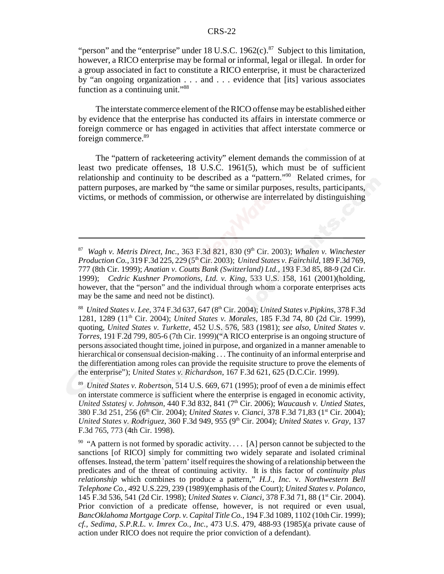"person" and the "enterprise" under 18 U.S.C. 1962(c). $87$  Subject to this limitation, however, a RICO enterprise may be formal or informal, legal or illegal. In order for a group associated in fact to constitute a RICO enterprise, it must be characterized by "an ongoing organization . . . and . . . evidence that [its] various associates function as a continuing unit."88

The interstate commerce element of the RICO offense may be established either by evidence that the enterprise has conducted its affairs in interstate commerce or foreign commerce or has engaged in activities that affect interstate commerce or foreign commerce.<sup>89</sup>

The "pattern of racketeering activity" element demands the commission of at least two predicate offenses, 18 U.S.C. 1961(5), which must be of sufficient relationship and continuity to be described as a "pattern."90 Related crimes, for pattern purposes, are marked by "the same or similar purposes, results, participants, victims, or methods of commission, or otherwise are interrelated by distinguishing

89 *United States v. Robertson*, 514 U.S. 669, 671 (1995); proof of even a de minimis effect on interstate commerce is sufficient where the enterprise is engaged in economic activity, *United Sstatesj v. Johnson*, 440 F.3d 832, 841 (7th Cir. 2006); *Waucaush v. Untied States*, 380 F.3d 251, 256 (6th Cir. 2004); *United States v. Cianci*, 378 F.3d 71,83 (1st Cir. 2004); *United States v. Rodriguez, 360 F.3d 949, 955 (9<sup>th</sup> Cir. 2004); <i>United States v. Gray, 137* F.3d 765, 773 (4th Cir. 1998).

<sup>&</sup>lt;sup>87</sup> *Wagh v. Metris Direct, Inc., 363 F.3d 821, 830 (9th Cir. 2003); Whalen v. Winchester Production Co.,* 319 F.3d 225, 229 (5th Cir. 2003); *United States v. Fairchild*, 189 F.3d 769, 777 (8th Cir. 1999); *Anatian v. Coutts Bank (Switzerland) Ltd.*, 193 F.3d 85, 88-9 (2d Cir. 1999); *Cedric Kushner Promotions, Ltd. v. King*, 533 U.S. 158, 161 (2001)(holding, however, that the "person" and the individual through whom a corporate enterprises acts may be the same and need not be distinct).

<sup>88</sup> *United States v. Lee*, 374 F.3d 637, 647 (8th Cir. 2004); *United States v.Pipkins*, 378 F.3d 1281, 1289 (11th Cir. 2004); *United States v. Morales*, 185 F.3d 74, 80 (2d Cir. 1999), quoting, *United States v. Turkette*, 452 U.S. 576, 583 (1981); *see also, United States v. Torres*, 191 F.2d 799, 805-6 (7th Cir. 1999)("A RICO enterprise is an ongoing structure of persons associated thought time, joined in purpose, and organized in a manner amenable to hierarchical or consensual decision-making . . . The continuity of an informal enterprise and the differentiation among roles can provide the requisite structure to prove the elements of the enterprise"); *United States v. Richardson*, 167 F.3d 621, 625 (D.C.Cir. 1999).

<sup>&</sup>lt;sup>90</sup> "A pattern is not formed by sporadic activity.... [A] person cannot be subjected to the sanctions [of RICO] simply for committing two widely separate and isolated criminal offenses. Instead, the term `pattern' itself requires the showing of a relationship between the predicates and of the threat of continuing activity. It is this factor of *continuity plus relationship* which combines to produce a pattern," *H.J., Inc.* v. *Northwestern Bell Telephone Co.*, 492 U.S.229, 239 (1989)(emphasis of the Court); *United States v. Polanco*, 145 F.3d 536, 541 (2d Cir. 1998); *United States v. Cianci*, 378 F.3d 71, 88 (1st Cir. 2004). Prior conviction of a predicate offense, however, is not required or even usual, *BancOklahoma Mortgage Corp. v. Capital Title Co.*, 194 F.3d 1089, 1102 (10th Cir. 1999); *cf., Sedima, S.P.R.L. v. Imrex Co., Inc.*, 473 U.S. 479, 488-93 (1985)(a private cause of action under RICO does not require the prior conviction of a defendant).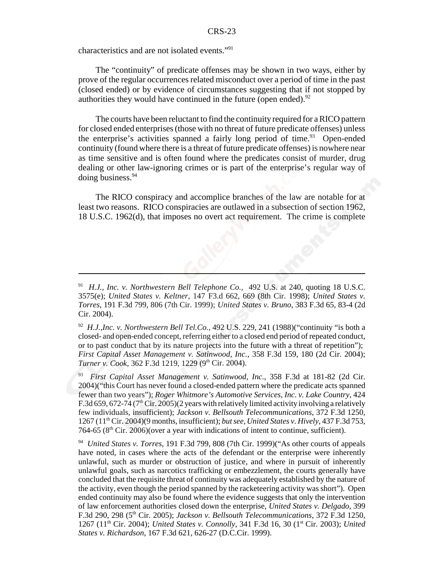characteristics and are not isolated events."91

The "continuity" of predicate offenses may be shown in two ways, either by prove of the regular occurrences related misconduct over a period of time in the past (closed ended) or by evidence of circumstances suggesting that if not stopped by authorities they would have continued in the future (open ended).  $92$ 

The courts have been reluctant to find the continuity required for a RICO pattern for closed ended enterprises (those with no threat of future predicate offenses) unless the enterprise's activities spanned a fairly long period of time.<sup>93</sup> Open-ended continuity (found where there is a threat of future predicate offenses) is nowhere near as time sensitive and is often found where the predicates consist of murder, drug dealing or other law-ignoring crimes or is part of the enterprise's regular way of doing business.<sup>94</sup>

The RICO conspiracy and accomplice branches of the law are notable for at least two reasons. RICO conspiracies are outlawed in a subsection of section 1962, 18 U.S.C. 1962(d), that imposes no overt act requirement. The crime is complete

<sup>91</sup> *H.J., Inc. v. Northwestern Bell Telephone Co.,* 492 U.S. at 240, quoting 18 U.S.C. 3575(e); *United States v. Keltner*, 147 F3.d 662, 669 (8th Cir. 1998); *United States v. Torres*, 191 F.3d 799, 806 (7th Cir. 1999); *United States v. Bruno*, 383 F.3d 65, 83-4 (2d Cir. 2004).

<sup>92</sup> *H.J.,Inc. v. Northwestern Bell Tel.Co.*, 492 U.S. 229, 241 (1988)("continuity "is both a closed- and open-ended concept, referring either to a closed end period of repeated conduct, or to past conduct that by its nature projects into the future with a threat of repetition"); *First Capital Asset Management v. Satinwood, Inc.*, 358 F.3d 159, 180 (2d Cir. 2004); *Turner v. Cook*, 362 F.3d 1219, 1229 (9<sup>th</sup> Cir. 2004).

<sup>93</sup> *First Capital Asset Management v. Satinwood, Inc.*, 358 F.3d at 181-82 (2d Cir. 2004)("this Court has never found a closed-ended pattern where the predicate acts spanned fewer than two years"); *Roger Whitmore's Automotive Services, Inc. v. Lake Country*, 424 F.3d 659, 672-74 ( $7<sup>th</sup>$  Cir. 2005)(2 years with relatively limited activity involving a relatively few individuals, insufficient); *Jackson v. Bellsouth Telecommunications*, 372 F.3d 1250, 1267 (11th Cir. 2004)(9 months, insufficient); *but see*, *United States v. Hively*, 437 F.3d 753, 764-65 ( $8<sup>th</sup>$  Cir. 2006)(over a year with indications of intent to continue, sufficient).

<sup>94</sup> *United States v. Torres*, 191 F.3d 799, 808 (7th Cir. 1999)("As other courts of appeals have noted, in cases where the acts of the defendant or the enterprise were inherently unlawful, such as murder or obstruction of justice, and where in pursuit of inherently unlawful goals, such as narcotics trafficking or embezzlement, the courts generally have concluded that the requisite threat of continuity was adequately established by the nature of the activity, even though the period spanned by the racketeering activity was short"). Open ended continuity may also be found where the evidence suggests that only the intervention of law enforcement authorities closed down the enterprise, *United States v. Delgado*, 399 F.3d 290, 298 (5th Cir. 2005); *Jackson v. Bellsouth Telecommunications*, 372 F.3d 1250, 1267 (11th Cir. 2004); *United States v. Connolly*, 341 F.3d 16, 30 (1st Cir. 2003); *United States v. Richardson*, 167 F.3d 621, 626-27 (D.C.Cir. 1999).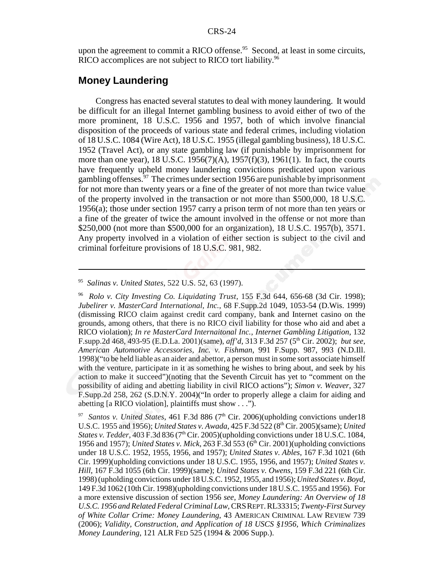upon the agreement to commit a RICO offense.<sup>95</sup> Second, at least in some circuits, RICO accomplices are not subject to RICO tort liability.<sup>96</sup>

## **Money Laundering**

Congress has enacted several statutes to deal with money laundering. It would be difficult for an illegal Internet gambling business to avoid either of two of the more prominent, 18 U.S.C. 1956 and 1957, both of which involve financial disposition of the proceeds of various state and federal crimes, including violation of 18 U.S.C. 1084 (Wire Act), 18 U.S.C. 1955 (illegal gambling business), 18 U.S.C. 1952 (Travel Act), or any state gambling law (if punishable by imprisonment for more than one year), 18 U.S.C. 1956(7)(A), 1957(f)(3), 1961(1). In fact, the courts have frequently upheld money laundering convictions predicated upon various gambling offenses. $97$  The crimes under section 1956 are punishable by imprisonment for not more than twenty years or a fine of the greater of not more than twice value of the property involved in the transaction or not more than \$500,000, 18 U.S.C. 1956(a); those under section 1957 carry a prison term of not more than ten years or a fine of the greater of twice the amount involved in the offense or not more than \$250,000 (not more than \$500,000 for an organization), 18 U.S.C. 1957(b), 3571. Any property involved in a violation of either section is subject to the civil and criminal forfeiture provisions of 18 U.S.C. 981, 982.

95 *Salinas v. United States*, 522 U.S. 52, 63 (1997).

<sup>96</sup> *Rolo v. City Investing Co. Liquidating Trust*, 155 F.3d 644, 656-68 (3d Cir. 1998); *Jubelirer v. MasterCard International, Inc.*, 68 F.Supp.2d 1049, 1053-54 (D.Wis. 1999) (dismissing RICO claim against credit card company, bank and Internet casino on the grounds, among others, that there is no RICO civil liability for those who aid and abet a RICO violation); *In re MasterCard Internaitonal Inc., Internet Gambling Litigation*, 132 F.supp.2d 468, 493-95 (E.D.La. 2001)(same), *aff'd*, 313 F.3d 257 (5th Cir. 2002); *but see, American Automotive Accessories, Inc. v. Fishman*, 991 F.Supp. 987, 993 (N.D.Ill. 1998)("to be held liable as an aider and abettor, a person must in some sort associate himself with the venture, participate in it as something he wishes to bring about, and seek by his action to make it succeed")(noting that the Seventh Circuit has yet to "comment on the possibility of aiding and abetting liability in civil RICO actions"); *Simon v. Weaver*, 327 F.Supp.2d 258, 262 (S.D.N.Y. 2004)("In order to properly allege a claim for aiding and abetting [a RICO violation], plaintiffs must show . . .").

<sup>&</sup>lt;sup>97</sup> *Santos v. United States*, 461 F.3d 886 (7<sup>th</sup> Cir. 2006)(upholding convictions under18 U.S.C. 1955 and 1956); *United States v. Awada*, 425 F.3d 522 (8th Cir. 2005)(same); *United States v. Tedder*, 403 F.3d 836 ( $7<sup>th</sup>$  Cir. 2005)(upholding convictions under 18 U.S.C. 1084, 1956 and 1957); *United States v. Mick*, 263 F.3d 553 (6<sup>th</sup> Cir. 2001)(upholding convictions under 18 U.S.C. 1952, 1955, 1956, and 1957); *United States v. Ables*, 167 F.3d 1021 (6th Cir. 1999)(upholding convictions under 18 U.S.C. 1955, 1956, and 1957); *United States v. Hill*, 167 F.3d 1055 (6th Cir. 1999)(same); *United States v. Owens*, 159 F.3d 221 (6th Cir. 1998) (upholding convictions under 18 U.S.C. 1952, 1955, and 1956); *United States v. Boyd*, 149 F.3d 1062 (10th Cir. 1998)(upholding convictions under 18 U.S.C. 1955 and 1956). For a more extensive discussion of section 1956 *see, Money Laundering: An Overview of 18 U.S.C. 1956 and Related Federal Criminal Law,* CRSREPT. RL33315; *Twenty-First Survey of White Collar Crime: Money Laundering*, 43 AMERICAN CRIMINAL LAW REVIEW 739 (2006); *Validity, Construction, and Application of 18 USCS §1956, Which Criminalizes Money Laundering*, 121 ALR FED 525 (1994 & 2006 Supp.).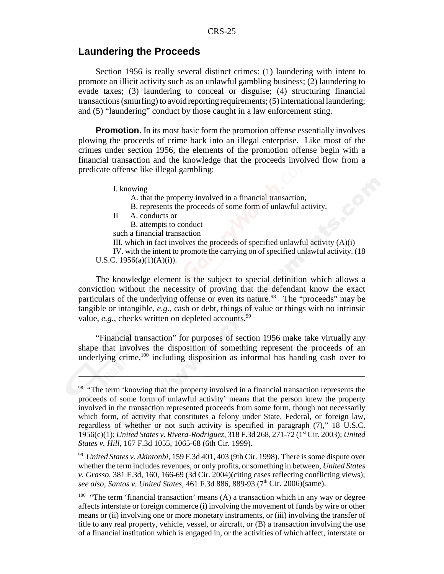## **Laundering the Proceeds**

Section 1956 is really several distinct crimes: (1) laundering with intent to promote an illicit activity such as an unlawful gambling business; (2) laundering to evade taxes; (3) laundering to conceal or disguise; (4) structuring financial transactions (smurfing) to avoid reporting requirements; (5) international laundering; and (5) "laundering" conduct by those caught in a law enforcement sting.

**Promotion.** In its most basic form the promotion offense essentially involves plowing the proceeds of crime back into an illegal enterprise. Like most of the crimes under section 1956, the elements of the promotion offense begin with a financial transaction and the knowledge that the proceeds involved flow from a predicate offense like illegal gambling:

I. knowing

A. that the property involved in a financial transaction,

- B. represents the proceeds of some form of unlawful activity,
- II A. conducts or

B. attempts to conduct

such a financial transaction

III. which in fact involves the proceeds of specified unlawful activity  $(A)(i)$ IV. with the intent to promote the carrying on of specified unlawful activity. (18 U.S.C.  $1956(a)(1)(A)(i)$ .

The knowledge element is the subject to special definition which allows a conviction without the necessity of proving that the defendant know the exact particulars of the underlying offense or even its nature.<sup>98</sup> The "proceeds" may be tangible or intangible, *e.g.*, cash or debt, things of value or things with no intrinsic value, *e.g.*, checks written on depleted accounts.<sup>99</sup>

"Financial transaction" for purposes of section 1956 make take virtually any shape that involves the disposition of something represent the proceeds of an underlying crime,<sup>100</sup> including disposition as informal has handing cash over to

<sup>&</sup>lt;sup>98</sup> "The term 'knowing that the property involved in a financial transaction represents the proceeds of some form of unlawful activity' means that the person knew the property involved in the transaction represented proceeds from some form, though not necessarily which form, of activity that constitutes a felony under State, Federal, or foreign law, regardless of whether or not such activity is specified in paragraph (7)," 18 U.S.C. 1956(c)(1); *United States v. Rivera-Rodriguez*, 318 F.3d 268, 271-72 (1st Cir. 2003); *United States v. Hill*, 167 F.3d 1055, 1065-68 (6th Cir. 1999).

<sup>99</sup> *United States v. Akintonbi*, 159 F.3d 401, 403 (9th Cir. 1998). There is some dispute over whether the term includes revenues, or only profits, or something in between, *United States v. Grasso*, 381 F.3d, 160, 166-69 (3d Cir. 2004)(citing cases reflecting conflicting views); *see also*, *Santos v. United States*, 461 F.3d 886, 889-93 (7th Cir. 2006)(same).

 $100$  "The term 'financial transaction' means (A) a transaction which in any way or degree affects interstate or foreign commerce (i) involving the movement of funds by wire or other means or (ii) involving one or more monetary instruments, or (iii) involving the transfer of title to any real property, vehicle, vessel, or aircraft, or (B) a transaction involving the use of a financial institution which is engaged in, or the activities of which affect, interstate or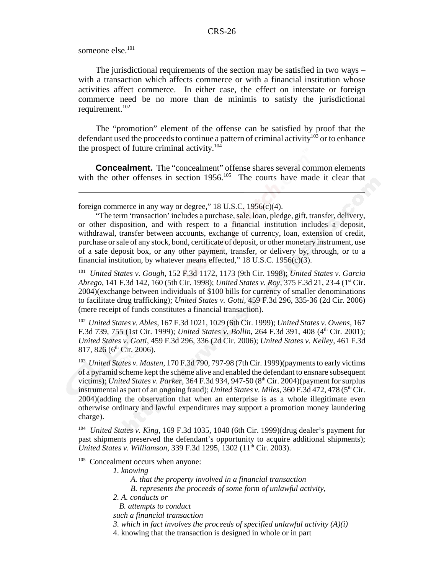someone else.<sup>101</sup>

The jurisdictional requirements of the section may be satisfied in two ways – with a transaction which affects commerce or with a financial institution whose activities affect commerce. In either case, the effect on interstate or foreign commerce need be no more than de minimis to satisfy the jurisdictional requirement. $102$ 

The "promotion" element of the offense can be satisfied by proof that the defendant used the proceeds to continue a pattern of criminal activity<sup>103</sup> or to enhance the prospect of future criminal activity.<sup>104</sup>

**Concealment.** The "concealment" offense shares several common elements with the other offenses in section  $1956$ <sup>105</sup>. The courts have made it clear that

101 *United States v. Gough*, 152 F.3d 1172, 1173 (9th Cir. 1998); *United States v. Garcia Abrego*, 141 F.3d 142, 160 (5th Cir. 1998); *United States v. Roy*, 375 F.3d 21, 23-4 (1st Cir. 2004)(exchange between individuals of \$100 bills for currency of smaller denominations to facilitate drug trafficking); *United States v. Gotti*, 459 F.3d 296, 335-36 (2d Cir. 2006) (mere receipt of funds constitutes a financial transaction).

102 *United States v. Ables*, 167 F.3d 1021, 1029 (6th Cir. 1999); *United States v. Owens*, 167 F.3d 739, 755 (1st Cir. 1999); *United States v. Bollin*, 264 F.3d 391, 408 (4<sup>th</sup> Cir. 2001); *United States v. Gotti*, 459 F.3d 296, 336 (2d Cir. 2006); *United States v. Kelley*, 461 F.3d 817, 826 ( $6<sup>th</sup>$  Cir. 2006).

103 *United States v. Masten*, 170 F.3d 790, 797-98 (7th Cir. 1999)(payments to early victims of a pyramid scheme kept the scheme alive and enabled the defendant to ensnare subsequent victims); *United States v. Parker*, 364 F.3d 934, 947-50 (8<sup>th</sup> Cir. 2004)(payment for surplus instrumental as part of an ongoing fraud); *United States v. Miles*, 360 F.3d 472, 478 (5<sup>th</sup> Cir. 2004)(adding the observation that when an enterprise is as a whole illegitimate even otherwise ordinary and lawful expenditures may support a promotion money laundering charge).

104 *United States v. King*, 169 F.3d 1035, 1040 (6th Cir. 1999)(drug dealer's payment for past shipments preserved the defendant's opportunity to acquire additional shipments); *United States v. Williamson, 339 F.3d 1295, 1302 (11<sup>th</sup> Cir. 2003).* 

<sup>105</sup> Concealment occurs when anyone:

*1. knowing* 

*A. that the property involved in a financial transaction*

- *B. represents the proceeds of some form of unlawful activity,*
- *2. A. conducts or*

 *B. attempts to conduct* 

*such a financial transaction* 

*3. which in fact involves the proceeds of specified unlawful activity (A)(i)* 

4. knowing that the transaction is designed in whole or in part

foreign commerce in any way or degree," 18 U.S.C. 1956(c)(4).

<sup>&</sup>quot;The term 'transaction' includes a purchase, sale, loan, pledge, gift, transfer, delivery, or other disposition, and with respect to a financial institution includes a deposit, withdrawal, transfer between accounts, exchange of currency, loan, extension of credit, purchase or sale of any stock, bond, certificate of deposit, or other monetary instrument, use of a safe deposit box, or any other payment, transfer, or delivery by, through, or to a financial institution, by whatever means effected," 18 U.S.C. 1956(c)(3).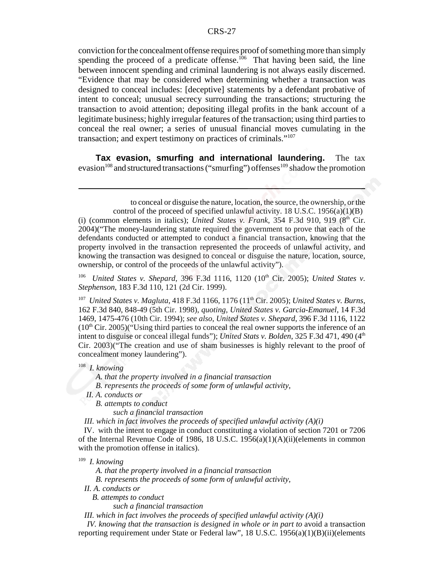conviction for the concealment offense requires proof of something more than simply spending the proceed of a predicate offense.<sup>106</sup> That having been said, the line between innocent spending and criminal laundering is not always easily discerned. "Evidence that may be considered when determining whether a transaction was designed to conceal includes: [deceptive] statements by a defendant probative of intent to conceal; unusual secrecy surrounding the transactions; structuring the transaction to avoid attention; depositing illegal profits in the bank account of a legitimate business; highly irregular features of the transaction; using third parties to conceal the real owner; a series of unusual financial moves cumulating in the transaction; and expert testimony on practices of criminals."107

**Tax evasion, smurfing and international laundering.** The tax evasion<sup>108</sup> and structured transactions ("smurfing") offenses<sup>109</sup> shadow the promotion

106 *United States v. Shepard*, 396 F.3d 1116, 1120 (10<sup>th</sup> Cir. 2005); *United States v. Stephenson*, 183 F.3d 110, 121 (2d Cir. 1999).

107 *United States v. Magluta*, 418 F.3d 1166, 1176 (11th Cir. 2005); *United States v. Burns*, 162 F.3d 840, 848-49 (5th Cir. 1998), *quoting*, *United States v. Garcia-Emanuel*, 14 F.3d 1469, 1475-476 (10th Cir. 1994); *see also*, *United States v. Shepard*, 396 F.3d 1116, 1122  $(10<sup>th</sup>$  Cir. 2005)("Using third parties to conceal the real owner supports the inference of an intent to disguise or conceal illegal funds"); *United Stats v. Bolden*, 325 F.3d 471, 490 (4<sup>th</sup> Cir. 2003)("The creation and use of sham businesses is highly relevant to the proof of concealment money laundering").

108 *I. knowing* 

*A. that the property involved in a financial transaction*

*B. represents the proceeds of some form of unlawful activity,*

 *II. A. conducts or* 

*B. attempts to conduct* 

*such a financial transaction* 

 *III. which in fact involves the proceeds of specified unlawful activity (A)(i)* 

 IV. with the intent to engage in conduct constituting a violation of section 7201 or 7206 of the Internal Revenue Code of 1986, 18 U.S.C. 1956(a)(1)(A)(ii)(elements in common with the promotion offense in italics).

109 *I. knowing* 

*A. that the property involved in a financial transaction*

*B. represents the proceeds of some form of unlawful activity,*

 *II. A. conducts or* 

 *B. attempts to conduct* 

*such a financial transaction* 

 *III. which in fact involves the proceeds of specified unlawful activity (A)(i)* 

 *IV. knowing that the transaction is designed in whole or in part to* avoid a transaction reporting requirement under State or Federal law", 18 U.S.C.  $1956(a)(1)(B)(ii)(elements$ 

to conceal or disguise the nature, location, the source, the ownership, or the control of the proceed of specified unlawful activity. 18 U.S.C.  $1956(a)(1)(B)$ (i) (common elements in italics); *United States v. Frank*,  $354$  F.3d 910, 919 (8<sup>th</sup> Cir. 2004)("The money-laundering statute required the government to prove that each of the defendants conducted or attempted to conduct a financial transaction, knowing that the property involved in the transaction represented the proceeds of unlawful activity, and knowing the transaction was designed to conceal or disguise the nature, location, source, ownership, or control of the proceeds of the unlawful activity").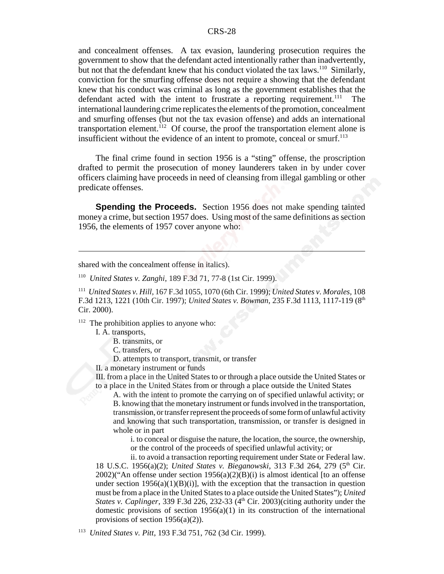and concealment offenses. A tax evasion, laundering prosecution requires the government to show that the defendant acted intentionally rather than inadvertently, but not that the defendant knew that his conduct violated the tax laws.<sup>110</sup> Similarly, conviction for the smurfing offense does not require a showing that the defendant knew that his conduct was criminal as long as the government establishes that the defendant acted with the intent to frustrate a reporting requirement.<sup>111</sup> The international laundering crime replicates the elements of the promotion, concealment and smurfing offenses (but not the tax evasion offense) and adds an international transportation element.<sup>112</sup> Of course, the proof the transportation element alone is insufficient without the evidence of an intent to promote, conceal or smurf.<sup>113</sup>

The final crime found in section 1956 is a "sting" offense, the proscription drafted to permit the prosecution of money launderers taken in by under cover officers claiming have proceeds in need of cleansing from illegal gambling or other predicate offenses.

**Spending the Proceeds.** Section 1956 does not make spending tainted money a crime, but section 1957 does. Using most of the same definitions as section 1956, the elements of 1957 cover anyone who:

shared with the concealment offense in italics).

<sup>112</sup> The prohibition applies to anyone who:

- B. transmits, or
- C. transfers, or
- D. attempts to transport, transmit, or transfer

II. a monetary instrument or funds

III. from a place in the United States to or through a place outside the United States or to a place in the United States from or through a place outside the United States

A. with the intent to promote the carrying on of specified unlawful activity; or B. knowing that the monetary instrument or funds involved in the transportation, transmission, or transfer represent the proceeds of some form of unlawful activity and knowing that such transportation, transmission, or transfer is designed in whole or in part

i. to conceal or disguise the nature, the location, the source, the ownership, or the control of the proceeds of specified unlawful activity; or

ii. to avoid a transaction reporting requirement under State or Federal law. 18 U.S.C. 1956(a)(2); *United States v. Bieganowski*, 313 F.3d 264, 279 (5<sup>th</sup> Cir. 2002)("An offense under section 1956(a)(2)(B)(i) is almost identical [to an offense under section  $1956(a)(1)(B)(i)$ , with the exception that the transaction in question must be from a place in the United States to a place outside the United States"); *United States v. Caplinger*, 339 F.3d 226, 232-33 (4<sup>th</sup> Cir. 2003)(citing authority under the domestic provisions of section 1956(a)(1) in its construction of the international provisions of section 1956(a)(2)).

113 *United States v. Pitt*, 193 F.3d 751, 762 (3d Cir. 1999).

<sup>110</sup> *United States v. Zanghi*, 189 F.3d 71, 77-8 (1st Cir. 1999).

<sup>111</sup> *United States v. Hill*, 167 F.3d 1055, 1070 (6th Cir. 1999); *United States v. Morales*, 108 F.3d 1213, 1221 (10th Cir. 1997); *United States v. Bowman*, 235 F.3d 1113, 1117-119 (8th Cir. 2000).

I. A. transports,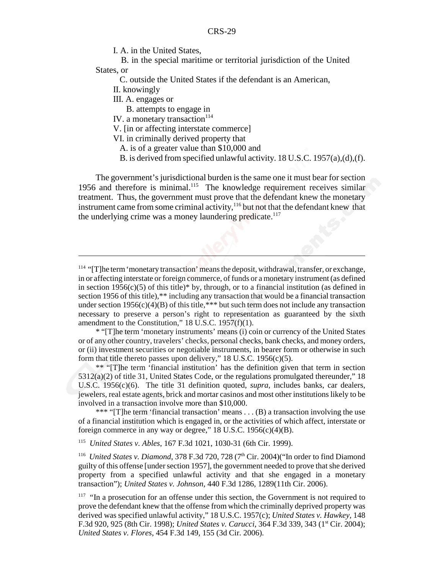I. A. in the United States,

 B. in the special maritime or territorial jurisdiction of the United States, or

C. outside the United States if the defendant is an American,

II. knowingly

III. A. engages or

B. attempts to engage in

IV. a monetary transaction $114$ 

V. [in or affecting interstate commerce]

VI. in criminally derived property that

A. is of a greater value than \$10,000 and

B. is derived from specified unlawful activity. 18 U.S.C. 1957(a),(d),(f).

The government's jurisdictional burden is the same one it must bear for section 1956 and therefore is minimal. $115$  The knowledge requirement receives similar treatment. Thus, the government must prove that the defendant knew the monetary instrument came from some criminal activity, $116$  but not that the defendant knew that the underlying crime was a money laundering predicate. $117$ 

\*\*\* "[T]he term 'financial transaction' means . . . (B) a transaction involving the use of a financial institution which is engaged in, or the activities of which affect, interstate or foreign commerce in any way or degree,"  $18$  U.S.C.  $1956(c)(4)(B)$ .

115 *United States v. Ables*, 167 F.3d 1021, 1030-31 (6th Cir. 1999).

 $114$  "[T]he term 'monetary transaction' means the deposit, withdrawal, transfer, or exchange, in or affecting interstate or foreign commerce, of funds or a monetary instrument (as defined in section 1956(c)(5) of this title)\* by, through, or to a financial institution (as defined in section 1956 of this title),\*\* including any transaction that would be a financial transaction under section 1956(c)(4)(B) of this title,\*\*\* but such term does not include any transaction necessary to preserve a person's right to representation as guaranteed by the sixth amendment to the Constitution," 18 U.S.C. 1957(f)(1).

<sup>\* &</sup>quot;[T]he term 'monetary instruments' means (i) coin or currency of the United States or of any other country, travelers' checks, personal checks, bank checks, and money orders, or (ii) investment securities or negotiable instruments, in bearer form or otherwise in such form that title thereto passes upon delivery,"  $18$  U.S.C.  $1956(c)(5)$ .

<sup>\*\* &</sup>quot;[T]he term 'financial institution' has the definition given that term in section  $5312(a)(2)$  of title 31, United States Code, or the regulations promulgated thereunder," 18 U.S.C. 1956(c)(6). The title 31 definition quoted, *supra*, includes banks, car dealers, jewelers, real estate agents, brick and mortar casinos and most other institutions likely to be involved in a transaction involve more than \$10,000.

<sup>&</sup>lt;sup>116</sup> *United States v. Diamond,* 378 F.3d 720, 728 (7<sup>th</sup> Cir. 2004)("In order to find Diamond guilty of this offense [under section 1957], the government needed to prove that she derived property from a specified unlawful activity and that she engaged in a monetary transaction"); *United States v. Johnson*, 440 F.3d 1286, 1289(11th Cir. 2006).

<sup>&</sup>lt;sup>117</sup> "In a prosecution for an offense under this section, the Government is not required to prove the defendant knew that the offense from which the criminally deprived property was derived was specified unlawful activity," 18 U.S.C. 1957(c); *United States v. Hawkey*, 148 F.3d 920, 925 (8th Cir. 1998); *United States v. Carucci*, 364 F.3d 339, 343 (1st Cir. 2004); *United States v. Flores*, 454 F.3d 149, 155 (3d Cir. 2006).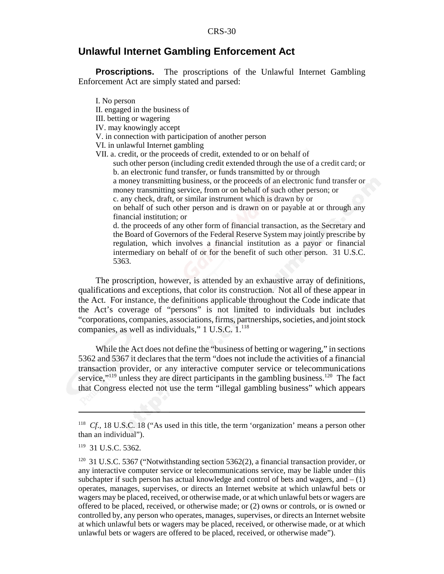## **Unlawful Internet Gambling Enforcement Act**

**Proscriptions.** The proscriptions of the Unlawful Internet Gambling Enforcement Act are simply stated and parsed:

I. No person

II. engaged in the business of

III. betting or wagering

IV. may knowingly accept

V. in connection with participation of another person

VI. in unlawful Internet gambling

VII. a. credit, or the proceeds of credit, extended to or on behalf of

such other person (including credit extended through the use of a credit card; or b. an electronic fund transfer, or funds transmitted by or through a money transmitting business, or the proceeds of an electronic fund transfer or

money transmitting service, from or on behalf of such other person; or

c. any check, draft, or similar instrument which is drawn by or

on behalf of such other person and is drawn on or payable at or through any financial institution; or

d. the proceeds of any other form of financial transaction, as the Secretary and the Board of Governors of the Federal Reserve System may jointly prescribe by regulation, which involves a financial institution as a payor or financial intermediary on behalf of or for the benefit of such other person. 31 U.S.C. 5363.

The proscription, however, is attended by an exhaustive array of definitions, qualifications and exceptions, that color its construction. Not all of these appear in the Act. For instance, the definitions applicable throughout the Code indicate that the Act's coverage of "persons" is not limited to individuals but includes "corporations, companies, associations, firms, partnerships, societies, and joint stock companies, as well as individuals,"  $1 \text{ U.S.C. } 1.^{118}$ 

While the Act does not define the "business of betting or wagering," in sections 5362 and 5367 it declares that the term "does not include the activities of a financial transaction provider, or any interactive computer service or telecommunications service," $1^{19}$  unless they are direct participants in the gambling business.<sup>120</sup> The fact that Congress elected not use the term "illegal gambling business" which appears

<sup>118</sup> *Cf*., 18 U.S.C. 18 ("As used in this title, the term 'organization' means a person other than an individual").

<sup>119 31</sup> U.S.C. 5362.

<sup>120 31</sup> U.S.C. 5367 ("Notwithstanding section 5362(2), a financial transaction provider, or any interactive computer service or telecommunications service, may be liable under this subchapter if such person has actual knowledge and control of bets and wagers, and  $- (1)$ operates, manages, supervises, or directs an Internet website at which unlawful bets or wagers may be placed, received, or otherwise made, or at which unlawful bets or wagers are offered to be placed, received, or otherwise made; or (2) owns or controls, or is owned or controlled by, any person who operates, manages, supervises, or directs an Internet website at which unlawful bets or wagers may be placed, received, or otherwise made, or at which unlawful bets or wagers are offered to be placed, received, or otherwise made").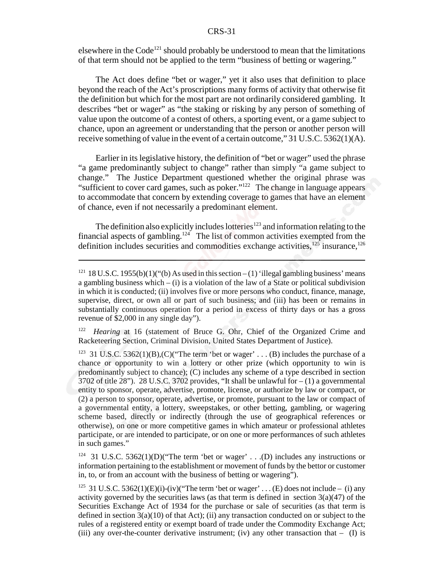elsewhere in the Code<sup>121</sup> should probably be understood to mean that the limitations of that term should not be applied to the term "business of betting or wagering."

The Act does define "bet or wager," yet it also uses that definition to place beyond the reach of the Act's proscriptions many forms of activity that otherwise fit the definition but which for the most part are not ordinarily considered gambling. It describes "bet or wager" as "the staking or risking by any person of something of value upon the outcome of a contest of others, a sporting event, or a game subject to chance, upon an agreement or understanding that the person or another person will receive something of value in the event of a certain outcome," 31 U.S.C. 5362(1)(A).

Earlier in its legislative history, the definition of "bet or wager" used the phrase "a game predominantly subject to change" rather than simply "a game subject to change." The Justice Department questioned whether the original phrase was "sufficient to cover card games, such as poker."122 The change in language appears to accommodate that concern by extending coverage to games that have an element of chance, even if not necessarily a predominant element.

The definition also explicitly includes lotteries<sup>123</sup> and information relating to the financial aspects of gambling.<sup>124</sup> The list of common activities exempted from the definition includes securities and commodities exchange activities, $^{125}$  insurance, $^{126}$ 

<sup>122</sup> *Hearing* at 16 (statement of Bruce G. Ohr, Chief of the Organized Crime and Racketeering Section, Criminal Division, United States Department of Justice).

<sup>123</sup> 31 U.S.C. 5362(1)(B),(C)("The term 'bet or wager' ... (B) includes the purchase of a chance or opportunity to win a lottery or other prize (which opportunity to win is predominantly subject to chance); (C) includes any scheme of a type described in section 3702 of title 28"). 28 U.S.C. 3702 provides, "It shall be unlawful for  $-(1)$  a governmental entity to sponsor, operate, advertise, promote, license, or authorize by law or compact, or (2) a person to sponsor, operate, advertise, or promote, pursuant to the law or compact of a governmental entity, a lottery, sweepstakes, or other betting, gambling, or wagering scheme based, directly or indirectly (through the use of geographical references or otherwise), on one or more competitive games in which amateur or professional athletes participate, or are intended to participate, or on one or more performances of such athletes in such games."

<sup>124</sup> 31 U.S.C. 5362(1)(D)("The term 'bet or wager' . . .(D) includes any instructions or information pertaining to the establishment or movement of funds by the bettor or customer in, to, or from an account with the business of betting or wagering").

<sup>125</sup> 31 U.S.C. 5362(1)(E)(i)-(iv)("The term 'bet or wager' . . . (E) does not include – (i) any activity governed by the securities laws (as that term is defined in section  $3(a)(47)$  of the Securities Exchange Act of 1934 for the purchase or sale of securities (as that term is defined in section  $3(a)(10)$  of that Act); (ii) any transaction conducted on or subject to the rules of a registered entity or exempt board of trade under the Commodity Exchange Act; (iii) any over-the-counter derivative instrument; (iv) any other transaction that  $-$  (I) is

<sup>&</sup>lt;sup>121</sup> 18 U.S.C. 1955(b)(1)("(b) As used in this section – (1) 'illegal gambling business' means a gambling business which  $-$  (i) is a violation of the law of a State or political subdivision in which it is conducted; (ii) involves five or more persons who conduct, finance, manage, supervise, direct, or own all or part of such business; and (iii) has been or remains in substantially continuous operation for a period in excess of thirty days or has a gross revenue of \$2,000 in any single day").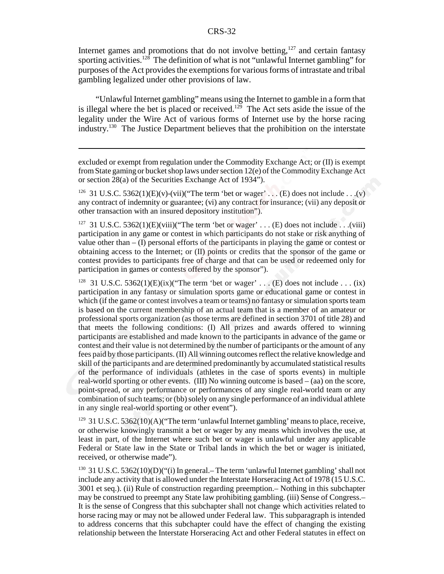Internet games and promotions that do not involve betting, $127$  and certain fantasy sporting activities.<sup>128</sup> The definition of what is not "unlawful Internet gambling" for purposes of the Act provides the exemptions for various forms of intrastate and tribal gambling legalized under other provisions of law.

"Unlawful Internet gambling" means using the Internet to gamble in a form that is illegal where the bet is placed or received.<sup>129</sup> The Act sets aside the issue of the legality under the Wire Act of various forms of Internet use by the horse racing industry.130 The Justice Department believes that the prohibition on the interstate

excluded or exempt from regulation under the Commodity Exchange Act; or (II) is exempt from State gaming or bucket shop laws under section 12(e) of the Commodity Exchange Act or section 28(a) of the Securities Exchange Act of 1934").

<sup>126</sup> 31 U.S.C. 5362(1)(E)(v)-(vii)("The term 'bet or wager' . . . (E) does not include . . .(v) any contract of indemnity or guarantee; (vi) any contract for insurance; (vii) any deposit or other transaction with an insured depository institution").

<sup>127</sup> 31 U.S.C. 5362(1)(E)(viii)("The term 'bet or wager' . . . (E) does not include . . .(viii) participation in any game or contest in which participants do not stake or risk anything of value other than  $-$  (I) personal efforts of the participants in playing the game or contest or obtaining access to the Internet; or (II) points or credits that the sponsor of the game or contest provides to participants free of charge and that can be used or redeemed only for participation in games or contests offered by the sponsor").

<sup>128</sup> 31 U.S.C. 5362(1)(E)(ix)("The term 'bet or wager' . . . (E) does not include . . . (ix) participation in any fantasy or simulation sports game or educational game or contest in which (if the game or contest involves a team or teams) no fantasy or simulation sports team is based on the current membership of an actual team that is a member of an amateur or professional sports organization (as those terms are defined in section 3701 of title 28) and that meets the following conditions: (I) All prizes and awards offered to winning participants are established and made known to the participants in advance of the game or contest and their value is not determined by the number of participants or the amount of any fees paid by those participants. (II) All winning outcomes reflect the relative knowledge and skill of the participants and are determined predominantly by accumulated statistical results of the performance of individuals (athletes in the case of sports events) in multiple real-world sporting or other events. (III) No winning outcome is based – (aa) on the score, point-spread, or any performance or performances of any single real-world team or any combination of such teams; or (bb) solely on any single performance of an individual athlete in any single real-world sporting or other event").

 $129$  31 U.S.C. 5362(10)(A)("The term 'unlawful Internet gambling' means to place, receive, or otherwise knowingly transmit a bet or wager by any means which involves the use, at least in part, of the Internet where such bet or wager is unlawful under any applicable Federal or State law in the State or Tribal lands in which the bet or wager is initiated, received, or otherwise made").

<sup>130</sup> 31 U.S.C. 5362(10)(D)("(i) In general.– The term 'unlawful Internet gambling' shall not include any activity that is allowed under the Interstate Horseracing Act of 1978 (15 U.S.C. 3001 et seq.). (ii) Rule of construction regarding preemption.– Nothing in this subchapter may be construed to preempt any State law prohibiting gambling. (iii) Sense of Congress.– It is the sense of Congress that this subchapter shall not change which activities related to horse racing may or may not be allowed under Federal law. This subparagraph is intended to address concerns that this subchapter could have the effect of changing the existing relationship between the Interstate Horseracing Act and other Federal statutes in effect on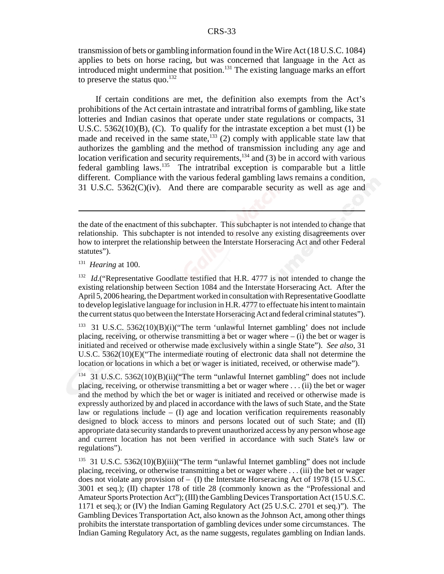transmission of bets or gambling information found in the Wire Act (18 U.S.C. 1084) applies to bets on horse racing, but was concerned that language in the Act as introduced might undermine that position.<sup>131</sup> The existing language marks an effort to preserve the status quo. $^{132}$ 

If certain conditions are met, the definition also exempts from the Act's prohibitions of the Act certain intrastate and intratribal forms of gambling, like state lotteries and Indian casinos that operate under state regulations or compacts, 31 U.S.C. 5362(10)(B), (C). To qualify for the intrastate exception a bet must (1) be made and received in the same state, $133$  (2) comply with applicable state law that authorizes the gambling and the method of transmission including any age and location verification and security requirements, $134$  and (3) be in accord with various federal gambling laws. $135$  The intratribal exception is comparable but a little different. Compliance with the various federal gambling laws remains a condition, 31 U.S.C. 5362(C)(iv). And there are comparable security as well as age and

131 *Hearing* at 100.

<sup>132</sup> *Id.*("Representative Goodlatte testified that H.R. 4777 is not intended to change the existing relationship between Section 1084 and the Interstate Horseracing Act. After the April 5, 2006 hearing, the Department worked in consultation with Representative Goodlatte to develop legislative language for inclusion in H.R. 4777 to effectuate his intent to maintain the current status quo between the Interstate Horseracing Act and federal criminal statutes").

<sup>133</sup> 31 U.S.C. 5362(10)(B)(i)("The term 'unlawful Internet gambling' does not include placing, receiving, or otherwise transmitting a bet or wager where  $-$  (i) the bet or wager is initiated and received or otherwise made exclusively within a single State"). *See also*, 31 U.S.C. 5362(10)(E)("The intermediate routing of electronic data shall not determine the location or locations in which a bet or wager is initiated, received, or otherwise made").

 $134$  31 U.S.C. 5362(10)(B)(ii)("The term "unlawful Internet gambling" does not include placing, receiving, or otherwise transmitting a bet or wager where . . . (ii) the bet or wager and the method by which the bet or wager is initiated and received or otherwise made is expressly authorized by and placed in accordance with the laws of such State, and the State law or regulations include  $-$  (I) age and location verification requirements reasonably designed to block access to minors and persons located out of such State; and (II) appropriate data security standards to prevent unauthorized access by any person whose age and current location has not been verified in accordance with such State's law or regulations").

 $135$  31 U.S.C. 5362(10)(B)(iii)("The term "unlawful Internet gambling" does not include placing, receiving, or otherwise transmitting a bet or wager where . . . (iii) the bet or wager does not violate any provision of  $-$  (I) the Interstate Horseracing Act of 1978 (15 U.S.C. 3001 et seq.); (II) chapter 178 of title 28 (commonly known as the "Professional and Amateur Sports Protection Act"); (III) the Gambling Devices Transportation Act (15 U.S.C. 1171 et seq.); or (IV) the Indian Gaming Regulatory Act (25 U.S.C. 2701 et seq.)"). The Gambling Devices Transportation Act, also known as the Johnson Act, among other things prohibits the interstate transportation of gambling devices under some circumstances. The Indian Gaming Regulatory Act, as the name suggests, regulates gambling on Indian lands.

the date of the enactment of this subchapter. This subchapter is not intended to change that relationship. This subchapter is not intended to resolve any existing disagreements over how to interpret the relationship between the Interstate Horseracing Act and other Federal statutes").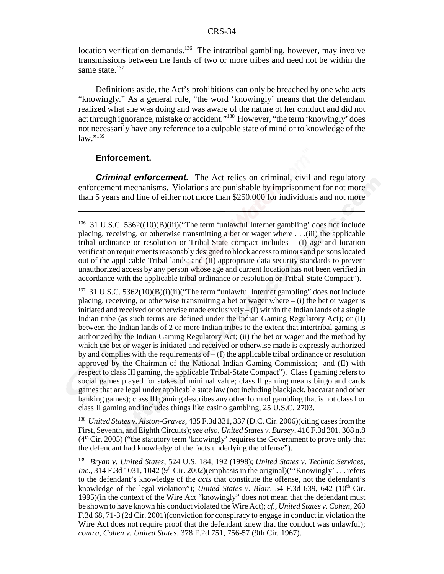location verification demands.<sup>136</sup> The intratribal gambling, however, may involve transmissions between the lands of two or more tribes and need not be within the same state.<sup>137</sup>

Definitions aside, the Act's prohibitions can only be breached by one who acts "knowingly." As a general rule, "the word 'knowingly' means that the defendant realized what she was doing and was aware of the nature of her conduct and did not act through ignorance, mistake or accident."138 However, "the term 'knowingly' does not necessarily have any reference to a culpable state of mind or to knowledge of the  $law.$ "<sup>139</sup>

## **Enforcement.**

**Criminal enforcement.** The Act relies on criminal, civil and regulatory enforcement mechanisms. Violations are punishable by imprisonment for not more than 5 years and fine of either not more than \$250,000 for individuals and not more

137 31 U.S.C. 5362(10)(B)(i)(ii)("The term "unlawful Internet gambling" does not include placing, receiving, or otherwise transmitting a bet or wager where  $-$  (i) the bet or wager is initiated and received or otherwise made exclusively  $- (I)$  within the Indian lands of a single Indian tribe (as such terms are defined under the Indian Gaming Regulatory Act); or (II) between the Indian lands of 2 or more Indian tribes to the extent that intertribal gaming is authorized by the Indian Gaming Regulatory Act; (ii) the bet or wager and the method by which the bet or wager is initiated and received or otherwise made is expressly authorized by and complies with the requirements of  $- (I)$  the applicable tribal ordinance or resolution approved by the Chairman of the National Indian Gaming Commission; and (II) with respect to class III gaming, the applicable Tribal-State Compact"). Class I gaming refers to social games played for stakes of minimal value; class II gaming means bingo and cards games that are legal under applicable state law (not including blackjack, baccarat and other banking games); class III gaming describes any other form of gambling that is not class I or class II gaming and includes things like casino gambling, 25 U.S.C. 2703.

138 *United States v. Alston-Graves*, 435 F.3d 331, 337 (D.C. Cir. 2006)(citing cases from the First, Seventh, and Eighth Circuits); *see also*, *United States v. Bursey*, 416 F.3d 301, 308 n.8  $(4<sup>th</sup> Cir. 2005)$  ("the statutory term 'knowingly' requires the Government to prove only that the defendant had knowledge of the facts underlying the offense").

139 *Bryan v. United States*, 524 U.S. 184, 192 (1998); *United States v. Technic Services, Inc.*,  $314$  F.3d 1031,  $1042$  (9<sup>th</sup> Cir. 2002)(emphasis in the original)("Knowingly' . . . refers to the defendant's knowledge of the *acts* that constitute the offense, not the defendant's knowledge of the legal violation"); *United States v. Blair*, 54 F.3d 639, 642 (10<sup>th</sup> Cir. 1995)(in the context of the Wire Act "knowingly" does not mean that the defendant must be shown to have known his conduct violated the Wire Act); *cf., United States v. Cohen*, 260 F.3d 68, 71-3 (2d Cir. 2001)(conviction for conspiracy to engage in conduct in violation the Wire Act does not require proof that the defendant knew that the conduct was unlawful); *contra, Cohen v. United States*, 378 F.2d 751, 756-57 (9th Cir. 1967).

<sup>&</sup>lt;sup>136</sup> 31 U.S.C. 5362((10)(B)(iii)("The term 'unlawful Internet gambling' does not include placing, receiving, or otherwise transmitting a bet or wager where . . .(iii) the applicable tribal ordinance or resolution or Tribal-State compact includes – (I) age and location verification requirements reasonably designed to block access to minors and persons located out of the applicable Tribal lands; and (II) appropriate data security standards to prevent unauthorized access by any person whose age and current location has not been verified in accordance with the applicable tribal ordinance or resolution or Tribal-State Compact").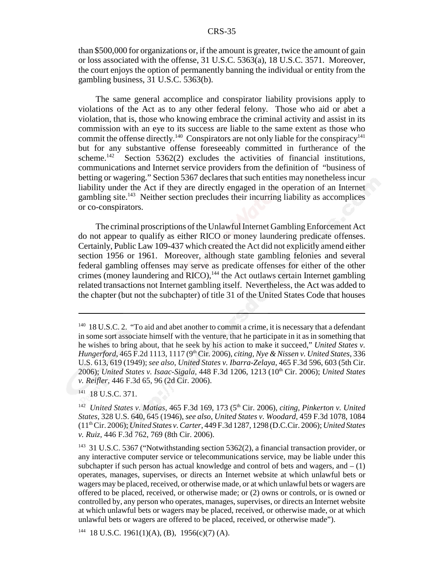than \$500,000 for organizations or, if the amount is greater, twice the amount of gain or loss associated with the offense, 31 U.S.C. 5363(a), 18 U.S.C. 3571. Moreover, the court enjoys the option of permanently banning the individual or entity from the gambling business, 31 U.S.C. 5363(b).

The same general accomplice and conspirator liability provisions apply to violations of the Act as to any other federal felony. Those who aid or abet a violation, that is, those who knowing embrace the criminal activity and assist in its commission with an eye to its success are liable to the same extent as those who commit the offense directly.<sup>140</sup> Conspirators are not only liable for the conspiracy<sup>141</sup> but for any substantive offense foreseeably committed in furtherance of the scheme.<sup>142</sup> Section 5362(2) excludes the activities of financial institutions, communications and Internet service providers from the definition of "business of betting or wagering." Section 5367 declares that such entities may nonetheless incur liability under the Act if they are directly engaged in the operation of an Internet gambling site.143 Neither section precludes their incurring liability as accomplices or co-conspirators.

The criminal proscriptions of the Unlawful Internet Gambling Enforcement Act do not appear to qualify as either RICO or money laundering predicate offenses. Certainly, Public Law 109-437 which created the Act did not explicitly amend either section 1956 or 1961. Moreover, although state gambling felonies and several federal gambling offenses may serve as predicate offenses for either of the other crimes (money laundering and RICO),<sup>144</sup> the Act outlaws certain Internet gambling related transactions not Internet gambling itself. Nevertheless, the Act was added to the chapter (but not the subchapter) of title 31 of the United States Code that houses

<sup>141</sup> 18 U.S.C. 371.

<sup>&</sup>lt;sup>140</sup> 18 U.S.C. 2. "To aid and abet another to commit a crime, it is necessary that a defendant in some sort associate himself with the venture, that he participate in it as in something that he wishes to bring about, that he seek by his action to make it succeed," *United States v. Hungerford*, 465 F.2d 1113, 1117 (9th Cir. 2006), *citing, Nye & Nissen v. United States*, 336 U.S. 613, 619 (1949); *see also*, *United States v. Ibarra-Zelaya*, 465 F.3d 596, 603 (5th Cir. 2006); *United States v. Isaac-Sigala*, 448 F.3d 1206, 1213 (10<sup>th</sup> Cir. 2006); *United States v. Reifler*, 446 F.3d 65, 96 (2d Cir. 2006).

<sup>&</sup>lt;sup>142</sup> *United States v. Matias,* 465 F.3d 169, 173 (5<sup>th</sup> Cir. 2006), *citing, Pinkerton v. United States*, 328 U.S. 640, 645 (1946), *see also*, *United States v. Woodard*, 459 F.3d 1078, 1084 (11th Cir. 2006); *United States v. Carter*, 449 F.3d 1287, 1298 (D.C.Cir. 2006); *United States v. Ruiz*, 446 F.3d 762, 769 (8th Cir. 2006).

<sup>143 31</sup> U.S.C. 5367 ("Notwithstanding section 5362(2), a financial transaction provider, or any interactive computer service or telecommunications service, may be liable under this subchapter if such person has actual knowledge and control of bets and wagers, and  $-(1)$ operates, manages, supervises, or directs an Internet website at which unlawful bets or wagers may be placed, received, or otherwise made, or at which unlawful bets or wagers are offered to be placed, received, or otherwise made; or (2) owns or controls, or is owned or controlled by, any person who operates, manages, supervises, or directs an Internet website at which unlawful bets or wagers may be placed, received, or otherwise made, or at which unlawful bets or wagers are offered to be placed, received, or otherwise made").

<sup>&</sup>lt;sup>144</sup> 18 U.S.C. 1961(1)(A), (B), 1956(c)(7) (A).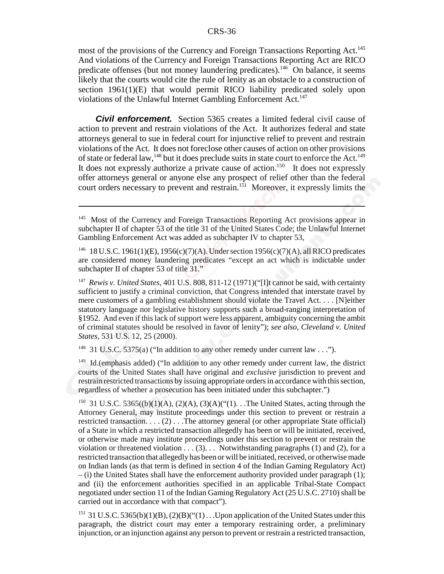most of the provisions of the Currency and Foreign Transactions Reporting Act.<sup>145</sup> And violations of the Currency and Foreign Transactions Reporting Act are RICO predicate offenses (but not money laundering predicates).<sup>146</sup> On balance, it seems likely that the courts would cite the rule of lenity as an obstacle to a construction of section 1961(1)(E) that would permit RICO liability predicated solely upon violations of the Unlawful Internet Gambling Enforcement Act.<sup>147</sup>

*Civil enforcement.* Section 5365 creates a limited federal civil cause of action to prevent and restrain violations of the Act. It authorizes federal and state attorneys general to sue in federal court for injunctive relief to prevent and restrain violations of the Act. It does not foreclose other causes of action on other provisions of state or federal law,<sup>148</sup> but it does preclude suits in state court to enforce the Act.<sup>149</sup> It does not expressly authorize a private cause of action.<sup>150</sup> It does not expressly offer attorneys general or anyone else any prospect of relief other than the federal court orders necessary to prevent and restrain.<sup>151</sup> Moreover, it expressly limits the

<sup>148</sup> 31 U.S.C. 5375(a) ("In addition to any other remedy under current law . . .").

149 Id.(emphasis added) ("In addition to any other remedy under current law, the district courts of the United States shall have original and *exclusive* jurisdiction to prevent and restrain restricted transactions by issuing appropriate orders in accordance with this section, regardless of whether a prosecution has been initiated under this subchapter.")

<sup>150</sup> 31 U.S.C. 5365((b)(1)(A), (2)(A), (3)(A)("(1). . .The United States, acting through the Attorney General, may institute proceedings under this section to prevent or restrain a restricted transaction. . . . (2) . . .The attorney general (or other appropriate State official) of a State in which a restricted transaction allegedly has been or will be initiated, received, or otherwise made may institute proceedings under this section to prevent or restrain the violation or threatened violation  $\dots$  (3).  $\dots$  Notwithstanding paragraphs (1) and (2), for a restricted transaction that allegedly has been or will be initiated, received, or otherwise made on Indian lands (as that term is defined in section 4 of the Indian Gaming Regulatory Act) – (i) the United States shall have the enforcement authority provided under paragraph (1); and (ii) the enforcement authorities specified in an applicable Tribal-State Compact negotiated under section 11 of the Indian Gaming Regulatory Act (25 U.S.C. 2710) shall be carried out in accordance with that compact").

<sup>151</sup> 31 U.S.C. 5365(b)(1)(B), (2)(B)("(1) . . .Upon application of the United States under this paragraph, the district court may enter a temporary restraining order, a preliminary injunction, or an injunction against any person to prevent or restrain a restricted transaction,

<sup>&</sup>lt;sup>145</sup> Most of the Currency and Foreign Transactions Reporting Act provisions appear in subchapter II of chapter 53 of the title 31 of the United States Code; the Unlawful Internet Gambling Enforcement Act was added as subchapter IV to chapter 53,

<sup>146 18</sup> U.S.C. 1961(1)(E), 1956(c)(7)(A). Under section 1956(c)(7)(A), all RICO predicates are considered money laundering predicates "except an act which is indictable under subchapter II of chapter 53 of title 31."

<sup>&</sup>lt;sup>147</sup> *Rewis v. United States*, 401 U.S. 808, 811-12 (1971)("[I]t cannot be said, with certainty sufficient to justify a criminal conviction, that Congress intended that interstate travel by mere customers of a gambling establishment should violate the Travel Act. . . . [N]either statutory language nor legislative history supports such a broad-ranging interpretation of §1952. And even if this lack of support were less apparent, ambiguity concerning the ambit of criminal statutes should be resolved in favor of lenity"); *see also*, *Cleveland v. United States*, 531 U.S. 12, 25 (2000).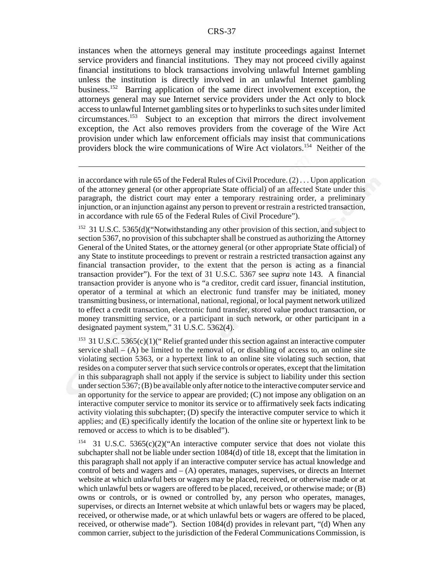instances when the attorneys general may institute proceedings against Internet service providers and financial institutions. They may not proceed civilly against financial institutions to block transactions involving unlawful Internet gambling unless the institution is directly involved in an unlawful Internet gambling business.152 Barring application of the same direct involvement exception, the attorneys general may sue Internet service providers under the Act only to block access to unlawful Internet gambling sites or to hyperlinks to such sites under limited circumstances.153 Subject to an exception that mirrors the direct involvement exception, the Act also removes providers from the coverage of the Wire Act provision under which law enforcement officials may insist that communications providers block the wire communications of Wire Act violators.154 Neither of the

<sup>153</sup> 31 U.S.C. 5365(c)(1)("Relief granted under this section against an interactive computer service shall  $-$  (A) be limited to the removal of, or disabling of access to, an online site violating section 5363, or a hypertext link to an online site violating such section, that resides on a computer server that such service controls or operates, except that the limitation in this subparagraph shall not apply if the service is subject to liability under this section under section 5367; (B) be available only after notice to the interactive computer service and an opportunity for the service to appear are provided; (C) not impose any obligation on an interactive computer service to monitor its service or to affirmatively seek facts indicating activity violating this subchapter; (D) specify the interactive computer service to which it applies; and (E) specifically identify the location of the online site or hypertext link to be removed or access to which is to be disabled").

 $154$  31 U.S.C. 5365(c)(2)("An interactive computer service that does not violate this subchapter shall not be liable under section 1084(d) of title 18, except that the limitation in this paragraph shall not apply if an interactive computer service has actual knowledge and control of bets and wagers and – (A) operates, manages, supervises, or directs an Internet website at which unlawful bets or wagers may be placed, received, or otherwise made or at which unlawful bets or wagers are offered to be placed, received, or otherwise made; or (B) owns or controls, or is owned or controlled by, any person who operates, manages, supervises, or directs an Internet website at which unlawful bets or wagers may be placed, received, or otherwise made, or at which unlawful bets or wagers are offered to be placed, received, or otherwise made"). Section 1084(d) provides in relevant part, "(d) When any common carrier, subject to the jurisdiction of the Federal Communications Commission, is

in accordance with rule 65 of the Federal Rules of Civil Procedure. (2) . . . Upon application of the attorney general (or other appropriate State official) of an affected State under this paragraph, the district court may enter a temporary restraining order, a preliminary injunction, or an injunction against any person to prevent or restrain a restricted transaction, in accordance with rule 65 of the Federal Rules of Civil Procedure").

 $152$  31 U.S.C. 5365(d)("Notwithstanding any other provision of this section, and subject to section 5367, no provision of this subchapter shall be construed as authorizing the Attorney General of the United States, or the attorney general (or other appropriate State official) of any State to institute proceedings to prevent or restrain a restricted transaction against any financial transaction provider, to the extent that the person is acting as a financial transaction provider"). For the text of 31 U.S.C. 5367 see *supra* note 143. A financial transaction provider is anyone who is "a creditor, credit card issuer, financial institution, operator of a terminal at which an electronic fund transfer may be initiated, money transmitting business, or international, national, regional, or local payment network utilized to effect a credit transaction, electronic fund transfer, stored value product transaction, or money transmitting service, or a participant in such network, or other participant in a designated payment system," 31 U.S.C. 5362(4).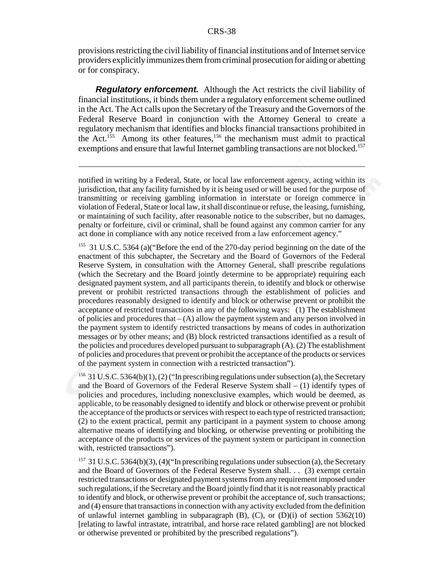provisions restricting the civil liability of financial institutions and of Internet service providers explicitly immunizes them from criminal prosecution for aiding or abetting or for conspiracy.

*Regulatory enforcement.* Although the Act restricts the civil liability of financial institutions, it binds them under a regulatory enforcement scheme outlined in the Act. The Act calls upon the Secretary of the Treasury and the Governors of the Federal Reserve Board in conjunction with the Attorney General to create a regulatory mechanism that identifies and blocks financial transactions prohibited in the Act.<sup>155</sup> Among its other features,<sup>156</sup> the mechanism must admit to practical exemptions and ensure that lawful Internet gambling transactions are not blocked.<sup>157</sup>

notified in writing by a Federal, State, or local law enforcement agency, acting within its jurisdiction, that any facility furnished by it is being used or will be used for the purpose of transmitting or receiving gambling information in interstate or foreign commerce in violation of Federal, State or local law, it shall discontinue or refuse, the leasing, furnishing, or maintaining of such facility, after reasonable notice to the subscriber, but no damages, penalty or forfeiture, civil or criminal, shall be found against any common carrier for any act done in compliance with any notice received from a law enforcement agency."

155 31 U.S.C. 5364 (a)("Before the end of the 270-day period beginning on the date of the enactment of this subchapter, the Secretary and the Board of Governors of the Federal Reserve System, in consultation with the Attorney General, shall prescribe regulations (which the Secretary and the Board jointly determine to be appropriate) requiring each designated payment system, and all participants therein, to identify and block or otherwise prevent or prohibit restricted transactions through the establishment of policies and procedures reasonably designed to identify and block or otherwise prevent or prohibit the acceptance of restricted transactions in any of the following ways: (1) The establishment of policies and procedures that  $-(A)$  allow the payment system and any person involved in the payment system to identify restricted transactions by means of codes in authorization messages or by other means; and (B) block restricted transactions identified as a result of the policies and procedures developed pursuant to subparagraph (A). (2) The establishment of policies and procedures that prevent or prohibit the acceptance of the products or services of the payment system in connection with a restricted transaction").

<sup>156</sup> 31 U.S.C. 5364(b)(1), (2) ("In prescribing regulations under subsection (a), the Secretary and the Board of Governors of the Federal Reserve System shall  $- (1)$  identify types of policies and procedures, including nonexclusive examples, which would be deemed, as applicable, to be reasonably designed to identify and block or otherwise prevent or prohibit the acceptance of the products or services with respect to each type of restricted transaction; (2) to the extent practical, permit any participant in a payment system to choose among alternative means of identifying and blocking, or otherwise preventing or prohibiting the acceptance of the products or services of the payment system or participant in connection with, restricted transactions").

 $157$  31 U.S.C. 5364(b)(3), (4)("In prescribing regulations under subsection (a), the Secretary and the Board of Governors of the Federal Reserve System shall. . . (3) exempt certain restricted transactions or designated payment systems from any requirement imposed under such regulations, if the Secretary and the Board jointly find that it is not reasonably practical to identify and block, or otherwise prevent or prohibit the acceptance of, such transactions; and (4) ensure that transactions in connection with any activity excluded from the definition of unlawful internet gambling in subparagraph  $(B)$ ,  $(C)$ , or  $(D)(i)$  of section 5362(10) [relating to lawful intrastate, intratribal, and horse race related gambling] are not blocked or otherwise prevented or prohibited by the prescribed regulations").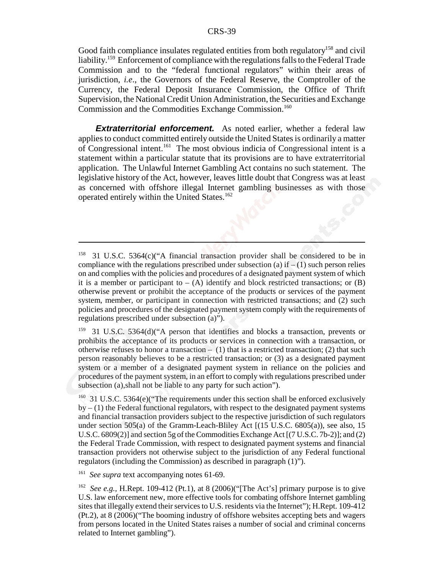Good faith compliance insulates regulated entities from both regulatory<sup>158</sup> and civil liability.<sup>159</sup> Enforcement of compliance with the regulations falls to the Federal Trade Commission and to the "federal functional regulators" within their areas of jurisdiction, *i.e*., the Governors of the Federal Reserve, the Comptroller of the Currency, the Federal Deposit Insurance Commission, the Office of Thrift Supervision, the National Credit Union Administration, the Securities and Exchange Commission and the Commodities Exchange Commission.<sup>160</sup>

**Extraterritorial enforcement.** As noted earlier, whether a federal law applies to conduct committed entirely outside the United States is ordinarily a matter of Congressional intent.161 The most obvious indicia of Congressional intent is a statement within a particular statute that its provisions are to have extraterritorial application. The Unlawful Internet Gambling Act contains no such statement. The legislative history of the Act, however, leaves little doubt that Congress was at least as concerned with offshore illegal Internet gambling businesses as with those operated entirely within the United States.162

 $159$  31 U.S.C. 5364(d)("A person that identifies and blocks a transaction, prevents or prohibits the acceptance of its products or services in connection with a transaction, or otherwise refuses to honor a transaction  $-$  (1) that is a restricted transaction; (2) that such person reasonably believes to be a restricted transaction; or (3) as a designated payment system or a member of a designated payment system in reliance on the policies and procedures of the payment system, in an effort to comply with regulations prescribed under subsection (a),shall not be liable to any party for such action").

<sup>161</sup> *See supra* text accompanying notes 61-69.

<sup>&</sup>lt;sup>158</sup> 31 U.S.C. 5364(c)("A financial transaction provider shall be considered to be in compliance with the regulations prescribed under subsection (a) if  $-(1)$  such person relies on and complies with the policies and procedures of a designated payment system of which it is a member or participant to  $-$  (A) identify and block restricted transactions; or (B) otherwise prevent or prohibit the acceptance of the products or services of the payment system, member, or participant in connection with restricted transactions; and (2) such policies and procedures of the designated payment system comply with the requirements of regulations prescribed under subsection (a)").

 $160$  31 U.S.C. 5364(e)("The requirements under this section shall be enforced exclusively  $by - (1)$  the Federal functional regulators, with respect to the designated payment systems and financial transaction providers subject to the respective jurisdiction of such regulators under section 505(a) of the Gramm-Leach-Bliley Act [(15 U.S.C. 6805(a)), see also, 15 U.S.C. 6809(2)] and section 5g of the Commodities Exchange Act [(7 U.S.C. 7b-2)]; and (2) the Federal Trade Commission, with respect to designated payment systems and financial transaction providers not otherwise subject to the jurisdiction of any Federal functional regulators (including the Commission) as described in paragraph (1)").

<sup>&</sup>lt;sup>162</sup> *See e.g.*, H.Rept. 109-412 (Pt.1), at 8 (2006)("The Act's] primary purpose is to give U.S. law enforcement new, more effective tools for combating offshore Internet gambling sites that illegally extend their services to U.S. residents via the Internet"); H.Rept. 109-412 (Pt.2), at 8 (2006)("The booming industry of offshore websites accepting bets and wagers from persons located in the United States raises a number of social and criminal concerns related to Internet gambling").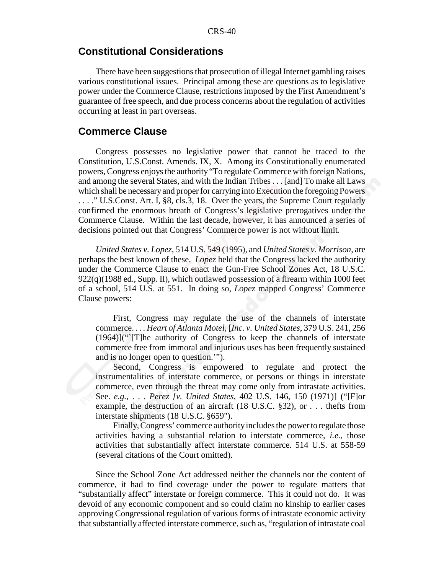## **Constitutional Considerations**

There have been suggestions that prosecution of illegal Internet gambling raises various constitutional issues. Principal among these are questions as to legislative power under the Commerce Clause, restrictions imposed by the First Amendment's guarantee of free speech, and due process concerns about the regulation of activities occurring at least in part overseas.

## **Commerce Clause**

Congress possesses no legislative power that cannot be traced to the Constitution, U.S.Const. Amends. IX, X. Among its Constitutionally enumerated powers, Congress enjoys the authority "To regulate Commerce with foreign Nations, and among the several States, and with the Indian Tribes . . . [and] To make all Laws which shall be necessary and proper for carrying into Execution the foregoing Powers . . . ." U.S.Const. Art. I, §8, cls.3, 18. Over the years, the Supreme Court regularly confirmed the enormous breath of Congress's legislative prerogatives under the Commerce Clause. Within the last decade, however, it has announced a series of decisions pointed out that Congress' Commerce power is not without limit.

*United States v. Lopez*, 514 U.S. 549 (1995), and *United States v. Morrison*, are perhaps the best known of these. *Lopez* held that the Congress lacked the authority under the Commerce Clause to enact the Gun-Free School Zones Act, 18 U.S.C. 922(q)(1988 ed., Supp. II), which outlawed possession of a firearm within 1000 feet of a school, 514 U.S. at 551. In doing so, *Lopez* mapped Congress' Commerce Clause powers:

First, Congress may regulate the use of the channels of interstate commerce. . . . *Heart of Atlanta Motel,* [*Inc. v. United States*, 379 U.S. 241, 256 (1964)]("`[T]he authority of Congress to keep the channels of interstate commerce free from immoral and injurious uses has been frequently sustained and is no longer open to question.'").

Second, Congress is empowered to regulate and protect the instrumentalities of interstate commerce, or persons or things in interstate commerce, even through the threat may come only from intrastate activities. See. *e.g.*, . . . *Perez [v. United States*, 402 U.S. 146, 150 (1971)] ("[F]or example, the destruction of an aircraft (18 U.S.C. §32), or . . . thefts from interstate shipments (18 U.S.C. §659").

Finally, Congress' commerce authority includes the power to regulate those activities having a substantial relation to interstate commerce, *i.e.*, those activities that substantially affect interstate commerce. 514 U.S. at 558-59 (several citations of the Court omitted).

Since the School Zone Act addressed neither the channels nor the content of commerce, it had to find coverage under the power to regulate matters that "substantially affect" interstate or foreign commerce. This it could not do. It was devoid of any economic component and so could claim no kinship to earlier cases approving Congressional regulation of various forms of intrastate economic activity that substantially affected interstate commerce, such as, "regulation of intrastate coal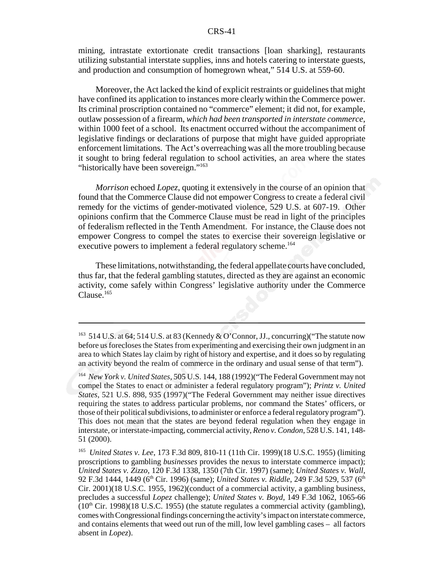mining, intrastate extortionate credit transactions [loan sharking], restaurants utilizing substantial interstate supplies, inns and hotels catering to interstate guests, and production and consumption of homegrown wheat," 514 U.S. at 559-60.

Moreover, the Act lacked the kind of explicit restraints or guidelines that might have confined its application to instances more clearly within the Commerce power. Its criminal proscription contained no "commerce" element; it did not, for example, outlaw possession of a firearm, *which had been transported in interstate commerce*, within 1000 feet of a school. Its enactment occurred without the accompaniment of legislative findings or declarations of purpose that might have guided appropriate enforcement limitations. The Act's overreaching was all the more troubling because it sought to bring federal regulation to school activities, an area where the states "historically have been sovereign."<sup>163</sup>

*Morrison* echoed *Lopez*, quoting it extensively in the course of an opinion that found that the Commerce Clause did not empower Congress to create a federal civil remedy for the victims of gender-motivated violence, 529 U.S. at 607-19. Other opinions confirm that the Commerce Clause must be read in light of the principles of federalism reflected in the Tenth Amendment. For instance, the Clause does not empower Congress to compel the states to exercise their sovereign legislative or executive powers to implement a federal regulatory scheme.<sup>164</sup>

These limitations, notwithstanding, the federal appellate courts have concluded, thus far, that the federal gambling statutes, directed as they are against an economic activity, come safely within Congress' legislative authority under the Commerce Clause. $165$ 

<sup>&</sup>lt;sup>163</sup> 514 U.S. at 64; 514 U.S. at 83 (Kennedy & O'Connor, JJ., concurring)("The statute now before us forecloses the States from experimenting and exercising their own judgment in an area to which States lay claim by right of history and expertise, and it does so by regulating an activity beyond the realm of commerce in the ordinary and usual sense of that term").

<sup>164</sup> *New York v. United States*, 505 U.S. 144, 188 (1992)("The Federal Government may not compel the States to enact or administer a federal regulatory program"); *Printz v. United States*, 521 U.S. 898, 935 (1997)("The Federal Government may neither issue directives requiring the states to address particular problems, nor command the States' officers, or those of their political subdivisions, to administer or enforce a federal regulatory program"). This does not mean that the states are beyond federal regulation when they engage in interstate, or interstate-impacting, commercial activity, *Reno v. Condon*, 528 U.S. 141, 148- 51 (2000).

<sup>165</sup> *United States v. Lee*, 173 F.3d 809, 810-11 (11th Cir. 1999)(18 U.S.C. 1955) (limiting proscriptions to gambling *businesses* provides the nexus to interstate commerce impact); *United States v. Zizzo*, 120 F.3d 1338, 1350 (7th Cir. 1997) (same); *United States v. Wall*, 92 F.3d 1444, 1449 (6<sup>th</sup> Cir. 1996) (same); *United States v. Riddle*, 249 F.3d 529, 537 (6<sup>th</sup> Cir. 2001)(18 U.S.C. 1955, 1962)(conduct of a commercial activity, a gambling business, precludes a successful *Lopez* challenge); *United States v. Boyd*, 149 F.3d 1062, 1065-66  $(10<sup>th</sup> Cir. 1998)(18 U.S.C. 1955)$  (the statute regulates a commercial activity (gambling), comes with Congressional findings concerning the activity's impact on interstate commerce, and contains elements that weed out run of the mill, low level gambling cases – all factors absent in *Lopez*).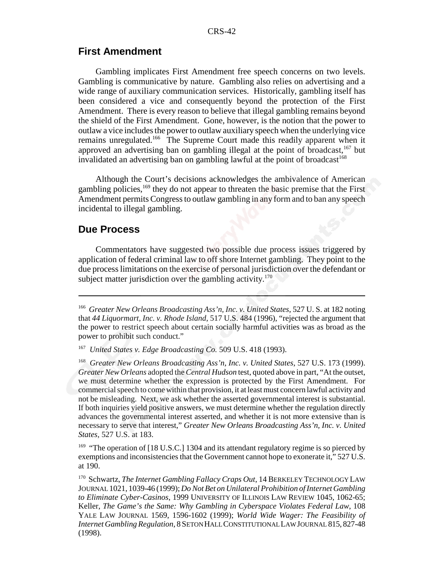## **First Amendment**

Gambling implicates First Amendment free speech concerns on two levels. Gambling is communicative by nature. Gambling also relies on advertising and a wide range of auxiliary communication services. Historically, gambling itself has been considered a vice and consequently beyond the protection of the First Amendment. There is every reason to believe that illegal gambling remains beyond the shield of the First Amendment. Gone, however, is the notion that the power to outlaw a vice includes the power to outlaw auxiliary speech when the underlying vice remains unregulated.<sup>166</sup> The Supreme Court made this readily apparent when it approved an advertising ban on gambling illegal at the point of broadcast,  $167$  but invalidated an advertising ban on gambling lawful at the point of broadcast<sup>168</sup>

Although the Court's decisions acknowledges the ambivalence of American gambling policies,<sup>169</sup> they do not appear to threaten the basic premise that the First Amendment permits Congress to outlaw gambling in any form and to ban any speech incidental to illegal gambling.

## **Due Process**

Commentators have suggested two possible due process issues triggered by application of federal criminal law to off shore Internet gambling. They point to the due process limitations on the exercise of personal jurisdiction over the defendant or subject matter jurisdiction over the gambling activity.<sup>170</sup>

<sup>166</sup> *Greater New Orleans Broadcasting Ass'n, Inc. v. United States*, 527 U. S. at 182 noting that *44 Liquormart, Inc. v. Rhode Island*, 517 U.S. 484 (1996), "rejected the argument that the power to restrict speech about certain socially harmful activities was as broad as the power to prohibit such conduct."

<sup>167</sup> *United States v. Edge Broadcasting Co.* 509 U.S. 418 (1993).

<sup>168</sup> *Greater New Orleans Broadcasting Ass'n, Inc. v. United States*, 527 U.S. 173 (1999). *Greater New Orleans* adopted the *Central Hudson* test, quoted above in part, "At the outset, we must determine whether the expression is protected by the First Amendment. For commercial speech to come within that provision, it at least must concern lawful activity and not be misleading. Next, we ask whether the asserted governmental interest is substantial. If both inquiries yield positive answers, we must determine whether the regulation directly advances the governmental interest asserted, and whether it is not more extensive than is necessary to serve that interest," *Greater New Orleans Broadcasting Ass'n, Inc. v. United States*, 527 U.S. at 183.

<sup>&</sup>lt;sup>169</sup> "The operation of [18 U.S.C.] 1304 and its attendant regulatory regime is so pierced by exemptions and inconsistencies that the Government cannot hope to exonerate it," 527 U.S. at 190.

<sup>170</sup> Schwartz, *The Internet Gambling Fallacy Craps Out*, 14 BERKELEY TECHNOLOGY LAW JOURNAL 1021, 1039-46 (1999); *Do Not Bet on Unilateral Prohibition of Internet Gambling to Eliminate Cyber-Casinos*, 1999 UNIVERSITY OF ILLINOIS LAW REVIEW 1045, 1062-65; Keller, *The Game's the Same: Why Gambling in Cyberspace Violates Federal Law*, 108 YALE LAW JOURNAL 1569, 1596-1602 (1999); *World Wide Wager: The Feasibility of Internet Gambling Regulation*, 8 SETON HALL CONSTITUTIONAL LAW JOURNAL 815, 827-48 (1998).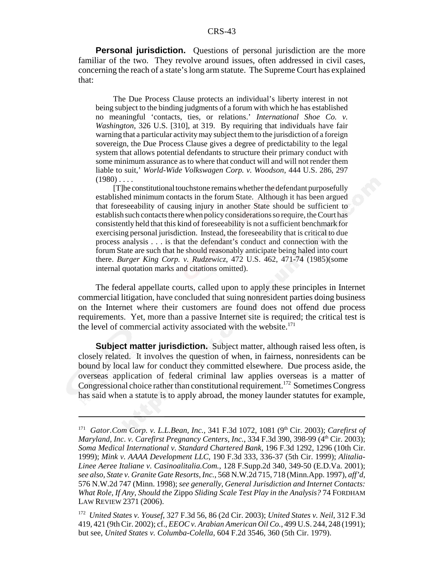**Personal jurisdiction.** Questions of personal jurisdiction are the more familiar of the two. They revolve around issues, often addressed in civil cases, concerning the reach of a state's long arm statute. The Supreme Court has explained that:

The Due Process Clause protects an individual's liberty interest in not being subject to the binding judgments of a forum with which he has established no meaningful 'contacts, ties, or relations.' *International Shoe Co. v. Washington*, 326 U.S. [310], at 319. By requiring that individuals have fair warning that a particular activity may subject them to the jurisdiction of a foreign sovereign, the Due Process Clause gives a degree of predictability to the legal system that allows potential defendants to structure their primary conduct with some minimum assurance as to where that conduct will and will not render them liable to suit,' *World-Wide Volkswagen Corp. v. Woodson*, 444 U.S. 286, 297  $(1980) \ldots$ 

[T]he constitutional touchstone remains whether the defendant purposefully established minimum contacts in the forum State. Although it has been argued that foreseeability of causing injury in another State should be sufficient to establish such contacts there when policy considerations so require, the Court has consistently held that this kind of foreseeability is not a sufficient benchmark for exercising personal jurisdiction. Instead, the foreseeability that is critical to due process analysis . . . is that the defendant's conduct and connection with the forum State are such that he should reasonably anticipate being haled into court there. *Burger King Corp. v. Rudzewicz*, 472 U.S. 462, 471-74 (1985)(some internal quotation marks and citations omitted).

The federal appellate courts, called upon to apply these principles in Internet commercial litigation, have concluded that suing nonresident parties doing business on the Internet where their customers are found does not offend due process requirements. Yet, more than a passive Internet site is required; the critical test is the level of commercial activity associated with the website.<sup>171</sup>

**Subject matter jurisdiction.** Subject matter, although raised less often, is closely related. It involves the question of when, in fairness, nonresidents can be bound by local law for conduct they committed elsewhere. Due process aside, the overseas application of federal criminal law applies overseas is a matter of Congressional choice rather than constitutional requirement.172 Sometimes Congress has said when a statute is to apply abroad, the money launder statutes for example,

<sup>&</sup>lt;sup>171</sup> *Gator.Com Corp. v. L.L.Bean, Inc.,* 341 F.3d 1072, 1081 (9<sup>th</sup> Cir. 2003); *Carefirst of Maryland, Inc. v. Carefirst Pregnancy Centers, Inc., 334 F.3d 390, 398-99 (4th Cir. 2003); Soma Medical International v. Standard Chartered Bank*, 196 F.3d 1292, 1296 (10th Cir. 1999); *Mink v. AAAA Development LLC*, 190 F.3d 333, 336-37 (5th Cir. 1999); *Alitalia-Linee Aeree Italiane v. Casinoalitalia.Com.*, 128 F.Supp.2d 340, 349-50 (E.D.Va. 2001); *see also, State v. Granite Gate Resorts, Inc.*, 568 N.W.2d 715, 718 (Minn.App. 1997), *aff'd*, 576 N.W.2d 747 (Minn. 1998); *see generally, General Jurisdiction and Internet Contacts: What Role, If Any, Should the* Zippo *Sliding Scale Test Play in the Analysis?* 74 FORDHAM LAW REVIEW 2371 (2006).

<sup>172</sup> *United States v. Yousef*, 327 F.3d 56, 86 (2d Cir. 2003); *United States v. Neil*, 312 F.3d 419, 421 (9th Cir. 2002); cf., *EEOC v. Arabian American Oil Co.*, 499 U.S. 244, 248 (1991); but see, *United States v. Columba-Colella*, 604 F.2d 3546, 360 (5th Cir. 1979).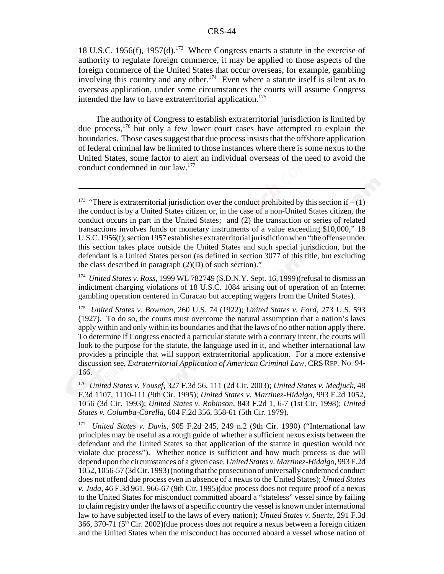18 U.S.C. 1956(f), 1957(d).<sup>173</sup> Where Congress enacts a statute in the exercise of authority to regulate foreign commerce, it may be applied to those aspects of the foreign commerce of the United States that occur overseas, for example, gambling involving this country and any other.<sup>174</sup> Even where a statute itself is silent as to overseas application, under some circumstances the courts will assume Congress intended the law to have extraterritorial application.<sup>175</sup>

The authority of Congress to establish extraterritorial jurisdiction is limited by due process,  $176$  but only a few lower court cases have attempted to explain the boundaries. Those cases suggest that due process insists that the offshore application of federal criminal law be limited to those instances where there is some nexus to the United States, some factor to alert an individual overseas of the need to avoid the conduct condemned in our law.177

174 *United States v. Ross*, 1999 WL 782749 (S.D.N.Y. Sept. 16, 1999)(refusal to dismiss an indictment charging violations of 18 U.S.C. 1084 arising out of operation of an Internet gambling operation centered in Curacao but accepting wagers from the United States).

175 *United States v. Bowman*, 260 U.S. 74 (1922); *United States v. Ford*, 273 U.S. 593 (1927). To do so, the courts must overcome the natural assumption that a nation's laws apply within and only within its boundaries and that the laws of no other nation apply there. To determine if Congress enacted a particular statute with a contrary intent, the courts will look to the purpose for the statute, the language used in it, and whether international law provides a principle that will support extraterritorial application. For a more extensive discussion see, *Extraterritorial Application of American Criminal Law*, CRS REP. No. 94- 166.

177 *United States v. Davis*, 905 F.2d 245, 249 n.2 (9th Cir. 1990) ("International law principles may be useful as a rough guide of whether a sufficient nexus exists between the defendant and the United States so that application of the statute in question would not violate due process"). Whether notice is sufficient and how much process is due will depend upon the circumstances of a given case, *United States v. Martinez-Hidalgo*, 993 F.2d 1052, 1056-57 (3d Cir. 1993) (noting that the prosecution of universally condemned conduct does not offend due process even in absence of a nexus to the United States); *United States v. Juda*, 46 F.3d 961, 966-67 (9th Cir. 1995)(due process does not require proof of a nexus to the United States for misconduct committed aboard a "stateless" vessel since by failing to claim registry under the laws of a specific country the vessel is known under international law to have subjected itself to the laws of every nation); *United States v. Suerte*, 291 F.3d 366, 370-71 ( $5<sup>th</sup>$  Cir. 2002)(due process does not require a nexus between a foreign citizen and the United States when the misconduct has occurred aboard a vessel whose nation of

<sup>&</sup>lt;sup>173</sup> "There is extraterritorial jurisdiction over the conduct prohibited by this section if  $-(1)$ the conduct is by a United States citizen or, in the case of a non-United States citizen, the conduct occurs in part in the United States; and (2) the transaction or series of related transactions involves funds or monetary instruments of a value exceeding \$10,000," 18 U.S.C. 1956(f); section 1957 establishes extraterritorial jurisdiction when "the offense under this section takes place outside the United States and such special jurisdiction, but the defendant is a United States person (as defined in section 3077 of this title, but excluding the class described in paragraph  $(2)(D)$  of such section)."

<sup>176</sup> *United States v. Yousef*, 327 F.3d 56, 111 (2d Cir. 2003); *United States v. Medjuck*, 48 F.3d 1107, 1110-111 (9th Cir. 1995); *United States v. Martinez-Hidalgo*, 993 F.2d 1052, 1056 (3d Cir. 1993); *United States v. Robinson*, 843 F.2d 1, 6-7 (1st Cir. 1998); *United States v. Columba-Corella*, 604 F.2d 356, 358-61 (5th Cir. 1979).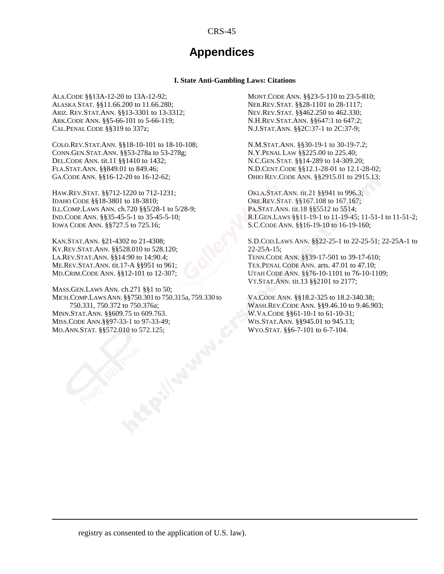## **Appendices**

#### **I. State Anti-Gambling Laws: Citations**

ALA.CODE §§13A-12-20 to 13A-12-92; ALASKA STAT. §§11.66.200 to 11.66.280; ARIZ. REV.STAT.ANN. §§13-3301 to 13-3312; ARK.CODE ANN. §§5-66-101 to 5-66-119; CAL.PENAL CODE §§319 to 337z;

COLO.REV.STAT.ANN. §§18-10-101 to 18-10-108; CONN.GEN.STAT.ANN. §§53-278a to 53-278g; DEL.CODE ANN. tit.11 §§1410 to 1432; FLA.STAT.ANN. §§849.01 to 849.46; GA.CODE ANN. §§16-12-20 to 16-12-62;

HAW.REV.STAT. §§712-1220 to 712-1231; IDAHO CODE §§18-3801 to 18-3810; ILL.COMP.LAWS ANN. ch.720 §§5/28-1 to 5/28-9; IND.CODE ANN. §§35-45-5-1 to 35-45-5-10; IOWA CODE ANN. §§727.5 to 725.16;

KAN.STAT.ANN. §21-4302 to 21-4308; KY.REV.STAT.ANN. §§528.010 to 528.120; LA.REV.STAT.ANN. §§14:90 to 14:90.4; ME.REV.STAT.ANN. tit.17-A §§951 to 961; MD.CRIM.CODE ANN. §§12-101 to 12-307;

MASS.GEN.LAWS ANN. ch.271 §§1 to 50; MICH.COMP.LAWS ANN. §§750.301 to 750.315a, 759.330 to 750.331, 750.372 to 750.376a; MINN.STAT.ANN. §§609.75 to 609.763. MISS.CODE ANN.§§97-33-1 to 97-33-49; MO.ANN.STAT. §§572.010 to 572.125;

MONT.CODE ANN. §§23-5-110 to 23-5-810; NEB.REV.STAT. §§28-1101 to 28-1117; NEV.REV.STAT. §§462.250 to 462.330; N.H.REV.STAT.ANN. §§647:1 to 647:2; N.J.STAT.ANN. §§2C:37-1 to 2C:37-9;

N.M.STAT.ANN. §§30-19-1 to 30-19-7.2; N.Y.PENAL LAW §§225.00 to 225.40; N.C.GEN.STAT. §§14-289 to 14-309.20; N.D.CENT.CODE §§12.1-28-01 to 12.1-28-02; OHIO REV.CODE ANN. §§2915.01 to 2915.13;

OKLA.STAT.ANN. tit.21 §§941 to 996.3; ORE.REV.STAT. §§167.108 to 167.167; PA.STAT.ANN. tit.18 §§5512 to 5514; R.I.GEN.LAWS §§11-19-1 to 11-19-45; 11-51-1 to 11-51-2; S.C.CODE ANN. §§16-19-10 to 16-19-160;

S.D.COD.LAWS ANN. §§22-25-1 to 22-25-51; 22-25A-1 to 22-25A-15;

TENN.CODE ANN. §§39-17-501 to 39-17-610; TEX.PENAL CODE ANN. arts. 47.01 to 47.10; UTAH CODE ANN. §§76-10-1101 to 76-10-1109; VT.STAT.ANN. tit.13 §§2101 to 2177;

VA.CODE ANN. §§18.2-325 to 18.2-340.38; WASH.REV.CODE ANN. §§9.46.10 to 9.46.903; W.VA.CODE §§61-10-1 to 61-10-31; WIS.STAT.ANN. §§945.01 to 945.13; WYO.STAT. §§6-7-101 to 6-7-104.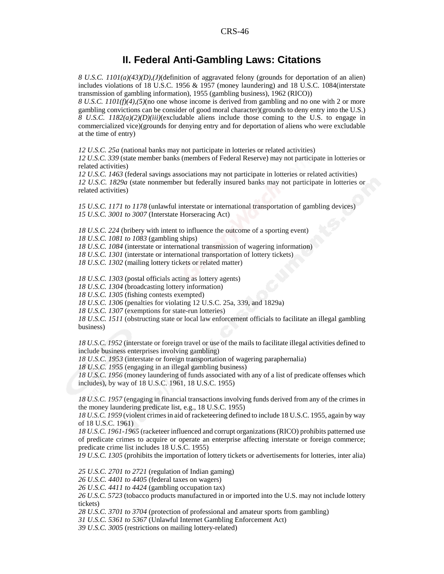## **II. Federal Anti-Gambling Laws: Citations**

*8 U.S.C. 1101(a)(43)(D),(J)*(definition of aggravated felony (grounds for deportation of an alien) includes violations of 18 U.S.C. 1956 & 1957 (money laundering) and 18 U.S.C. 1084(interstate transmission of gambling information), 1955 (gambling business), 1962 (RICO))

*8 U.S.C. 1101(f)(4),(5)*(no one whose income is derived from gambling and no one with 2 or more gambling convictions can be consider of good moral character)(grounds to deny entry into the U.S.) *8 U.S.C. 1182(a)(2)(D)(iii)*(excludable aliens include those coming to the U.S. to engage in commercialized vice)(grounds for denying entry and for deportation of aliens who were excludable at the time of entry)

*12 U.S.C. 25a* (national banks may not participate in lotteries or related activities)

*12 U.S.C. 339* (state member banks (members of Federal Reserve) may not participate in lotteries or related activities)

*12 U.S.C. 1463* (federal savings associations may not participate in lotteries or related activities) *12 U.S.C. 1829a* (state nonmember but federally insured banks may not participate in lotteries or related activities)

*15 U.S.C. 1171 to 1178* (unlawful interstate or international transportation of gambling devices) *15 U.S.C. 3001 to 3007* (Interstate Horseracing Act)

*18 U.S.C. 224* (bribery with intent to influence the outcome of a sporting event)

*18 U.S.C. 1081 to 1083* (gambling ships)

*18 U.S.C. 1084* (interstate or international transmission of wagering information)

*18 U.S.C. 1301* (interstate or international transportation of lottery tickets)

*18 U.S.C. 1302* (mailing lottery tickets or related matter)

*18 U.S.C. 1303* (postal officials acting as lottery agents)

*18 U.S.C. 1304* (broadcasting lottery information)

*18 U.S.C. 1305* (fishing contests exempted)

*18 U.S.C. 1306* (penalties for violating 12 U.S.C. 25a, 339, and 1829a)

*18 U.S.C. 1307* (exemptions for state-run lotteries)

*18 U.S.C. 1511* (obstructing state or local law enforcement officials to facilitate an illegal gambling business)

*18 U.S.C. 1952* (interstate or foreign travel or use of the mails to facilitate illegal activities defined to include business enterprises involving gambling)

*18 U.S.C. 1953* (interstate or foreign transportation of wagering paraphernalia)

*18 U.S.C. 1955* (engaging in an illegal gambling business)

*18 U.S.C. 1956* (money laundering of funds associated with any of a list of predicate offenses which includes), by way of 18 U.S.C. 1961, 18 U.S.C. 1955)

*18 U.S.C. 1957* (engaging in financial transactions involving funds derived from any of the crimes in the money laundering predicate list, e.g., 18 U.S.C. 1955)

*18 U.S.C. 1959* (violent crimes in aid of racketeering defined to include 18 U.S.C. 1955, again by way of 18 U.S.C. 1961)

*18 U.S.C. 1961-1965* (racketeer influenced and corrupt organizations (RICO) prohibits patterned use of predicate crimes to acquire or operate an enterprise affecting interstate or foreign commerce; predicate crime list includes 18 U.S.C. 1955)

*19 U.S.C. 1305* (prohibits the importation of lottery tickets or advertisements for lotteries, inter alia)

*25 U.S.C. 2701 to 2721* (regulation of Indian gaming)

*26 U.S.C. 4401 to 4405* (federal taxes on wagers)

*26 U.S.C. 4411 to 4424* (gambling occupation tax)

*26 U.S.C. 5723* (tobacco products manufactured in or imported into the U.S. may not include lottery tickets)

*28 U.S.C. 3701 to 3704* (protection of professional and amateur sports from gambling)

*31 U.S.C. 5361 to 5367* (Unlawful Internet Gambling Enforcement Act)

*39 U.S.C. 3005* (restrictions on mailing lottery-related)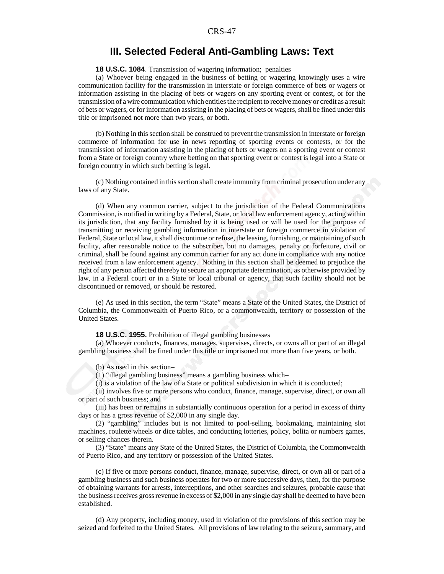## **III. Selected Federal Anti-Gambling Laws: Text**

**18 U.S.C. 1084**. Transmission of wagering information; penalties

(a) Whoever being engaged in the business of betting or wagering knowingly uses a wire communication facility for the transmission in interstate or foreign commerce of bets or wagers or information assisting in the placing of bets or wagers on any sporting event or contest, or for the transmission of a wire communication which entitles the recipient to receive money or credit as a result of bets or wagers, or for information assisting in the placing of bets or wagers, shall be fined under this title or imprisoned not more than two years, or both.

(b) Nothing in this section shall be construed to prevent the transmission in interstate or foreign commerce of information for use in news reporting of sporting events or contests, or for the transmission of information assisting in the placing of bets or wagers on a sporting event or contest from a State or foreign country where betting on that sporting event or contest is legal into a State or foreign country in which such betting is legal.

(c) Nothing contained in this section shall create immunity from criminal prosecution under any laws of any State.

(d) When any common carrier, subject to the jurisdiction of the Federal Communications Commission, is notified in writing by a Federal, State, or local law enforcement agency, acting within its jurisdiction, that any facility furnished by it is being used or will be used for the purpose of transmitting or receiving gambling information in interstate or foreign commerce in violation of Federal, State or local law, it shall discontinue or refuse, the leasing, furnishing, or maintaining of such facility, after reasonable notice to the subscriber, but no damages, penalty or forfeiture, civil or criminal, shall be found against any common carrier for any act done in compliance with any notice received from a law enforcement agency. Nothing in this section shall be deemed to prejudice the right of any person affected thereby to secure an appropriate determination, as otherwise provided by law, in a Federal court or in a State or local tribunal or agency, that such facility should not be discontinued or removed, or should be restored.

(e) As used in this section, the term "State" means a State of the United States, the District of Columbia, the Commonwealth of Puerto Rico, or a commonwealth, territory or possession of the United States.

**18 U.S.C. 1955.** Prohibition of illegal gambling businesses

(a) Whoever conducts, finances, manages, supervises, directs, or owns all or part of an illegal gambling business shall be fined under this title or imprisoned not more than five years, or both.

(b) As used in this section–

(1) "illegal gambling business" means a gambling business which–

(i) is a violation of the law of a State or political subdivision in which it is conducted;

(ii) involves five or more persons who conduct, finance, manage, supervise, direct, or own all or part of such business; and

(iii) has been or remains in substantially continuous operation for a period in excess of thirty days or has a gross revenue of \$2,000 in any single day.

(2) "gambling" includes but is not limited to pool-selling, bookmaking, maintaining slot machines, roulette wheels or dice tables, and conducting lotteries, policy, bolita or numbers games, or selling chances therein.

(3) "State" means any State of the United States, the District of Columbia, the Commonwealth of Puerto Rico, and any territory or possession of the United States.

(c) If five or more persons conduct, finance, manage, supervise, direct, or own all or part of a gambling business and such business operates for two or more successive days, then, for the purpose of obtaining warrants for arrests, interceptions, and other searches and seizures, probable cause that the business receives gross revenue in excess of \$2,000 in any single day shall be deemed to have been established.

(d) Any property, including money, used in violation of the provisions of this section may be seized and forfeited to the United States. All provisions of law relating to the seizure, summary, and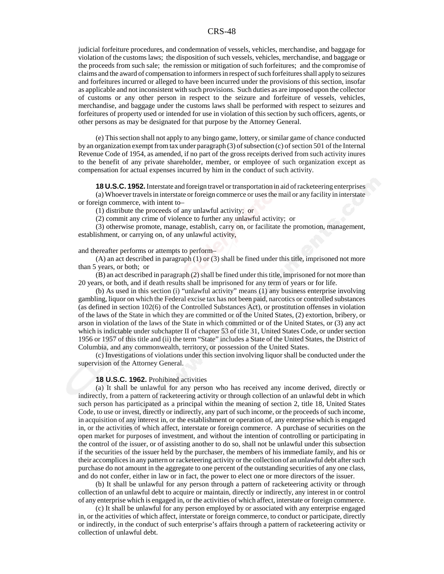judicial forfeiture procedures, and condemnation of vessels, vehicles, merchandise, and baggage for violation of the customs laws; the disposition of such vessels, vehicles, merchandise, and baggage or the proceeds from such sale; the remission or mitigation of such forfeitures; and the compromise of claims and the award of compensation to informers in respect of such forfeitures shall apply to seizures and forfeitures incurred or alleged to have been incurred under the provisions of this section, insofar as applicable and not inconsistent with such provisions. Such duties as are imposed upon the collector of customs or any other person in respect to the seizure and forfeiture of vessels, vehicles, merchandise, and baggage under the customs laws shall be performed with respect to seizures and forfeitures of property used or intended for use in violation of this section by such officers, agents, or other persons as may be designated for that purpose by the Attorney General.

(e) This section shall not apply to any bingo game, lottery, or similar game of chance conducted by an organization exempt from tax under paragraph (3) of subsection (c) of section 501 of the Internal Revenue Code of 1954, as amended, if no part of the gross receipts derived from such activity inures to the benefit of any private shareholder, member, or employee of such organization except as compensation for actual expenses incurred by him in the conduct of such activity.

**18 U.S.C. 1952.** Interstate and foreign travel or transportation in aid of racketeering enterprises (a) Whoever travels in interstate or foreign commerce or uses the mail or any facility in interstate or foreign commerce, with intent to–

(1) distribute the proceeds of any unlawful activity; or

(2) commit any crime of violence to further any unlawful activity; or

(3) otherwise promote, manage, establish, carry on, or facilitate the promotion, management, establishment, or carrying on, of any unlawful activity,

and thereafter performs or attempts to perform–

(A) an act described in paragraph (1) or (3) shall be fined under this title, imprisoned not more than 5 years, or both; or

(B) an act described in paragraph (2) shall be fined under this title, imprisoned for not more than 20 years, or both, and if death results shall be imprisoned for any term of years or for life.

(b) As used in this section (i) "unlawful activity" means (1) any business enterprise involving gambling, liquor on which the Federal excise tax has not been paid, narcotics or controlled substances (as defined in section 102(6) of the Controlled Substances Act), or prostitution offenses in violation of the laws of the State in which they are committed or of the United States, (2) extortion, bribery, or arson in violation of the laws of the State in which committed or of the United States, or (3) any act which is indictable under subchapter II of chapter 53 of title 31, United States Code, or under section 1956 or 1957 of this title and (ii) the term "State" includes a State of the United States, the District of Columbia, and any commonwealth, territory, or possession of the United States.

(c) Investigations of violations under this section involving liquor shall be conducted under the supervision of the Attorney General.

#### **18 U.S.C. 1962.** Prohibited activities

(a) It shall be unlawful for any person who has received any income derived, directly or indirectly, from a pattern of racketeering activity or through collection of an unlawful debt in which such person has participated as a principal within the meaning of section 2, title 18, United States Code, to use or invest, directly or indirectly, any part of such income, or the proceeds of such income, in acquisition of any interest in, or the establishment or operation of, any enterprise which is engaged in, or the activities of which affect, interstate or foreign commerce. A purchase of securities on the open market for purposes of investment, and without the intention of controlling or participating in the control of the issuer, or of assisting another to do so, shall not be unlawful under this subsection if the securities of the issuer held by the purchaser, the members of his immediate family, and his or their accomplices in any pattern or racketeering activity or the collection of an unlawful debt after such purchase do not amount in the aggregate to one percent of the outstanding securities of any one class, and do not confer, either in law or in fact, the power to elect one or more directors of the issuer.

(b) It shall be unlawful for any person through a pattern of racketeering activity or through collection of an unlawful debt to acquire or maintain, directly or indirectly, any interest in or control of any enterprise which is engaged in, or the activities of which affect, interstate or foreign commerce.

(c) It shall be unlawful for any person employed by or associated with any enterprise engaged in, or the activities of which affect, interstate or foreign commerce, to conduct or participate, directly or indirectly, in the conduct of such enterprise's affairs through a pattern of racketeering activity or collection of unlawful debt.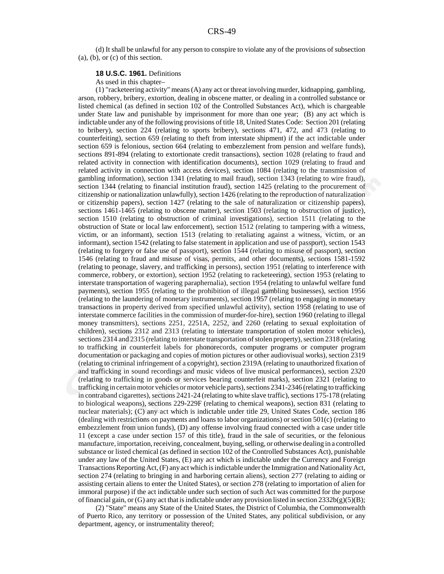(d) It shall be unlawful for any person to conspire to violate any of the provisions of subsection  $(a)$ ,  $(b)$ , or  $(c)$  of this section.

#### **18 U.S.C. 1961.** Definitions

As used in this chapter–

(1) "racketeering activity" means (A) any act or threat involving murder, kidnapping, gambling, arson, robbery, bribery, extortion, dealing in obscene matter, or dealing in a controlled substance or listed chemical (as defined in section 102 of the Controlled Substances Act), which is chargeable under State law and punishable by imprisonment for more than one year; (B) any act which is indictable under any of the following provisions of title 18, United States Code: Section 201 (relating to bribery), section 224 (relating to sports bribery), sections 471, 472, and 473 (relating to counterfeiting), section 659 (relating to theft from interstate shipment) if the act indictable under section 659 is felonious, section 664 (relating to embezzlement from pension and welfare funds), sections 891-894 (relating to extortionate credit transactions), section 1028 (relating to fraud and related activity in connection with identification documents), section 1029 (relating to fraud and related activity in connection with access devices), section 1084 (relating to the transmission of gambling information), section 1341 (relating to mail fraud), section 1343 (relating to wire fraud), section 1344 (relating to financial institution fraud), section 1425 (relating to the procurement of citizenship or nationalization unlawfully), section 1426 (relating to the reproduction of naturalization or citizenship papers), section 1427 (relating to the sale of naturalization or citizenship papers), sections 1461-1465 (relating to obscene matter), section 1503 (relating to obstruction of justice), section 1510 (relating to obstruction of criminal investigations), section 1511 (relating to the obstruction of State or local law enforcement), section 1512 (relating to tampering with a witness, victim, or an informant), section 1513 (relating to retaliating against a witness, victim, or an informant), section 1542 (relating to false statement in application and use of passport), section 1543 (relating to forgery or false use of passport), section 1544 (relating to misuse of passport), section 1546 (relating to fraud and misuse of visas, permits, and other documents), sections 1581-1592 (relating to peonage, slavery, and trafficking in persons), section 1951 (relating to interference with commerce, robbery, or extortion), section 1952 (relating to racketeering), section 1953 (relating to interstate transportation of wagering paraphernalia), section 1954 (relating to unlawful welfare fund payments), section 1955 (relating to the prohibition of illegal gambling businesses), section 1956 (relating to the laundering of monetary instruments), section 1957 (relating to engaging in monetary transactions in property derived from specified unlawful activity), section 1958 (relating to use of interstate commerce facilities in the commission of murder-for-hire), section 1960 (relating to illegal money transmitters), sections 2251, 2251A, 2252, and 2260 (relating to sexual exploitation of children), sections 2312 and 2313 (relating to interstate transportation of stolen motor vehicles), sections 2314 and 2315 (relating to interstate transportation of stolen property), section 2318 (relating to trafficking in counterfeit labels for phonorecords, computer programs or computer program documentation or packaging and copies of motion pictures or other audiovisual works), section 2319 (relating to criminal infringement of a copyright), section 2319A (relating to unauthorized fixation of and trafficking in sound recordings and music videos of live musical performances), section 2320 (relating to trafficking in goods or services bearing counterfeit marks), section 2321 (relating to trafficking in certain motor vehicles or motor vehicle parts), sections 2341-2346 (relating to trafficking in contraband cigarettes), sections 2421-24 (relating to white slave traffic), sections 175-178 (relating to biological weapons), sections 229-229F (relating to chemical weapons), section 831 (relating to nuclear materials); (C) any act which is indictable under title 29, United States Code, section 186 (dealing with restrictions on payments and loans to labor organizations) or section 501(c) (relating to embezzlement from union funds), (D) any offense involving fraud connected with a case under title 11 (except a case under section 157 of this title), fraud in the sale of securities, or the felonious manufacture, importation, receiving, concealment, buying, selling, or otherwise dealing in a controlled substance or listed chemical (as defined in section 102 of the Controlled Substances Act), punishable under any law of the United States, (E) any act which is indictable under the Currency and Foreign Transactions Reporting Act, (F) any act which is indictable under the Immigration and Nationality Act, section 274 (relating to bringing in and harboring certain aliens), section 277 (relating to aiding or assisting certain aliens to enter the United States), or section 278 (relating to importation of alien for immoral purpose) if the act indictable under such section of such Act was committed for the purpose of financial gain, or (G) any act that is indictable under any provision listed in section  $2332b(g)(5)(B)$ ;

(2) "State" means any State of the United States, the District of Columbia, the Commonwealth of Puerto Rico, any territory or possession of the United States, any political subdivision, or any department, agency, or instrumentality thereof;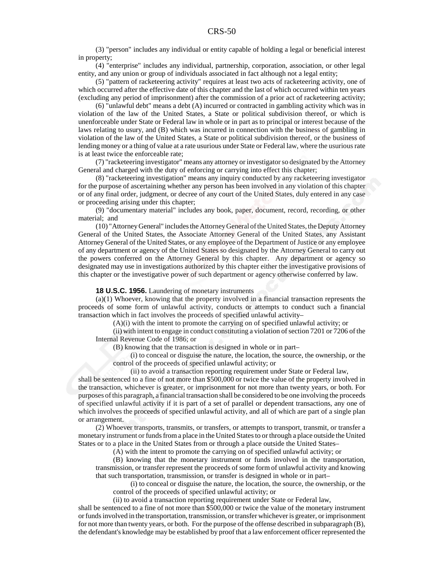(3) "person" includes any individual or entity capable of holding a legal or beneficial interest in property;

(4) "enterprise" includes any individual, partnership, corporation, association, or other legal entity, and any union or group of individuals associated in fact although not a legal entity;

(5) "pattern of racketeering activity" requires at least two acts of racketeering activity, one of which occurred after the effective date of this chapter and the last of which occurred within ten years (excluding any period of imprisonment) after the commission of a prior act of racketeering activity;

(6) "unlawful debt" means a debt (A) incurred or contracted in gambling activity which was in violation of the law of the United States, a State or political subdivision thereof, or which is unenforceable under State or Federal law in whole or in part as to principal or interest because of the laws relating to usury, and (B) which was incurred in connection with the business of gambling in violation of the law of the United States, a State or political subdivision thereof, or the business of lending money or a thing of value at a rate usurious under State or Federal law, where the usurious rate is at least twice the enforceable rate;

(7) "racketeering investigator" means any attorney or investigator so designated by the Attorney General and charged with the duty of enforcing or carrying into effect this chapter;

(8) "racketeering investigation" means any inquiry conducted by any racketeering investigator for the purpose of ascertaining whether any person has been involved in any violation of this chapter or of any final order, judgment, or decree of any court of the United States, duly entered in any case or proceeding arising under this chapter;

(9) "documentary material" includes any book, paper, document, record, recording, or other material; and

(10) "Attorney General" includes the Attorney General of the United States, the Deputy Attorney General of the United States, the Associate Attorney General of the United States, any Assistant Attorney General of the United States, or any employee of the Department of Justice or any employee of any department or agency of the United States so designated by the Attorney General to carry out the powers conferred on the Attorney General by this chapter. Any department or agency so designated may use in investigations authorized by this chapter either the investigative provisions of this chapter or the investigative power of such department or agency otherwise conferred by law.

#### **18 U.S.C. 1956.** Laundering of monetary instruments

(a)(1) Whoever, knowing that the property involved in a financial transaction represents the proceeds of some form of unlawful activity, conducts or attempts to conduct such a financial transaction which in fact involves the proceeds of specified unlawful activity–

(A)(i) with the intent to promote the carrying on of specified unlawful activity; or

(ii) with intent to engage in conduct constituting a violation of section 7201 or 7206 of the Internal Revenue Code of 1986; or

(B) knowing that the transaction is designed in whole or in part–

(i) to conceal or disguise the nature, the location, the source, the ownership, or the control of the proceeds of specified unlawful activity; or

(ii) to avoid a transaction reporting requirement under State or Federal law,

shall be sentenced to a fine of not more than \$500,000 or twice the value of the property involved in the transaction, whichever is greater, or imprisonment for not more than twenty years, or both. For purposes of this paragraph, a financial transaction shall be considered to be one involving the proceeds of specified unlawful activity if it is part of a set of parallel or dependent transactions, any one of which involves the proceeds of specified unlawful activity, and all of which are part of a single plan or arrangement.

(2) Whoever transports, transmits, or transfers, or attempts to transport, transmit, or transfer a monetary instrument or funds from a place in the United States to or through a place outside the United States or to a place in the United States from or through a place outside the United States–

(A) with the intent to promote the carrying on of specified unlawful activity; or

(B) knowing that the monetary instrument or funds involved in the transportation, transmission, or transfer represent the proceeds of some form of unlawful activity and knowing that such transportation, transmission, or transfer is designed in whole or in part–

(i) to conceal or disguise the nature, the location, the source, the ownership, or the control of the proceeds of specified unlawful activity; or

(ii) to avoid a transaction reporting requirement under State or Federal law,

shall be sentenced to a fine of not more than \$500,000 or twice the value of the monetary instrument or funds involved in the transportation, transmission, or transfer whichever is greater, or imprisonment for not more than twenty years, or both. For the purpose of the offense described in subparagraph (B), the defendant's knowledge may be established by proof that a law enforcement officer represented the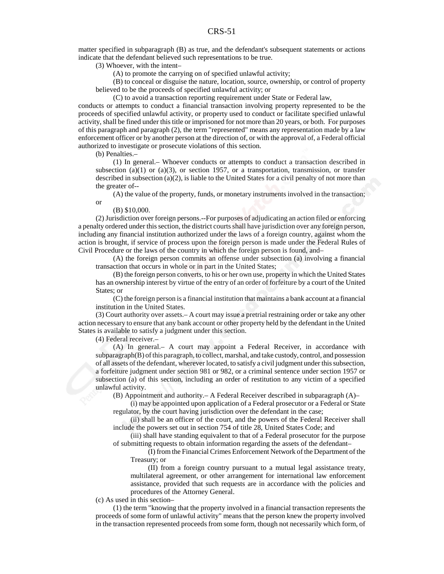matter specified in subparagraph (B) as true, and the defendant's subsequent statements or actions indicate that the defendant believed such representations to be true.

(3) Whoever, with the intent–

(A) to promote the carrying on of specified unlawful activity;

(B) to conceal or disguise the nature, location, source, ownership, or control of property believed to be the proceeds of specified unlawful activity; or

(C) to avoid a transaction reporting requirement under State or Federal law,

conducts or attempts to conduct a financial transaction involving property represented to be the proceeds of specified unlawful activity, or property used to conduct or facilitate specified unlawful activity, shall be fined under this title or imprisoned for not more than 20 years, or both. For purposes of this paragraph and paragraph (2), the term "represented" means any representation made by a law enforcement officer or by another person at the direction of, or with the approval of, a Federal official authorized to investigate or prosecute violations of this section.

(b) Penalties.–

(1) In general.– Whoever conducts or attempts to conduct a transaction described in subsection (a)(1) or (a)(3), or section 1957, or a transportation, transmission, or transfer described in subsection (a)(2), is liable to the United States for a civil penalty of not more than the greater of--

(A) the value of the property, funds, or monetary instruments involved in the transaction; or

(B) \$10,000.

(2) Jurisdiction over foreign persons.--For purposes of adjudicating an action filed or enforcing a penalty ordered under this section, the district courts shall have jurisdiction over any foreign person, including any financial institution authorized under the laws of a foreign country, against whom the action is brought, if service of process upon the foreign person is made under the Federal Rules of Civil Procedure or the laws of the country in which the foreign person is found, and–

(A) the foreign person commits an offense under subsection (a) involving a financial transaction that occurs in whole or in part in the United States;

(B) the foreign person converts, to his or her own use, property in which the United States has an ownership interest by virtue of the entry of an order of forfeiture by a court of the United States; or

(C) the foreign person is a financial institution that maintains a bank account at a financial institution in the United States.

(3) Court authority over assets.– A court may issue a pretrial restraining order or take any other action necessary to ensure that any bank account or other property held by the defendant in the United States is available to satisfy a judgment under this section.

(4) Federal receiver.–

(A) In general.– A court may appoint a Federal Receiver, in accordance with subparagraph(B) of this paragraph, to collect, marshal, and take custody, control, and possession of all assets of the defendant, wherever located, to satisfy a civil judgment under this subsection, a forfeiture judgment under section 981 or 982, or a criminal sentence under section 1957 or subsection (a) of this section, including an order of restitution to any victim of a specified unlawful activity.

(B) Appointment and authority.– A Federal Receiver described in subparagraph (A)–

(i) may be appointed upon application of a Federal prosecutor or a Federal or State regulator, by the court having jurisdiction over the defendant in the case;

(ii) shall be an officer of the court, and the powers of the Federal Receiver shall include the powers set out in section 754 of title 28, United States Code; and

(iii) shall have standing equivalent to that of a Federal prosecutor for the purpose of submitting requests to obtain information regarding the assets of the defendant–

(I) from the Financial Crimes Enforcement Network of the Department of the Treasury; or

(II) from a foreign country pursuant to a mutual legal assistance treaty, multilateral agreement, or other arrangement for international law enforcement assistance, provided that such requests are in accordance with the policies and procedures of the Attorney General.

(c) As used in this section–

(1) the term "knowing that the property involved in a financial transaction represents the proceeds of some form of unlawful activity" means that the person knew the property involved in the transaction represented proceeds from some form, though not necessarily which form, of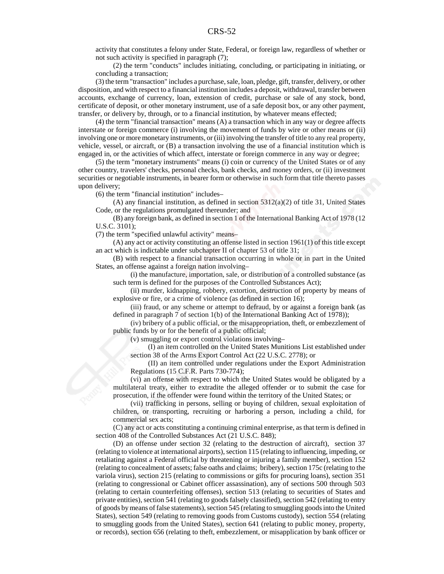activity that constitutes a felony under State, Federal, or foreign law, regardless of whether or not such activity is specified in paragraph (7);

(2) the term "conducts" includes initiating, concluding, or participating in initiating, or concluding a transaction;

(3) the term "transaction" includes a purchase, sale, loan, pledge, gift, transfer, delivery, or other disposition, and with respect to a financial institution includes a deposit, withdrawal, transfer between accounts, exchange of currency, loan, extension of credit, purchase or sale of any stock, bond, certificate of deposit, or other monetary instrument, use of a safe deposit box, or any other payment, transfer, or delivery by, through, or to a financial institution, by whatever means effected;

(4) the term "financial transaction" means (A) a transaction which in any way or degree affects interstate or foreign commerce (i) involving the movement of funds by wire or other means or (ii) involving one or more monetary instruments, or (iii) involving the transfer of title to any real property, vehicle, vessel, or aircraft, or (B) a transaction involving the use of a financial institution which is engaged in, or the activities of which affect, interstate or foreign commerce in any way or degree;

(5) the term "monetary instruments" means (i) coin or currency of the United States or of any other country, travelers' checks, personal checks, bank checks, and money orders, or (ii) investment securities or negotiable instruments, in bearer form or otherwise in such form that title thereto passes upon delivery;

(6) the term "financial institution" includes–

(A) any financial institution, as defined in section  $5312(a)(2)$  of title 31, United States Code, or the regulations promulgated thereunder; and

(B) any foreign bank, as defined in section 1 of the International Banking Act of 1978 (12 U.S.C. 3101);

(7) the term "specified unlawful activity" means–

(A) any act or activity constituting an offense listed in section 1961(1) of this title except an act which is indictable under subchapter II of chapter 53 of title 31;

(B) with respect to a financial transaction occurring in whole or in part in the United States, an offense against a foreign nation involving–

(i) the manufacture, importation, sale, or distribution of a controlled substance (as such term is defined for the purposes of the Controlled Substances Act);

(ii) murder, kidnapping, robbery, extortion, destruction of property by means of explosive or fire, or a crime of violence (as defined in section 16);

(iii) fraud, or any scheme or attempt to defraud, by or against a foreign bank (as defined in paragraph 7 of section 1(b) of the International Banking Act of 1978));

(iv) bribery of a public official, or the misappropriation, theft, or embezzlement of public funds by or for the benefit of a public official;

(v) smuggling or export control violations involving–

(I) an item controlled on the United States Munitions List established under section 38 of the Arms Export Control Act (22 U.S.C. 2778); or

(II) an item controlled under regulations under the Export Administration Regulations (15 C.F.R. Parts 730-774);

(vi) an offense with respect to which the United States would be obligated by a multilateral treaty, either to extradite the alleged offender or to submit the case for prosecution, if the offender were found within the territory of the United States; or

(vii) trafficking in persons, selling or buying of children, sexual exploitation of children, or transporting, recruiting or harboring a person, including a child, for commercial sex acts;

(C) any act or acts constituting a continuing criminal enterprise, as that term is defined in section 408 of the Controlled Substances Act (21 U.S.C. 848);

(D) an offense under section 32 (relating to the destruction of aircraft), section 37 (relating to violence at international airports), section 115 (relating to influencing, impeding, or retaliating against a Federal official by threatening or injuring a family member), section 152 (relating to concealment of assets; false oaths and claims; bribery), section 175c (relating to the variola virus), section 215 (relating to commissions or gifts for procuring loans), section 351 (relating to congressional or Cabinet officer assassination), any of sections 500 through 503 (relating to certain counterfeiting offenses), section 513 (relating to securities of States and private entities), section 541 (relating to goods falsely classified), section 542 (relating to entry of goods by means of false statements), section 545 (relating to smuggling goods into the United States), section 549 (relating to removing goods from Customs custody), section 554 (relating to smuggling goods from the United States), section 641 (relating to public money, property, or records), section 656 (relating to theft, embezzlement, or misapplication by bank officer or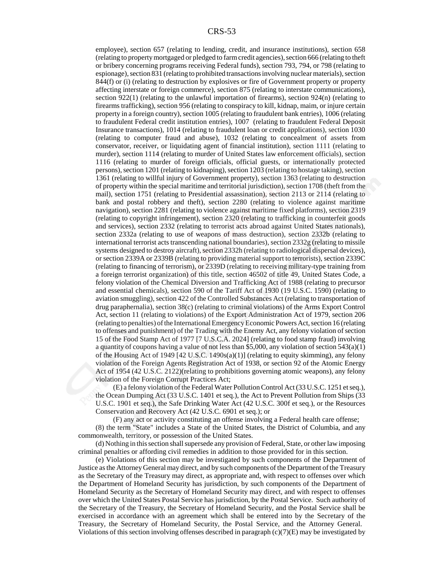employee), section 657 (relating to lending, credit, and insurance institutions), section 658 (relating to property mortgaged or pledged to farm credit agencies), section 666 (relating to theft or bribery concerning programs receiving Federal funds), section 793, 794, or 798 (relating to espionage), section 831 (relating to prohibited transactions involving nuclear materials), section 844(f) or (i) (relating to destruction by explosives or fire of Government property or property affecting interstate or foreign commerce), section 875 (relating to interstate communications), section 922(1) (relating to the unlawful importation of firearms), section 924(n) (relating to firearms trafficking), section 956 (relating to conspiracy to kill, kidnap, maim, or injure certain property in a foreign country), section 1005 (relating to fraudulent bank entries), 1006 (relating to fraudulent Federal credit institution entries), 1007 (relating to fraudulent Federal Deposit Insurance transactions), 1014 (relating to fraudulent loan or credit applications), section 1030 (relating to computer fraud and abuse), 1032 (relating to concealment of assets from conservator, receiver, or liquidating agent of financial institution), section 1111 (relating to murder), section 1114 (relating to murder of United States law enforcement officials), section 1116 (relating to murder of foreign officials, official guests, or internationally protected persons), section 1201 (relating to kidnaping), section 1203 (relating to hostage taking), section 1361 (relating to willful injury of Government property), section 1363 (relating to destruction of property within the special maritime and territorial jurisdiction), section 1708 (theft from the mail), section 1751 (relating to Presidential assassination), section 2113 or 2114 (relating to bank and postal robbery and theft), section 2280 (relating to violence against maritime navigation), section 2281 (relating to violence against maritime fixed platforms), section 2319 (relating to copyright infringement), section 2320 (relating to trafficking in counterfeit goods and services), section 2332 (relating to terrorist acts abroad against United States nationals), section 2332a (relating to use of weapons of mass destruction), section 2332b (relating to international terrorist acts transcending national boundaries), section 2332g (relating to missile systems designed to destroy aircraft), section 2332h (relating to radiological dispersal devices), or section 2339A or 2339B (relating to providing material support to terrorists), section 2339C (relating to financing of terrorism), or 2339D (relating to receiving military-type training from a foreign terrorist organization) of this title, section 46502 of title 49, United States Code, a felony violation of the Chemical Diversion and Trafficking Act of 1988 (relating to precursor and essential chemicals), section 590 of the Tariff Act of 1930 (19 U.S.C. 1590) (relating to aviation smuggling), section 422 of the Controlled Substances Act (relating to transportation of drug paraphernalia), section 38(c) (relating to criminal violations) of the Arms Export Control Act, section 11 (relating to violations) of the Export Administration Act of 1979, section 206 (relating to penalties) of the International Emergency Economic Powers Act, section 16 (relating to offenses and punishment) of the Trading with the Enemy Act, any felony violation of section 15 of the Food Stamp Act of 1977 [7 U.S.C.A. 2024] (relating to food stamp fraud) involving a quantity of coupons having a value of not less than \$5,000, any violation of section  $543(a)(1)$ of the Housing Act of 1949 [42 U.S.C. 1490s(a)(1)] (relating to equity skimming), any felony violation of the Foreign Agents Registration Act of 1938, or section 92 of the Atomic Energy Act of 1954 (42 U.S.C. 2122)(relating to prohibitions governing atomic weapons), any felony violation of the Foreign Corrupt Practices Act;

(E) a felony violation of the Federal Water Pollution Control Act (33 U.S.C. 1251 et seq.), the Ocean Dumping Act (33 U.S.C. 1401 et seq.), the Act to Prevent Pollution from Ships (33 U.S.C. 1901 et seq.), the Safe Drinking Water Act (42 U.S.C. 300f et seq.), or the Resources Conservation and Recovery Act (42 U.S.C. 6901 et seq.); or

(F) any act or activity constituting an offense involving a Federal health care offense; (8) the term "State" includes a State of the United States, the District of Columbia, and any commonwealth, territory, or possession of the United States.

(d) Nothing in this section shall supersede any provision of Federal, State, or other law imposing criminal penalties or affording civil remedies in addition to those provided for in this section.

(e) Violations of this section may be investigated by such components of the Department of Justice as the Attorney General may direct, and by such components of the Department of the Treasury as the Secretary of the Treasury may direct, as appropriate and, with respect to offenses over which the Department of Homeland Security has jurisdiction, by such components of the Department of Homeland Security as the Secretary of Homeland Security may direct, and with respect to offenses over which the United States Postal Service has jurisdiction, by the Postal Service. Such authority of the Secretary of the Treasury, the Secretary of Homeland Security, and the Postal Service shall be exercised in accordance with an agreement which shall be entered into by the Secretary of the Treasury, the Secretary of Homeland Security, the Postal Service, and the Attorney General. Violations of this section involving offenses described in paragraph  $(c)(7)(E)$  may be investigated by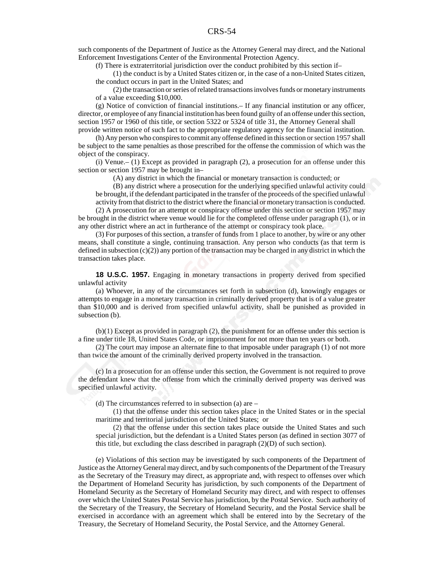such components of the Department of Justice as the Attorney General may direct, and the National Enforcement Investigations Center of the Environmental Protection Agency.

(f) There is extraterritorial jurisdiction over the conduct prohibited by this section if–

(1) the conduct is by a United States citizen or, in the case of a non-United States citizen, the conduct occurs in part in the United States; and

(2) the transaction or series of related transactions involves funds or monetary instruments of a value exceeding \$10,000.

(g) Notice of conviction of financial institutions.– If any financial institution or any officer, director, or employee of any financial institution has been found guilty of an offense under this section, section 1957 or 1960 of this title, or section 5322 or 5324 of title 31, the Attorney General shall provide written notice of such fact to the appropriate regulatory agency for the financial institution.

(h) Any person who conspires to commit any offense defined in this section or section 1957 shall be subject to the same penalties as those prescribed for the offense the commission of which was the object of the conspiracy.

(i) Venue.– (1) Except as provided in paragraph (2), a prosecution for an offense under this section or section 1957 may be brought in–

(A) any district in which the financial or monetary transaction is conducted; or

(B) any district where a prosecution for the underlying specified unlawful activity could be brought, if the defendant participated in the transfer of the proceeds of the specified unlawful

activity from that district to the district where the financial or monetary transaction is conducted.

(2) A prosecution for an attempt or conspiracy offense under this section or section 1957 may be brought in the district where venue would lie for the completed offense under paragraph (1), or in any other district where an act in furtherance of the attempt or conspiracy took place.

(3) For purposes of this section, a transfer of funds from 1 place to another, by wire or any other means, shall constitute a single, continuing transaction. Any person who conducts (as that term is defined in subsection  $(c)(2)$ ) any portion of the transaction may be charged in any district in which the transaction takes place.

**18 U.S.C. 1957.** Engaging in monetary transactions in property derived from specified unlawful activity

(a) Whoever, in any of the circumstances set forth in subsection (d), knowingly engages or attempts to engage in a monetary transaction in criminally derived property that is of a value greater than \$10,000 and is derived from specified unlawful activity, shall be punished as provided in subsection (b).

(b)(1) Except as provided in paragraph (2), the punishment for an offense under this section is a fine under title 18, United States Code, or imprisonment for not more than ten years or both.

(2) The court may impose an alternate fine to that imposable under paragraph (1) of not more than twice the amount of the criminally derived property involved in the transaction.

(c) In a prosecution for an offense under this section, the Government is not required to prove the defendant knew that the offense from which the criminally derived property was derived was specified unlawful activity.

(d) The circumstances referred to in subsection (a) are –

(1) that the offense under this section takes place in the United States or in the special maritime and territorial jurisdiction of the United States; or

(2) that the offense under this section takes place outside the United States and such special jurisdiction, but the defendant is a United States person (as defined in section 3077 of this title, but excluding the class described in paragraph (2)(D) of such section).

(e) Violations of this section may be investigated by such components of the Department of Justice as the Attorney General may direct, and by such components of the Department of the Treasury as the Secretary of the Treasury may direct, as appropriate and, with respect to offenses over which the Department of Homeland Security has jurisdiction, by such components of the Department of Homeland Security as the Secretary of Homeland Security may direct, and with respect to offenses over which the United States Postal Service has jurisdiction, by the Postal Service. Such authority of the Secretary of the Treasury, the Secretary of Homeland Security, and the Postal Service shall be exercised in accordance with an agreement which shall be entered into by the Secretary of the Treasury, the Secretary of Homeland Security, the Postal Service, and the Attorney General.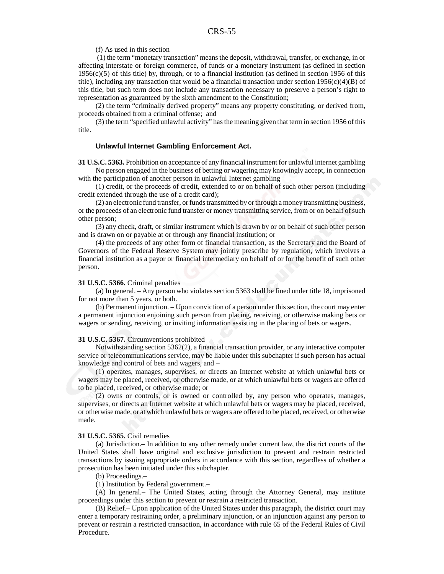(f) As used in this section–

 (1) the term "monetary transaction" means the deposit, withdrawal, transfer, or exchange, in or affecting interstate or foreign commerce, of funds or a monetary instrument (as defined in section  $1956(c)(5)$  of this title) by, through, or to a financial institution (as defined in section 1956 of this title), including any transaction that would be a financial transaction under section  $1956(c)(4)(B)$  of this title, but such term does not include any transaction necessary to preserve a person's right to representation as guaranteed by the sixth amendment to the Constitution;

(2) the term "criminally derived property" means any property constituting, or derived from, proceeds obtained from a criminal offense; and

(3) the term "specified unlawful activity" has the meaning given that term in section 1956 of this title.

#### **Unlawful Internet Gambling Enforcement Act.**

**31 U.S.C. 5363.** Prohibition on acceptance of any financial instrument for unlawful internet gambling No person engaged in the business of betting or wagering may knowingly accept, in connection with the participation of another person in unlawful Internet gambling –

(1) credit, or the proceeds of credit, extended to or on behalf of such other person (including credit extended through the use of a credit card);

(2) an electronic fund transfer, or funds transmitted by or through a money transmitting business, or the proceeds of an electronic fund transfer or money transmitting service, from or on behalf of such other person;

(3) any check, draft, or similar instrument which is drawn by or on behalf of such other person and is drawn on or payable at or through any financial institution; or

(4) the proceeds of any other form of financial transaction, as the Secretary and the Board of Governors of the Federal Reserve System may jointly prescribe by regulation, which involves a financial institution as a payor or financial intermediary on behalf of or for the benefit of such other person.

#### **31 U.S.C. 5366.** Criminal penalties

(a) In general. – Any person who violates section 5363 shall be fined under title 18, imprisoned for not more than 5 years, or both.

(b) Permanent injunction. – Upon conviction of a person under this section, the court may enter a permanent injunction enjoining such person from placing, receiving, or otherwise making bets or wagers or sending, receiving, or inviting information assisting in the placing of bets or wagers.

#### **31 U.S.C. 5367.** Circumventions prohibited

Notwithstanding section 5362(2), a financial transaction provider, or any interactive computer service or telecommunications service, may be liable under this subchapter if such person has actual knowledge and control of bets and wagers, and –

(1) operates, manages, supervises, or directs an Internet website at which unlawful bets or wagers may be placed, received, or otherwise made, or at which unlawful bets or wagers are offered to be placed, received, or otherwise made; or

(2) owns or controls, or is owned or controlled by, any person who operates, manages, supervises, or directs an Internet website at which unlawful bets or wagers may be placed, received, or otherwise made, or at which unlawful bets or wagers are offered to be placed, received, or otherwise made.

#### **31 U.S.C. 5365.** Civil remedies

(a) Jurisdiction.– In addition to any other remedy under current law, the district courts of the United States shall have original and exclusive jurisdiction to prevent and restrain restricted transactions by issuing appropriate orders in accordance with this section, regardless of whether a prosecution has been initiated under this subchapter.

(b) Proceedings.–

(1) Institution by Federal government.–

(A) In general.– The United States, acting through the Attorney General, may institute proceedings under this section to prevent or restrain a restricted transaction.

(B) Relief.– Upon application of the United States under this paragraph, the district court may enter a temporary restraining order, a preliminary injunction, or an injunction against any person to prevent or restrain a restricted transaction, in accordance with rule 65 of the Federal Rules of Civil Procedure.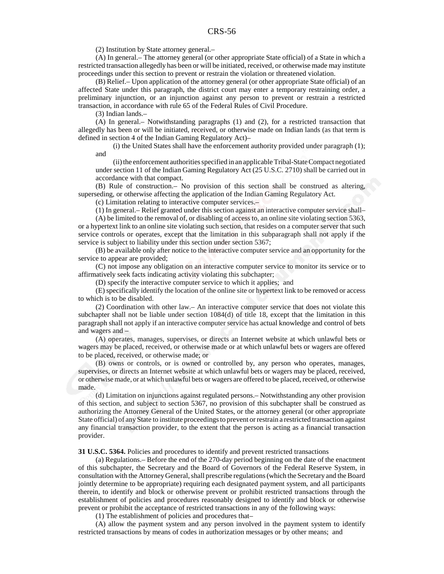(2) Institution by State attorney general.–

(A) In general.– The attorney general (or other appropriate State official) of a State in which a restricted transaction allegedly has been or will be initiated, received, or otherwise made may institute proceedings under this section to prevent or restrain the violation or threatened violation.

(B) Relief.– Upon application of the attorney general (or other appropriate State official) of an affected State under this paragraph, the district court may enter a temporary restraining order, a preliminary injunction, or an injunction against any person to prevent or restrain a restricted transaction, in accordance with rule 65 of the Federal Rules of Civil Procedure.

(3) Indian lands.–

(A) In general.– Notwithstanding paragraphs (1) and (2), for a restricted transaction that allegedly has been or will be initiated, received, or otherwise made on Indian lands (as that term is defined in section 4 of the Indian Gaming Regulatory Act)–

(i) the United States shall have the enforcement authority provided under paragraph (1); and

(ii) the enforcement authorities specified in an applicable Tribal-State Compact negotiated under section 11 of the Indian Gaming Regulatory Act (25 U.S.C. 2710) shall be carried out in accordance with that compact.

(B) Rule of construction.– No provision of this section shall be construed as altering, superseding, or otherwise affecting the application of the Indian Gaming Regulatory Act.

(c) Limitation relating to interactive computer services.–

(1) In general.– Relief granted under this section against an interactive computer service shall–

(A) be limited to the removal of, or disabling of access to, an online site violating section 5363, or a hypertext link to an online site violating such section, that resides on a computer server that such service controls or operates, except that the limitation in this subparagraph shall not apply if the service is subject to liability under this section under section 5367;

(B) be available only after notice to the interactive computer service and an opportunity for the service to appear are provided;

(C) not impose any obligation on an interactive computer service to monitor its service or to affirmatively seek facts indicating activity violating this subchapter;

(D) specify the interactive computer service to which it applies; and

(E) specifically identify the location of the online site or hypertext link to be removed or access to which is to be disabled.

(2) Coordination with other law.– An interactive computer service that does not violate this subchapter shall not be liable under section 1084(d) of title 18, except that the limitation in this paragraph shall not apply if an interactive computer service has actual knowledge and control of bets and wagers and –

(A) operates, manages, supervises, or directs an Internet website at which unlawful bets or wagers may be placed, received, or otherwise made or at which unlawful bets or wagers are offered to be placed, received, or otherwise made; or

(B) owns or controls, or is owned or controlled by, any person who operates, manages, supervises, or directs an Internet website at which unlawful bets or wagers may be placed, received, or otherwise made, or at which unlawful bets or wagers are offered to be placed, received, or otherwise made.

(d) Limitation on injunctions against regulated persons.– Notwithstanding any other provision of this section, and subject to section 5367, no provision of this subchapter shall be construed as authorizing the Attorney General of the United States, or the attorney general (or other appropriate State official) of any State to institute proceedings to prevent or restrain a restricted transaction against any financial transaction provider, to the extent that the person is acting as a financial transaction provider.

**31 U.S.C. 5364.** Policies and procedures to identify and prevent restricted transactions

(a) Regulations.– Before the end of the 270-day period beginning on the date of the enactment of this subchapter, the Secretary and the Board of Governors of the Federal Reserve System, in consultation with the Attorney General, shall prescribe regulations (which the Secretary and the Board jointly determine to be appropriate) requiring each designated payment system, and all participants therein, to identify and block or otherwise prevent or prohibit restricted transactions through the establishment of policies and procedures reasonably designed to identify and block or otherwise prevent or prohibit the acceptance of restricted transactions in any of the following ways:

(1) The establishment of policies and procedures that–

(A) allow the payment system and any person involved in the payment system to identify restricted transactions by means of codes in authorization messages or by other means; and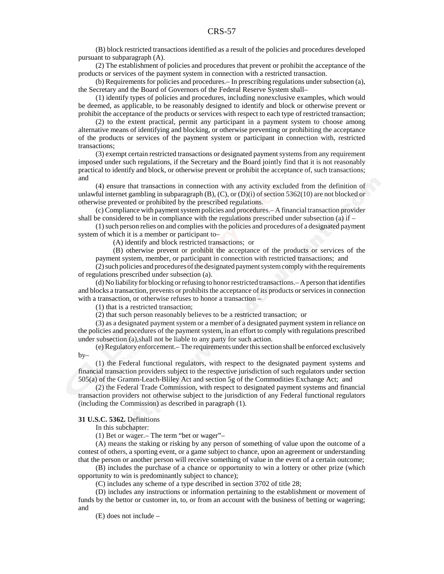(B) block restricted transactions identified as a result of the policies and procedures developed pursuant to subparagraph (A).

(2) The establishment of policies and procedures that prevent or prohibit the acceptance of the products or services of the payment system in connection with a restricted transaction.

(b) Requirements for policies and procedures.– In prescribing regulations under subsection (a), the Secretary and the Board of Governors of the Federal Reserve System shall–

(1) identify types of policies and procedures, including nonexclusive examples, which would be deemed, as applicable, to be reasonably designed to identify and block or otherwise prevent or prohibit the acceptance of the products or services with respect to each type of restricted transaction;

(2) to the extent practical, permit any participant in a payment system to choose among alternative means of identifying and blocking, or otherwise preventing or prohibiting the acceptance of the products or services of the payment system or participant in connection with, restricted transactions;

(3) exempt certain restricted transactions or designated payment systems from any requirement imposed under such regulations, if the Secretary and the Board jointly find that it is not reasonably practical to identify and block, or otherwise prevent or prohibit the acceptance of, such transactions; and

(4) ensure that transactions in connection with any activity excluded from the definition of unlawful internet gambling in subparagraph  $(B)$ ,  $(C)$ , or  $(D)(i)$  of section 5362(10) are not blocked or otherwise prevented or prohibited by the prescribed regulations.

(c) Compliance with payment system policies and procedures.– A financial transaction provider shall be considered to be in compliance with the regulations prescribed under subsection (a) if  $-$ 

(1) such person relies on and complies with the policies and procedures of a designated payment system of which it is a member or participant to–

(A) identify and block restricted transactions; or

(B) otherwise prevent or prohibit the acceptance of the products or services of the payment system, member, or participant in connection with restricted transactions; and

(2) such policies and procedures of the designated payment system comply with the requirements of regulations prescribed under subsection (a).

(d) No liability for blocking or refusing to honor restricted transactions.– A person that identifies and blocks a transaction, prevents or prohibits the acceptance of its products or services in connection with a transaction, or otherwise refuses to honor a transaction –

(1) that is a restricted transaction;

(2) that such person reasonably believes to be a restricted transaction; or

(3) as a designated payment system or a member of a designated payment system in reliance on the policies and procedures of the payment system, in an effort to comply with regulations prescribed under subsection (a),shall not be liable to any party for such action.

(e) Regulatory enforcement.– The requirements under this section shall be enforced exclusively  $by-$ 

(1) the Federal functional regulators, with respect to the designated payment systems and financial transaction providers subject to the respective jurisdiction of such regulators under section 505(a) of the Gramm-Leach-Bliley Act and section 5g of the Commodities Exchange Act; and

(2) the Federal Trade Commission, with respect to designated payment systems and financial transaction providers not otherwise subject to the jurisdiction of any Federal functional regulators (including the Commission) as described in paragraph (1).

**31 U.S.C. 5362.** Definitions

In this subchapter:

(1) Bet or wager.– The term "bet or wager"–

(A) means the staking or risking by any person of something of value upon the outcome of a contest of others, a sporting event, or a game subject to chance, upon an agreement or understanding that the person or another person will receive something of value in the event of a certain outcome;

(B) includes the purchase of a chance or opportunity to win a lottery or other prize (which opportunity to win is predominantly subject to chance);

(C) includes any scheme of a type described in section 3702 of title 28;

(D) includes any instructions or information pertaining to the establishment or movement of funds by the bettor or customer in, to, or from an account with the business of betting or wagering; and

(E) does not include –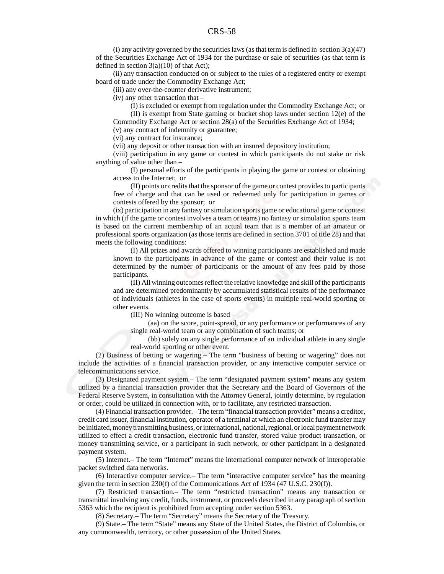(i) any activity governed by the securities laws (as that term is defined in section  $3(a)(47)$ of the Securities Exchange Act of 1934 for the purchase or sale of securities (as that term is defined in section  $3(a)(10)$  of that Act);

(ii) any transaction conducted on or subject to the rules of a registered entity or exempt board of trade under the Commodity Exchange Act;

(iii) any over-the-counter derivative instrument;

(iv) any other transaction that –

(I) is excluded or exempt from regulation under the Commodity Exchange Act; or

(II) is exempt from State gaming or bucket shop laws under section 12(e) of the Commodity Exchange Act or section 28(a) of the Securities Exchange Act of 1934;

(v) any contract of indemnity or guarantee;

(vi) any contract for insurance;

(vii) any deposit or other transaction with an insured depository institution;

(viii) participation in any game or contest in which participants do not stake or risk anything of value other than –

(I) personal efforts of the participants in playing the game or contest or obtaining access to the Internet; or

(II) points or credits that the sponsor of the game or contest provides to participants free of charge and that can be used or redeemed only for participation in games or contests offered by the sponsor; or

(ix) participation in any fantasy or simulation sports game or educational game or contest in which (if the game or contest involves a team or teams) no fantasy or simulation sports team is based on the current membership of an actual team that is a member of an amateur or professional sports organization (as those terms are defined in section 3701 of title 28) and that meets the following conditions:

(I) All prizes and awards offered to winning participants are established and made known to the participants in advance of the game or contest and their value is not determined by the number of participants or the amount of any fees paid by those participants.

(II) All winning outcomes reflect the relative knowledge and skill of the participants and are determined predominantly by accumulated statistical results of the performance of individuals (athletes in the case of sports events) in multiple real-world sporting or other events.

(III) No winning outcome is based –

(aa) on the score, point-spread, or any performance or performances of any single real-world team or any combination of such teams; or

(bb) solely on any single performance of an individual athlete in any single real-world sporting or other event.

(2) Business of betting or wagering.– The term "business of betting or wagering" does not include the activities of a financial transaction provider, or any interactive computer service or telecommunications service.

(3) Designated payment system.– The term "designated payment system" means any system utilized by a financial transaction provider that the Secretary and the Board of Governors of the Federal Reserve System, in consultation with the Attorney General, jointly determine, by regulation or order, could be utilized in connection with, or to facilitate, any restricted transaction.

(4) Financial transaction provider.– The term "financial transaction provider" means a creditor, credit card issuer, financial institution, operator of a terminal at which an electronic fund transfer may be initiated, money transmitting business, or international, national, regional, or local payment network utilized to effect a credit transaction, electronic fund transfer, stored value product transaction, or money transmitting service, or a participant in such network, or other participant in a designated payment system.

(5) Internet.– The term "Internet" means the international computer network of interoperable packet switched data networks.

(6) Interactive computer service.– The term "interactive computer service" has the meaning given the term in section 230(f) of the Communications Act of 1934 (47 U.S.C. 230(f)).

(7) Restricted transaction.– The term "restricted transaction" means any transaction or transmittal involving any credit, funds, instrument, or proceeds described in any paragraph of section 5363 which the recipient is prohibited from accepting under section 5363.

(8) Secretary.– The term "Secretary" means the Secretary of the Treasury.

(9) State.– The term "State" means any State of the United States, the District of Columbia, or any commonwealth, territory, or other possession of the United States.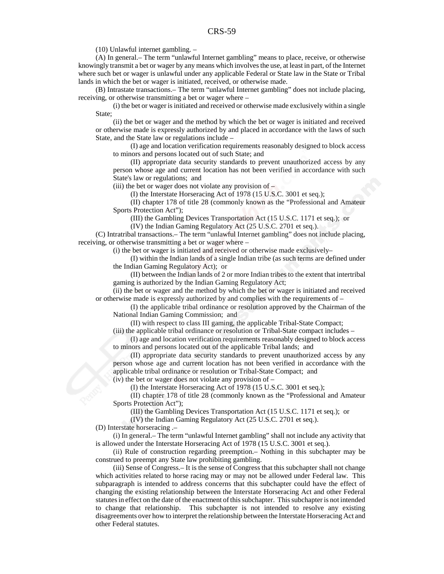(10) Unlawful internet gambling. –

(A) In general.– The term "unlawful Internet gambling" means to place, receive, or otherwise knowingly transmit a bet or wager by any means which involves the use, at least in part, of the Internet where such bet or wager is unlawful under any applicable Federal or State law in the State or Tribal lands in which the bet or wager is initiated, received, or otherwise made.

(B) Intrastate transactions.– The term "unlawful Internet gambling" does not include placing, receiving, or otherwise transmitting a bet or wager where –

(i) the bet or wager is initiated and received or otherwise made exclusively within a single State;

(ii) the bet or wager and the method by which the bet or wager is initiated and received or otherwise made is expressly authorized by and placed in accordance with the laws of such State, and the State law or regulations include –

(I) age and location verification requirements reasonably designed to block access to minors and persons located out of such State; and

(II) appropriate data security standards to prevent unauthorized access by any person whose age and current location has not been verified in accordance with such State's law or regulations; and

(iii) the bet or wager does not violate any provision of –

(I) the Interstate Horseracing Act of 1978 (15 U.S.C. 3001 et seq.);

(II) chapter 178 of title 28 (commonly known as the "Professional and Amateur Sports Protection Act");

(III) the Gambling Devices Transportation Act (15 U.S.C. 1171 et seq.); or

(IV) the Indian Gaming Regulatory Act (25 U.S.C. 2701 et seq.).

(C) Intratribal transactions.– The term "unlawful Internet gambling" does not include placing, receiving, or otherwise transmitting a bet or wager where –

(i) the bet or wager is initiated and received or otherwise made exclusively–

(I) within the Indian lands of a single Indian tribe (as such terms are defined under the Indian Gaming Regulatory Act); or

(II) between the Indian lands of 2 or more Indian tribes to the extent that intertribal gaming is authorized by the Indian Gaming Regulatory Act;

(ii) the bet or wager and the method by which the bet or wager is initiated and received or otherwise made is expressly authorized by and complies with the requirements of –

(I) the applicable tribal ordinance or resolution approved by the Chairman of the National Indian Gaming Commission; and

(II) with respect to class III gaming, the applicable Tribal-State Compact;

(iii) the applicable tribal ordinance or resolution or Tribal-State compact includes –

(I) age and location verification requirements reasonably designed to block access to minors and persons located out of the applicable Tribal lands; and

(II) appropriate data security standards to prevent unauthorized access by any person whose age and current location has not been verified in accordance with the applicable tribal ordinance or resolution or Tribal-State Compact; and

(iv) the bet or wager does not violate any provision of –

(I) the Interstate Horseracing Act of 1978 (15 U.S.C. 3001 et seq.);

(II) chapter 178 of title 28 (commonly known as the "Professional and Amateur Sports Protection Act");

(III) the Gambling Devices Transportation Act (15 U.S.C. 1171 et seq.); or

(IV) the Indian Gaming Regulatory Act (25 U.S.C. 2701 et seq.).

(D) Interstate horseracing .–

(i) In general.– The term "unlawful Internet gambling" shall not include any activity that is allowed under the Interstate Horseracing Act of 1978 (15 U.S.C. 3001 et seq.).

(ii) Rule of construction regarding preemption.– Nothing in this subchapter may be construed to preempt any State law prohibiting gambling.

(iii) Sense of Congress.– It is the sense of Congress that this subchapter shall not change which activities related to horse racing may or may not be allowed under Federal law. This subparagraph is intended to address concerns that this subchapter could have the effect of changing the existing relationship between the Interstate Horseracing Act and other Federal statutes in effect on the date of the enactment of this subchapter. This subchapter is not intended to change that relationship. This subchapter is not intended to resolve any existing disagreements over how to interpret the relationship between the Interstate Horseracing Act and other Federal statutes.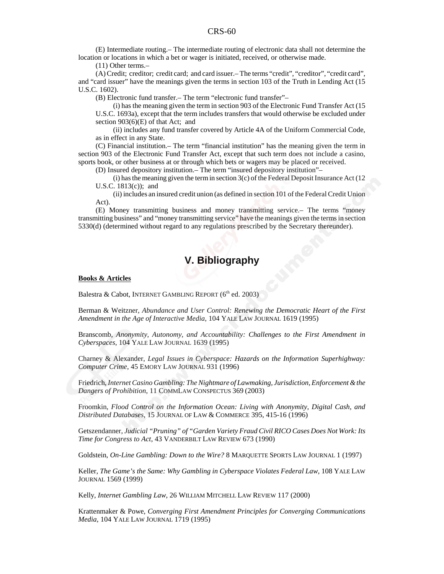(E) Intermediate routing.– The intermediate routing of electronic data shall not determine the location or locations in which a bet or wager is initiated, received, or otherwise made.

(11) Other terms.–

(A) Credit; creditor; credit card; and card issuer.– The terms "credit", "creditor", "credit card", and "card issuer" have the meanings given the terms in section 103 of the Truth in Lending Act (15 U.S.C. 1602).

(B) Electronic fund transfer.– The term "electronic fund transfer"–

(i) has the meaning given the term in section 903 of the Electronic Fund Transfer Act (15 U.S.C. 1693a), except that the term includes transfers that would otherwise be excluded under section 903(6)(E) of that Act; and

(ii) includes any fund transfer covered by Article 4A of the Uniform Commercial Code, as in effect in any State.

(C) Financial institution.– The term "financial institution" has the meaning given the term in section 903 of the Electronic Fund Transfer Act, except that such term does not include a casino, sports book, or other business at or through which bets or wagers may be placed or received.

(D) Insured depository institution.– The term "insured depository institution"–

(i) has the meaning given the term in section  $3(c)$  of the Federal Deposit Insurance Act (12) U.S.C. 1813(c)); and

(ii) includes an insured credit union (as defined in section 101 of the Federal Credit Union Act).

(E) Money transmitting business and money transmitting service.– The terms "money transmitting business" and "money transmitting service" have the meanings given the terms in section 5330(d) (determined without regard to any regulations prescribed by the Secretary thereunder).

## **V. Bibliography**

#### **Books & Articles**

Balestra & Cabot, INTERNET GAMBLING REPORT (6<sup>th</sup> ed. 2003)

Berman & Weitzner, *Abundance and User Control: Renewing the Democratic Heart of the First Amendment in the Age of Interactive Media*, 104 YALE LAW JOURNAL 1619 (1995)

Branscomb, *Anonymity, Autonomy, and Accountability: Challenges to the First Amendment in Cyberspaces*, 104 YALE LAW JOURNAL 1639 (1995)

Charney & Alexander, *Legal Issues in Cyberspace: Hazards on the Information Superhighway: Computer Crime*, 45 EMORY LAW JOURNAL 931 (1996)

Friedrich, *Internet Casino Gambling: The Nightmare of Lawmaking, Jurisdiction, Enforcement & the Dangers of Prohibition*, 11 COMMLAW CONSPECTUS 369 (2003)

Froomkin, *Flood Control on the Information Ocean: Living with Anonymity, Digital Cash, and Distributed Databases*, 15 JOURNAL OF LAW & COMMERCE 395, 415-16 (1996)

Getszendanner, *Judicial "Pruning" of "Garden Variety Fraud Civil RICO Cases Does Not Work: Its Time for Congress to Act*, 43 VANDERBILT LAW REVIEW 673 (1990)

Goldstein, *On-Line Gambling: Down to the Wire?* 8 MARQUETTE SPORTS LAW JOURNAL 1 (1997)

Keller, *The Game's the Same: Why Gambling in Cyberspace Violates Federal Law*, 108 YALE LAW JOURNAL 1569 (1999)

Kelly, *Internet Gambling Law*, 26 WILLIAM MITCHELL LAW REVIEW 117 (2000)

Krattenmaker & Powe, *Converging First Amendment Principles for Converging Communications Media*, 104 YALE LAW JOURNAL 1719 (1995)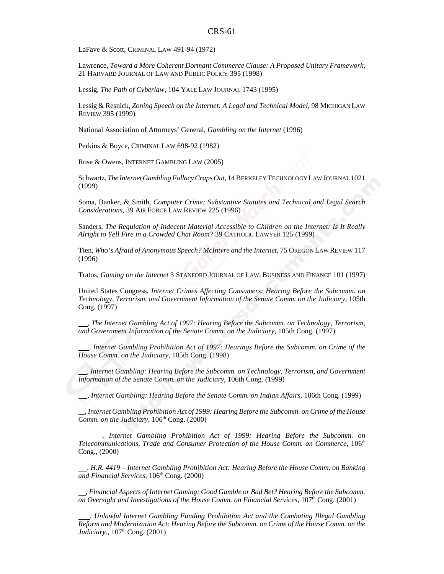LaFave & Scott, CRIMINAL LAW 491-94 (1972)

Lawrence, *Toward a More Coherent Dormant Commerce Clause: A Proposed Unitary Framework*, 21 HARVARD JOURNAL OF LAW AND PUBLIC POLICY 395 (1998)

Lessig, *The Path of Cyberlaw*, 104 YALE LAW JOURNAL 1743 (1995)

Lessig & Resnick, *Zoning Speech on the Internet: A Legal and Technical Model,* 98 MICHIGAN LAW REVIEW 395 (1999)

National Association of Attorneys' General, *Gambling on the Internet* (1996)

Perkins & Boyce, CRIMINAL LAW 698-92 (1982)

Rose & Owens, INTERNET GAMBLING LAW (2005)

Schwartz, *The Internet Gambling Fallacy Craps Out*, 14 BERKELEY TECHNOLOGY LAW JOURNAL 1021 (1999)

Soma, Banker, & Smith, *Computer Crime: Substantive Statutes and Technical and Legal Search Considerations*, 39 AIR FORCE LAW REVIEW 225 (1996)

Sanders, *The Regulation of Indecent Material Accessible to Children on the Internet: Is It Really Alright to Yell Fire in a Crowded Chat Room?* 39 CATHOLIC LAWYER 125 (1999)

Tien, *Who's Afraid of Anonymous Speech? McIntyre and the Internet*, 75 OREGON LAW REVIEW 117 (1996)

Tratos, *Gaming on the Internet* 3 STANFORD JOURNAL OF LAW, BUSINESS AND FINANCE 101 (1997)

United States Congress, *Internet Crimes Affecting Consumers: Hearing Before the Subcomm. on Technology, Terrorism, and Government Information of the Senate Comm. on the Judiciary*, 105th Cong. (1997)

 , *The Internet Gambling Act of 1997: Hearing Before the Subcomm. on Technology, Terrorism, and Government Information of the Senate Comm. on the Judiciary*, 105th Cong. (1997)

 , *Internet Gambling Prohibition Act of 1997: Hearings Before the Subcomm. on Crime of the House Comm. on the Judiciary*, 105th Cong. (1998)

 , *Internet Gambling: Hearing Before the Subcomm. on Technology, Terrorism, and Government Information of the Senate Comm. on the Judiciary*, 106th Cong. (1999)

, *Internet Gambling: Hearing Before the Senate Comm. on Indian Affairs*, 106th Cong. (1999)

 , *Internet Gambling Prohibition Act of 1999: Hearing Before the Subcomm. on Crime of the House Comm. on the Judiciary*, 106<sup>th</sup> Cong. (2000)

 , *Internet Gambling Prohibition Act of 1999: Hearing Before the Subcomm. on Telecommunications, Trade and Consumer Protection of the House Comm. on Commerce*, 106th Cong., (2000)

 , *H.R. 4419 – Internet Gambling Prohibition Act: Hearing Before the House Comm. on Banking* and Financial Services, 106<sup>th</sup> Cong. (2000)

 , *Financial Aspects of Internet Gaming: Good Gamble or Bad Bet? Hearing Before the Subcomm. on Oversight and Investigations of the House Comm. on Financial Services*, 107<sup>th</sup> Cong. (2001)

 , *Unlawful Internet Gambling Funding Prohibition Act and the Combating Illegal Gambling Reform and Modernization Act: Hearing Before the Subcomm. on Crime of the House Comm. on the Judiciary.*, 107<sup>th</sup> Cong. (2001)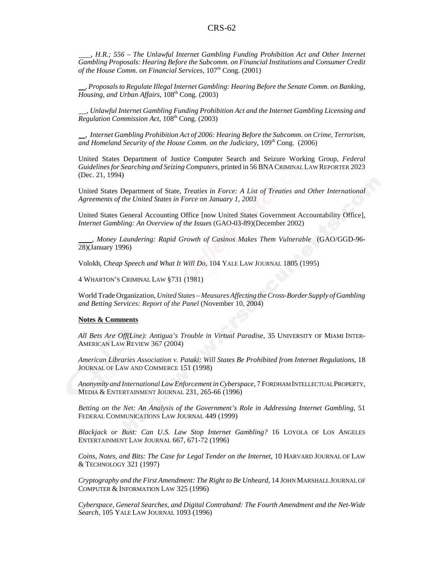, *H.R.; 556 – The Unlawful Internet Gambling Funding Prohibition Act and Other Internet Gambling Proposals: Hearing Before the Subcomm. on Financial Institutions and Consumer Credit of the House Comm. on Financial Services,* 107<sup>th</sup> Cong. (2001)

 , *Proposals to Regulate Illegal Internet Gambling: Hearing Before the Senate Comm. on Banking, Housing, and Urban Affairs*, 108th Cong. (2003)

 , *Unlawful Internet Gambling Funding Prohibition Act and the Internet Gambling Licensing and Regulation Commission Act*, 108th Cong. (2003)

 , *Internet Gambling Prohibition Act of 2006: Hearing Before the Subcomm. on Crime, Terrorism,* and Homeland Security of the House Comm. on the Judiciary, 109<sup>th</sup> Cong. (2006)

United States Department of Justice Computer Search and Seizure Working Group, *Federal Guidelines for Searching and Seizing Computers*, printed in 56 BNACRIMINAL LAW REPORTER 2023 (Dec. 21, 1994)

United States Department of State, *Treaties in Force: A List of Treaties and Other International Agreements of the United States in Force on January 1, 2003*

United States General Accounting Office [now United States Government Accountability Office], *Internet Gambling: An Overview of the Issues* (GAO-03-89)(December 2002)

 , *Money Laundering: Rapid Growth of Casinos Makes Them Vulnerable* (GAO/GGD-96- 28)(January 1996)

Volokh, *Cheap Speech and What It Will Do*, 104 YALE LAW JOURNAL 1805 (1995)

4 WHARTON'S CRIMINAL LAW §731 (1981)

World Trade Organization, *United States – Measures Affecting the Cross-Border Supply of Gambling and Betting Services: Report of the Panel* (November 10, 2004)

#### **Notes & Comments**

*All Bets Are Off(Line): Antigua's Trouble in Virtual Paradise*, 35 UNIVERSITY OF MIAMI INTER-AMERICAN LAW REVIEW 367 (2004)

*American Libraries Association v. Pataki: Will States Be Prohibited from Internet Regulations*, 18 JOURNAL OF LAW AND COMMERCE 151 (1998)

*Anonymity and International Law Enforcement in Cyberspace*, 7 FORDHAM INTELLECTUAL PROPERTY, MEDIA & ENTERTAINMENT JOURNAL 231, 265-66 (1996)

*Betting on the Net: An Analysis of the Government's Role in Addressing Internet Gambling*, 51 FEDERAL COMMUNICATIONS LAW JOURNAL 449 (1999)

*Blackjack or Bust: Can U.S. Law Stop Internet Gambling?* 16 LOYOLA OF LOS ANGELES ENTERTAINMENT LAW JOURNAL 667, 671-72 (1996)

*Coins, Notes, and Bits: The Case for Legal Tender on the Internet*, 10 HARVARD JOURNAL OF LAW & TECHNOLOGY 321 (1997)

*Cryptography and the First Amendment: The Right to Be Unheard*, 14 JOHN MARSHALL JOURNAL OF COMPUTER & INFORMATION LAW 325 (1996)

*Cyberspace, General Searches, and Digital Contraband: The Fourth Amendment and the Net-Wide Search*, 105 YALE LAW JOURNAL 1093 (1996)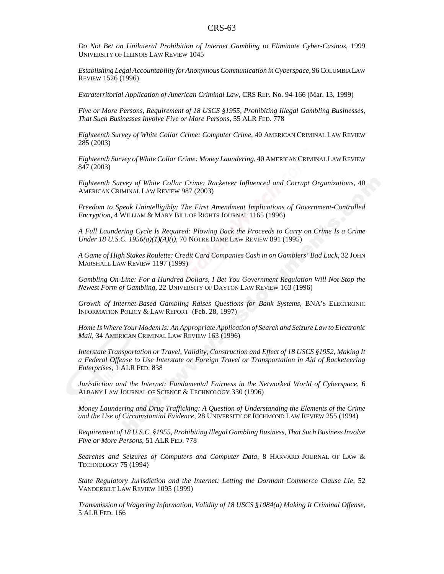*Do Not Bet on Unilateral Prohibition of Internet Gambling to Eliminate Cyber-Casinos*, 1999 UNIVERSITY OF ILLINOIS LAW REVIEW 1045

*Establishing Legal Accountability for Anonymous Communication in Cyberspace*, 96 COLUMBIA LAW REVIEW 1526 (1996)

*Extraterritorial Application of American Criminal Law*, CRS REP. No. 94-166 (Mar. 13, 1999)

*Five or More Persons, Requirement of 18 USCS §1955, Prohibiting Illegal Gambling Businesses, That Such Businesses Involve Five or More Persons*, 55 ALR FED. 778

*Eighteenth Survey of White Collar Crime: Computer Crime*, 40 AMERICAN CRIMINAL LAW REVIEW 285 (2003)

*Eighteenth Survey of White Collar Crime: Money Laundering*, 40 AMERICAN CRIMINAL LAW REVIEW 847 (2003)

*Eighteenth Survey of White Collar Crime: Racketeer Influenced and Corrupt Organizations*, 40 AMERICAN CRIMINAL LAW REVIEW 987 (2003)

*Freedom to Speak Unintelligibly: The First Amendment Implications of Government-Controlled Encryption*, 4 WILLIAM & MARY BILL OF RIGHTS JOURNAL 1165 (1996)

*A Full Laundering Cycle Is Required: Plowing Back the Proceeds to Carry on Crime Is a Crime Under 18 U.S.C. 1956(a)(1)(A)(i)*, 70 NOTRE DAME LAW REVIEW 891 (1995)

*A Game of High Stakes Roulette: Credit Card Companies Cash in on Gamblers' Bad Luck*, 32 JOHN MARSHALL LAW REVIEW 1197 (1999)

*Gambling On-Line: For a Hundred Dollars, I Bet You Government Regulation Will Not Stop the Newest Form of Gambling*, 22 UNIVERSITY OF DAYTON LAW REVIEW 163 (1996)

*Growth of Internet-Based Gambling Raises Questions for Bank Systems*, BNA'S ELECTRONIC INFORMATION POLICY & LAW REPORT (Feb. 28, 1997)

*Home Is Where Your Modem Is: An Appropriate Application of Search and Seizure Law to Electronic Mail*, 34 AMERICAN CRIMINAL LAW REVIEW 163 (1996)

*Interstate Transportation or Travel, Validity, Construction and Effect of 18 USCS §1952, Making It a Federal Offense to Use Interstate or Foreign Travel or Transportation in Aid of Racketeering Enterprises*, 1 ALR FED. 838

*Jurisdiction and the Internet: Fundamental Fairness in the Networked World of Cyberspace*, 6 ALBANY LAW JOURNAL OF SCIENCE & TECHNOLOGY 330 (1996)

*Money Laundering and Drug Trafficking: A Question of Understanding the Elements of the Crime and the Use of Circumstantial Evidence*, 28 UNIVERSITY OF RICHMOND LAW REVIEW 255 (1994)

*Requirement of 18 U.S.C. §1955, Prohibiting Illegal Gambling Business, That Such Business Involve Five or More Persons*, 51 ALR FED. 778

*Searches and Seizures of Computers and Computer Data*, 8 HARVARD JOURNAL OF LAW & TECHNOLOGY 75 (1994)

*State Regulatory Jurisdiction and the Internet: Letting the Dormant Commerce Clause Lie*, 52 VANDERBILT LAW REVIEW 1095 (1999)

*Transmission of Wagering Information, Validity of 18 USCS §1084(a) Making It Criminal Offense*, 5 ALR FED. 166